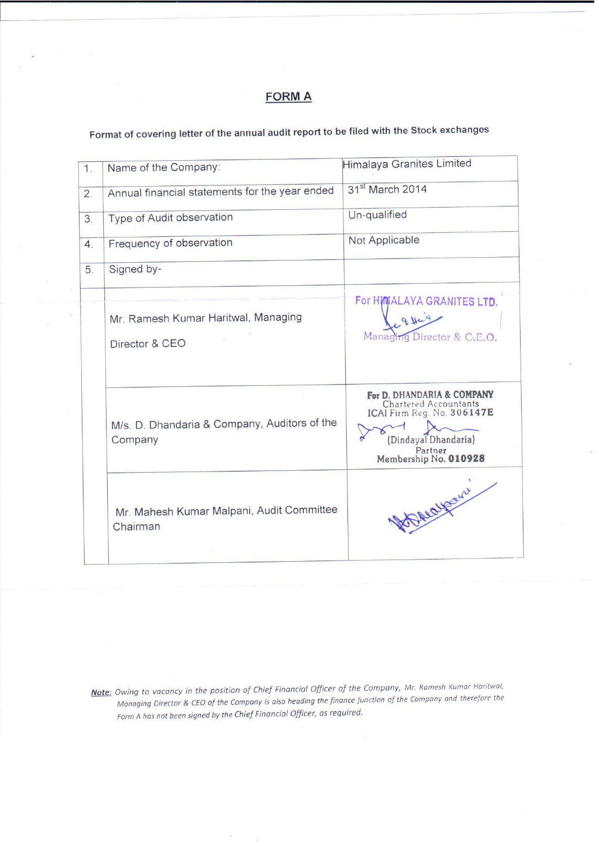# **FORM A**

Format of covering letter of the annual audit report to be filed with the Stock exchanges

| 1.               | Name of the Company:                                    | Himalaya Granites Limited                                                                                                                            |
|------------------|---------------------------------------------------------|------------------------------------------------------------------------------------------------------------------------------------------------------|
| 2.               | Annual financial statements for the year ended          | 31 <sup>st</sup> March 2014                                                                                                                          |
| 3.               | Type of Audit observation                               | Un-qualified                                                                                                                                         |
| $\overline{4}$ . | Frequency of observation                                | Not Applicable                                                                                                                                       |
| 5.               | Signed by-                                              |                                                                                                                                                      |
|                  | Mr. Ramesh Kumar Haritwal, Managing<br>Director & CEO   | For HWIALAYA GRANITES LTD.<br>9. Hug<br>Managing Director & C.E.O.                                                                                   |
|                  | M/s. D. Dhandaria & Company, Auditors of the<br>Company | For D. DHANDARIA & COMPANY<br><b>Chartered Accountants</b><br>ICAI Firm Reg. No. 306147E<br>(Dindayal Dhandaria)<br>Partner<br>Membership No. 010928 |
|                  | Mr. Mahesh Kumar Malpani, Audit Committee<br>Chairman   | ASPALaysons                                                                                                                                          |

Note: Owing to vacancy in the position of Chief Financial Officer of the Company, Mr. Ramesh Kumar Haritwal, Managing Director & CEO of the Company is also heading the finance function of the Company and therefore the Form A has not been signed by the Chief Financial Officer, as required.

 $\bar{\omega}$ 

 $\mathcal{X}$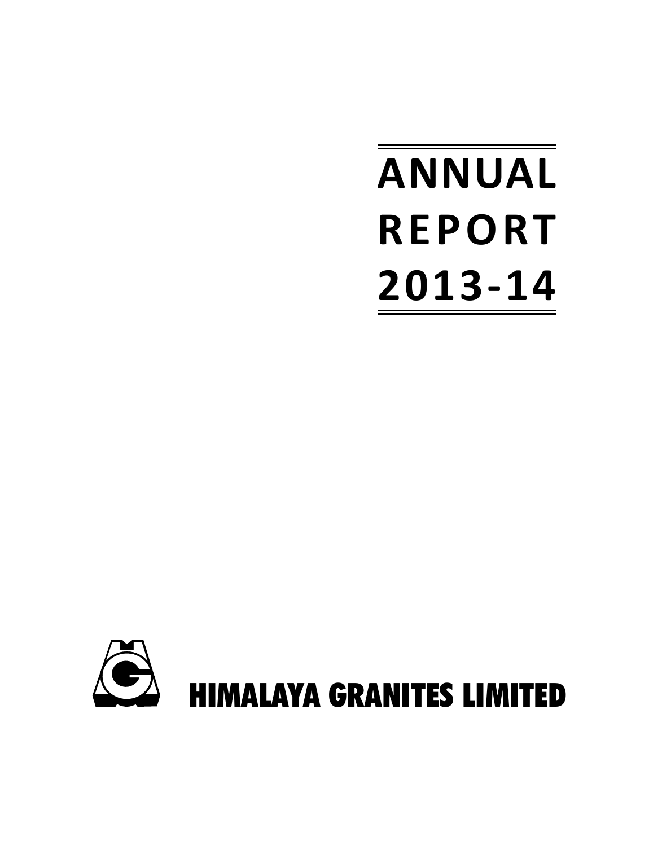# **ANNUAL REPORT 2013-14**

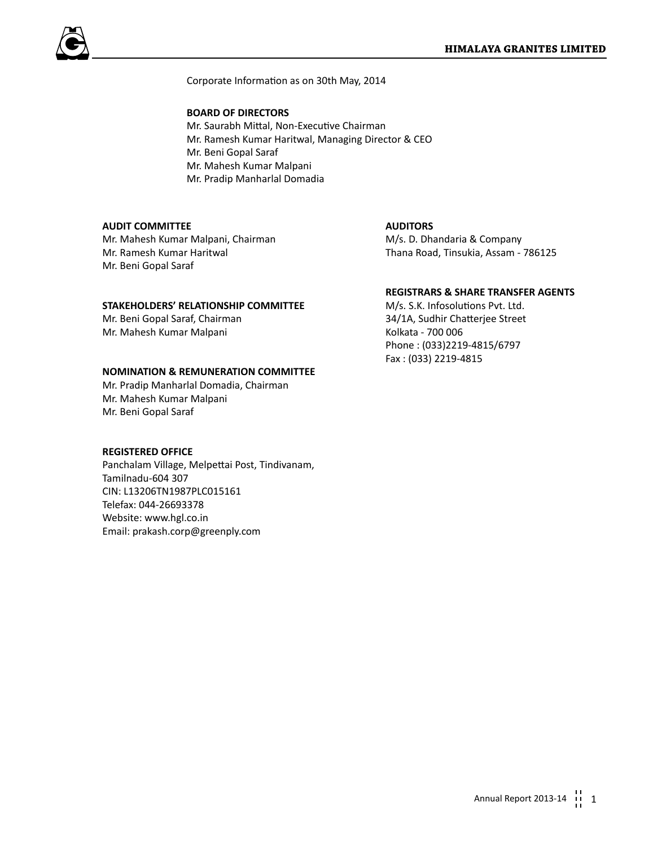

Corporate Information as on 30th May, 2014

#### **BOARD OF DIRECTORS**

Mr. Saurabh Mittal, Non-Executive Chairman Mr. Ramesh Kumar Haritwal, Managing Director & CEO Mr. Beni Gopal Saraf Mr. Mahesh Kumar Malpani Mr. Pradip Manharlal Domadia

#### **AUDIT COMMITTEE**

Mr. Mahesh Kumar Malpani, Chairman Mr. Ramesh Kumar Haritwal Mr. Beni Gopal Saraf

#### **AUDITORS**

M/s. D. Dhandaria & Company Thana Road, Tinsukia, Assam - 786125

#### **REGISTRARS & SHARE TRANSFER AGENTS**

M/s. S.K. Infosolutions Pvt. Ltd. 34/1A, Sudhir Chatterjee Street Kolkata - 700 006 Phone : (033)2219-4815/6797 Fax : (033) 2219-4815

#### **STAKEHOLDERS' RELATIONSHIP COMMITTEE**

Mr. Beni Gopal Saraf, Chairman Mr. Mahesh Kumar Malpani

#### **NOMINATION & REMUNERATION COMMITTEE**

Mr. Pradip Manharlal Domadia, Chairman Mr. Mahesh Kumar Malpani Mr. Beni Gopal Saraf

#### **REGISTERED OFFICE**

Panchalam Village, Melpettai Post, Tindivanam, Tamilnadu-604 307 CIN: L13206TN1987PLC015161 Telefax: 044-26693378 Website: www.hgl.co.in Email: prakash.corp@greenply.com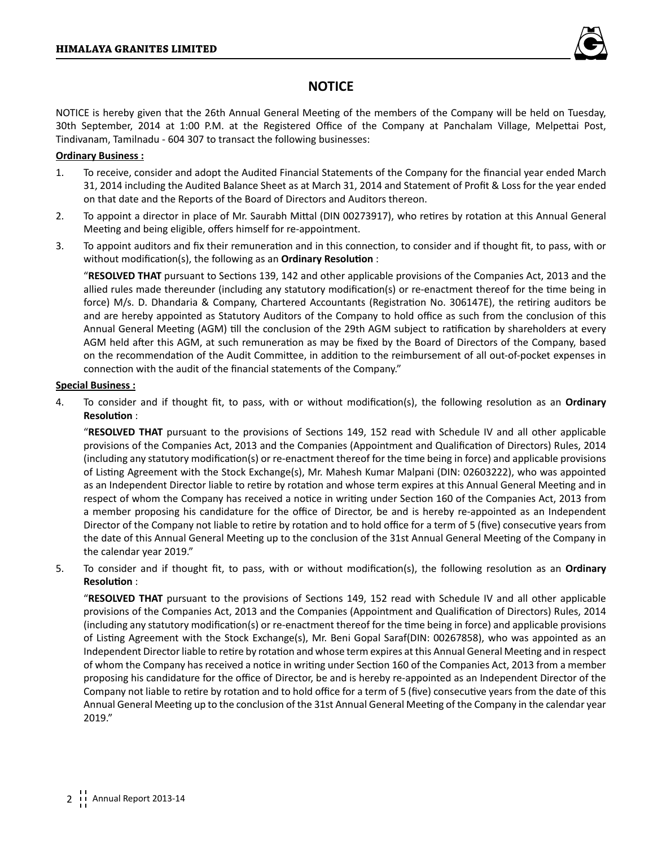

# **NOTICE**

NOTICE is hereby given that the 26th Annual General Meeting of the members of the Company will be held on Tuesday, 30th September, 2014 at 1:00 P.M. at the Registered Office of the Company at Panchalam Village, Melpettai Post, Tindivanam, Tamilnadu - 604 307 to transact the following businesses:

#### **Ordinary Business :**

- 1. To receive, consider and adopt the Audited Financial Statements of the Company for the financial year ended March 31, 2014 including the Audited Balance Sheet as at March 31, 2014 and Statement of Profit & Loss for the year ended on that date and the Reports of the Board of Directors and Auditors thereon.
- 2. To appoint a director in place of Mr. Saurabh Mittal (DIN 00273917), who retires by rotation at this Annual General Meeting and being eligible, offers himself for re-appointment.
- 3. To appoint auditors and fix their remuneration and in this connection, to consider and if thought fit, to pass, with or without modification(s), the following as an **Ordinary Resolution**:

 "**RESOLVED THAT** pursuant to SecƟons 139, 142 and other applicable provisions of the Companies Act, 2013 and the allied rules made thereunder (including any statutory modification(s) or re-enactment thereof for the time being in force) M/s. D. Dhandaria & Company, Chartered Accountants (Registration No. 306147E), the retiring auditors be and are hereby appointed as Statutory Auditors of the Company to hold office as such from the conclusion of this Annual General Meeting (AGM) till the conclusion of the 29th AGM subject to ratification by shareholders at every AGM held after this AGM, at such remuneration as may be fixed by the Board of Directors of the Company, based on the recommendation of the Audit Committee, in addition to the reimbursement of all out-of-pocket expenses in connection with the audit of the financial statements of the Company."

#### **Special Business :**

4. To consider and if thought fit, to pass, with or without modification(s), the following resolution as an **Ordinary ResoluƟon** :

"RESOLVED THAT pursuant to the provisions of Sections 149, 152 read with Schedule IV and all other applicable provisions of the Companies Act, 2013 and the Companies (Appointment and Qualification of Directors) Rules, 2014 (including any statutory modification(s) or re-enactment thereof for the time being in force) and applicable provisions of Listing Agreement with the Stock Exchange(s), Mr. Mahesh Kumar Malpani (DIN: 02603222), who was appointed as an Independent Director liable to retire by rotation and whose term expires at this Annual General Meeting and in respect of whom the Company has received a notice in writing under Section 160 of the Companies Act, 2013 from a member proposing his candidature for the office of Director, be and is hereby re-appointed as an Independent Director of the Company not liable to retire by rotation and to hold office for a term of 5 (five) consecutive years from the date of this Annual General Meeting up to the conclusion of the 31st Annual General Meeting of the Company in the calendar year 2019."

5. To consider and if thought fit, to pass, with or without modification(s), the following resolution as an **Ordinary ResoluƟon** :

"RESOLVED THAT pursuant to the provisions of Sections 149, 152 read with Schedule IV and all other applicable provisions of the Companies Act, 2013 and the Companies (Appointment and Qualification of Directors) Rules, 2014  $(including any statutory modification(s) or re-enactment thereof for the time being in force) and applicable provisions$ of Listing Agreement with the Stock Exchange(s), Mr. Beni Gopal Saraf(DIN: 00267858), who was appointed as an Independent Director liable to retire by rotation and whose term expires at this Annual General Meeting and in respect of whom the Company has received a notice in writing under Section 160 of the Companies Act, 2013 from a member proposing his candidature for the office of Director, be and is hereby re-appointed as an Independent Director of the Company not liable to retire by rotation and to hold office for a term of 5 (five) consecutive years from the date of this Annual General Meeting up to the conclusion of the 31st Annual General Meeting of the Company in the calendar year 2019."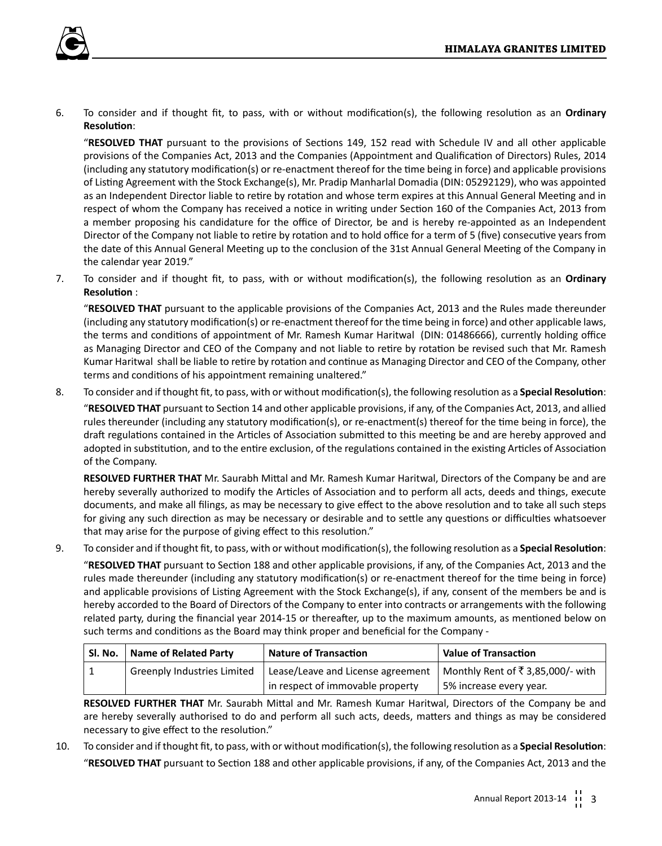

6. To consider and if thought fit, to pass, with or without modification(s), the following resolution as an **Ordinary ResoluƟon**:

"RESOLVED THAT pursuant to the provisions of Sections 149, 152 read with Schedule IV and all other applicable provisions of the Companies Act, 2013 and the Companies (Appointment and Qualification of Directors) Rules, 2014 (including any statutory modification(s) or re-enactment thereof for the time being in force) and applicable provisions of Listing Agreement with the Stock Exchange(s), Mr. Pradip Manharlal Domadia (DIN: 05292129), who was appointed as an Independent Director liable to retire by rotation and whose term expires at this Annual General Meeting and in respect of whom the Company has received a notice in writing under Section 160 of the Companies Act, 2013 from a member proposing his candidature for the office of Director, be and is hereby re-appointed as an Independent Director of the Company not liable to retire by rotation and to hold office for a term of 5 (five) consecutive years from the date of this Annual General Meeting up to the conclusion of the 31st Annual General Meeting of the Company in the calendar year 2019."

7. To consider and if thought fit, to pass, with or without modification(s), the following resolution as an **Ordinary ResoluƟon** :

 "**RESOLVED THAT** pursuant to the applicable provisions of the Companies Act, 2013 and the Rules made thereunder (including any statutory modification(s) or re-enactment thereof for the time being in force) and other applicable laws, the terms and conditions of appointment of Mr. Ramesh Kumar Haritwal (DIN: 01486666), currently holding office as Managing Director and CEO of the Company and not liable to retire by rotation be revised such that Mr. Ramesh Kumar Haritwal shall be liable to retire by rotation and continue as Managing Director and CEO of the Company, other terms and conditions of his appointment remaining unaltered."

8. To consider and if thought fit, to pass, with or without modification(s), the following resolution as a **Special Resolution**:

"RESOLVED THAT pursuant to Section 14 and other applicable provisions, if any, of the Companies Act, 2013, and allied rules thereunder (including any statutory modification(s), or re-enactment(s) thereof for the time being in force), the draft regulations contained in the Articles of Association submitted to this meeting be and are hereby approved and adopted in substitution, and to the entire exclusion, of the regulations contained in the existing Articles of Association of the Company.

**RESOLVED FURTHER THAT** Mr. Saurabh Mittal and Mr. Ramesh Kumar Haritwal, Directors of the Company be and are hereby severally authorized to modify the Articles of Association and to perform all acts, deeds and things, execute documents, and make all filings, as may be necessary to give effect to the above resolution and to take all such steps for giving any such direction as may be necessary or desirable and to settle any questions or difficulties whatsoever that may arise for the purpose of giving effect to this resolution."

9. To consider and if thought fit, to pass, with or without modification(s), the following resolution as a **Special Resolution**:

 "**RESOLVED THAT** pursuant to SecƟon 188 and other applicable provisions, if any, of the Companies Act, 2013 and the rules made thereunder (including any statutory modification(s) or re-enactment thereof for the time being in force) and applicable provisions of Listing Agreement with the Stock Exchange(s), if any, consent of the members be and is hereby accorded to the Board of Directors of the Company to enter into contracts or arrangements with the following related party, during the financial year 2014-15 or thereafter, up to the maximum amounts, as mentioned below on such terms and conditions as the Board may think proper and beneficial for the Company -

| Sl. No. | Name of Related Party       | <b>Nature of Transaction</b>      | <b>Value of Transaction</b>       |
|---------|-----------------------------|-----------------------------------|-----------------------------------|
|         | Greenply Industries Limited | Lease/Leave and License agreement | Monthly Rent of ₹ 3,85,000/- with |
|         |                             | in respect of immovable property  | 5% increase every year.           |

**RESOLVED FURTHER THAT** Mr. Saurabh Mittal and Mr. Ramesh Kumar Haritwal, Directors of the Company be and are hereby severally authorised to do and perform all such acts, deeds, matters and things as may be considered necessary to give effect to the resolution."

10. To consider and if thought fit, to pass, with or without modification(s), the following resolution as a **Special Resolution**: "RESOLVED THAT pursuant to Section 188 and other applicable provisions, if any, of the Companies Act, 2013 and the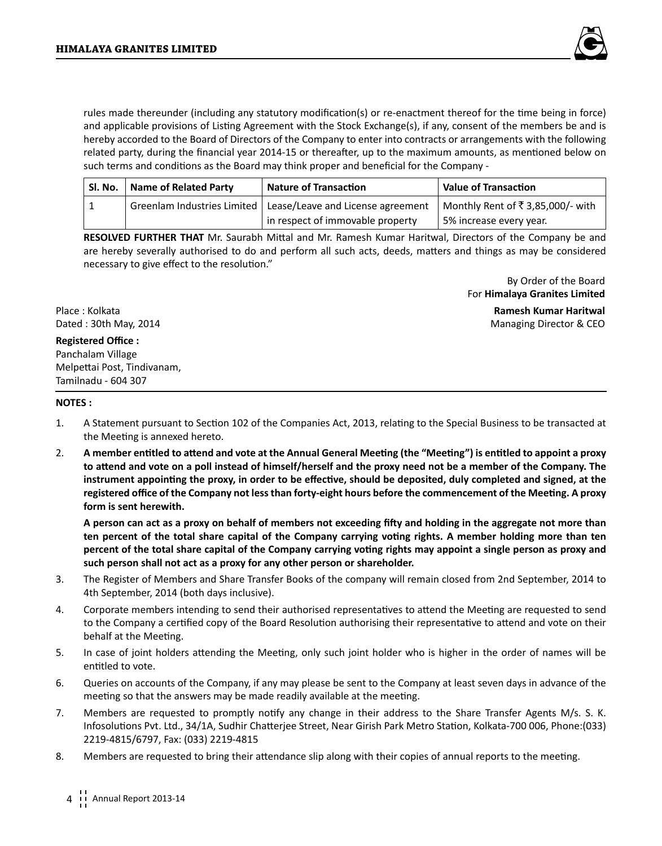

rules made thereunder (including any statutory modification(s) or re-enactment thereof for the time being in force) and applicable provisions of Listing Agreement with the Stock Exchange(s), if any, consent of the members be and is hereby accorded to the Board of Directors of the Company to enter into contracts or arrangements with the following related party, during the financial year 2014-15 or thereafter, up to the maximum amounts, as mentioned below on such terms and conditions as the Board may think proper and beneficial for the Company -

| Sl. No. | <b>Name of Related Party</b> | Nature of Transaction                                           | <b>Value of Transaction</b>          |
|---------|------------------------------|-----------------------------------------------------------------|--------------------------------------|
|         |                              | Greenlam Industries Limited   Lease/Leave and License agreement | Monthly Rent of ₹ 3,85,000/- with    |
|         |                              | in respect of immovable property                                | <sup>1</sup> 5% increase every year. |

**RESOLVED FURTHER THAT** Mr. Saurabh Mittal and Mr. Ramesh Kumar Haritwal, Directors of the Company be and are hereby severally authorised to do and perform all such acts, deeds, matters and things as may be considered necessary to give effect to the resolution."

> By Order of the Board For **Himalaya Granites Limited**

Place : Kolkata **Ramesh Kumar Haritwal** Dated : 30th May, 2014 Managing Director & CEO

#### **Registered Office :**

Panchalam Village Melpettai Post, Tindivanam, Tamilnadu - 604 307

# **NOTES :**

- 1. A Statement pursuant to Section 102 of the Companies Act, 2013, relating to the Special Business to be transacted at the Meeting is annexed hereto.
- 2. **A member enƟtled to aƩend and vote at the Annual General MeeƟng (the "MeeƟng") is enƟtled to appoint a proxy to aƩend and vote on a poll instead of himself/herself and the proxy need not be a member of the Company. The instrument appoinƟng the proxy, in order to be effecƟve, should be deposited, duly completed and signed, at the registered office of the Company not less than forty-eight hours before the commencement of the Meeting. A proxy form is sent herewith.**

A person can act as a proxy on behalf of members not exceeding fifty and holding in the aggregate not more than ten percent of the total share capital of the Company carrying voting rights. A member holding more than ten **percent of the total share capital of the Company carrying voting rights may appoint a single person as proxy and such person shall not act as a proxy for any other person or shareholder.**

- 3. The Register of Members and Share Transfer Books of the company will remain closed from 2nd September, 2014 to 4th September, 2014 (both days inclusive).
- 4. Corporate members intending to send their authorised representatives to attend the Meeting are requested to send to the Company a certified copy of the Board Resolution authorising their representative to attend and vote on their behalf at the Meeting.
- 5. In case of joint holders attending the Meeting, only such joint holder who is higher in the order of names will be entitled to vote.
- 6. Queries on accounts of the Company, if any may please be sent to the Company at least seven days in advance of the meeting so that the answers may be made readily available at the meeting.
- 7. Members are requested to promptly notify any change in their address to the Share Transfer Agents M/s. S. K. Infosolutions Pvt. Ltd., 34/1A, Sudhir Chatterjee Street, Near Girish Park Metro Station, Kolkata-700 006, Phone:(033) 2219-4815/6797, Fax: (033) 2219-4815
- 8. Members are requested to bring their attendance slip along with their copies of annual reports to the meeting.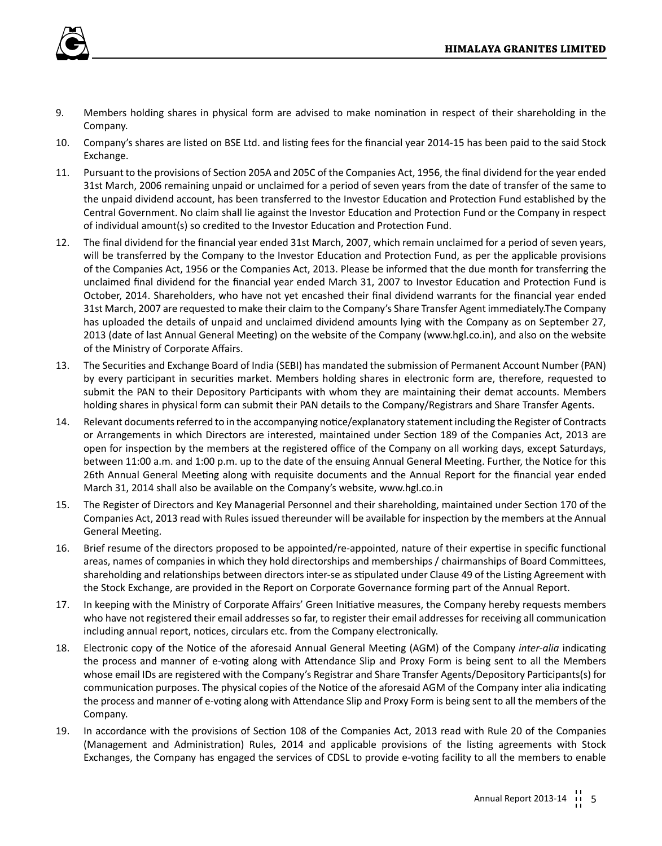

- 9. Members holding shares in physical form are advised to make nomination in respect of their shareholding in the Company.
- 10. Company's shares are listed on BSE Ltd. and listing fees for the financial year 2014-15 has been paid to the said Stock Exchange.
- 11. Pursuant to the provisions of Section 205A and 205C of the Companies Act, 1956, the final dividend for the year ended 31st March, 2006 remaining unpaid or unclaimed for a period of seven years from the date of transfer of the same to the unpaid dividend account, has been transferred to the Investor Education and Protection Fund established by the Central Government. No claim shall lie against the Investor Education and Protection Fund or the Company in respect of individual amount(s) so credited to the Investor Education and Protection Fund.
- 12. The final dividend for the financial year ended 31st March, 2007, which remain unclaimed for a period of seven years, will be transferred by the Company to the Investor Education and Protection Fund, as per the applicable provisions of the Companies Act, 1956 or the Companies Act, 2013. Please be informed that the due month for transferring the unclaimed final dividend for the financial year ended March 31, 2007 to Investor Education and Protection Fund is October, 2014. Shareholders, who have not yet encashed their final dividend warrants for the financial year ended 31st March, 2007 are requested to make their claim to the Company's Share Transfer Agent immediately.The Company has uploaded the details of unpaid and unclaimed dividend amounts lying with the Company as on September 27, 2013 (date of last Annual General Meeting) on the website of the Company (www.hgl.co.in), and also on the website of the Ministry of Corporate Affairs.
- 13. The Securities and Exchange Board of India (SEBI) has mandated the submission of Permanent Account Number (PAN) by every participant in securities market. Members holding shares in electronic form are, therefore, requested to submit the PAN to their Depository Participants with whom they are maintaining their demat accounts. Members holding shares in physical form can submit their PAN details to the Company/Registrars and Share Transfer Agents.
- 14. Relevant documents referred to in the accompanying notice/explanatory statement including the Register of Contracts or Arrangements in which Directors are interested, maintained under Section 189 of the Companies Act, 2013 are open for inspection by the members at the registered office of the Company on all working days, except Saturdays, between 11:00 a.m. and 1:00 p.m. up to the date of the ensuing Annual General Meeting. Further, the Notice for this 26th Annual General Meeting along with requisite documents and the Annual Report for the financial year ended March 31, 2014 shall also be available on the Company's website, www.hgl.co.in
- 15. The Register of Directors and Key Managerial Personnel and their shareholding, maintained under Section 170 of the Companies Act, 2013 read with Rules issued thereunder will be available for inspection by the members at the Annual General Meeting.
- 16. Brief resume of the directors proposed to be appointed/re-appointed, nature of their expertise in specific functional areas, names of companies in which they hold directorships and memberships / chairmanships of Board Committees, shareholding and relationships between directors inter-se as stipulated under Clause 49 of the Listing Agreement with the Stock Exchange, are provided in the Report on Corporate Governance forming part of the Annual Report.
- 17. In keeping with the Ministry of Corporate Affairs' Green Initiative measures, the Company hereby requests members who have not registered their email addresses so far, to register their email addresses for receiving all communication including annual report, notices, circulars etc. from the Company electronically.
- 18. Electronic copy of the Notice of the aforesaid Annual General Meeting (AGM) of the Company *inter-alia* indicating the process and manner of e-voting along with Attendance Slip and Proxy Form is being sent to all the Members whose email IDs are registered with the Company's Registrar and Share Transfer Agents/Depository Participants(s) for communication purposes. The physical copies of the Notice of the aforesaid AGM of the Company inter alia indicating the process and manner of e-voting along with Attendance Slip and Proxy Form is being sent to all the members of the Company.
- 19. In accordance with the provisions of Section 108 of the Companies Act, 2013 read with Rule 20 of the Companies (Management and Administration) Rules, 2014 and applicable provisions of the listing agreements with Stock Exchanges, the Company has engaged the services of CDSL to provide e-voting facility to all the members to enable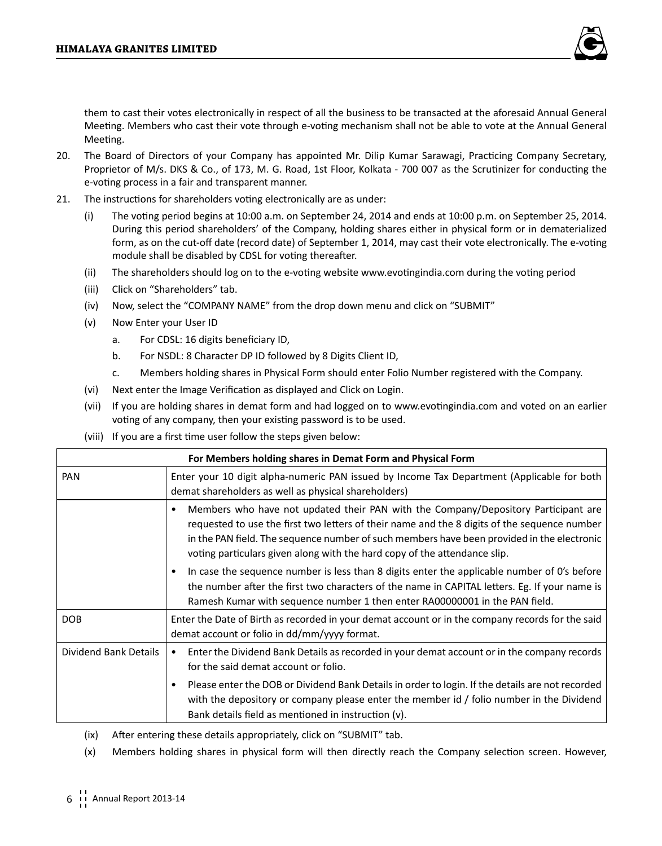

them to cast their votes electronically in respect of all the business to be transacted at the aforesaid Annual General Meeting. Members who cast their vote through e-voting mechanism shall not be able to vote at the Annual General Meeting.

- 20. The Board of Directors of your Company has appointed Mr. Dilip Kumar Sarawagi, Practicing Company Secretary, Proprietor of M/s. DKS & Co., of 173, M. G. Road, 1st Floor, Kolkata - 700 007 as the Scrutinizer for conducting the e-voting process in a fair and transparent manner.
- 21. The instructions for shareholders voting electronically are as under:
	- (i) The voting period begins at 10:00 a.m. on September 24, 2014 and ends at 10:00 p.m. on September 25, 2014. During this period shareholders' of the Company, holding shares either in physical form or in dematerialized form, as on the cut-off date (record date) of September 1, 2014, may cast their vote electronically. The e-voting module shall be disabled by CDSL for voting thereafter.
	- (ii) The shareholders should log on to the e-voting website www.evotingindia.com during the voting period
	- (iii) Click on "Shareholders" tab.
	- (iv) Now, select the "COMPANY NAME" from the drop down menu and click on "SUBMIT"
	- (v) Now Enter your User ID
		- a. For CDSL: 16 digits beneficiary ID,
		- b. For NSDL: 8 Character DP ID followed by 8 Digits Client ID,
		- c. Members holding shares in Physical Form should enter Folio Number registered with the Company.
	- (vi) Next enter the Image Verification as displayed and Click on Login.
	- (vii) If you are holding shares in demat form and had logged on to www.evotingindia.com and voted on an earlier voting of any company, then your existing password is to be used.
	- (viii) If you are a first time user follow the steps given below:

|                       | For Members holding shares in Demat Form and Physical Form                                                                                                                                                                                                                                                                                                    |
|-----------------------|---------------------------------------------------------------------------------------------------------------------------------------------------------------------------------------------------------------------------------------------------------------------------------------------------------------------------------------------------------------|
| <b>PAN</b>            | Enter your 10 digit alpha-numeric PAN issued by Income Tax Department (Applicable for both<br>demat shareholders as well as physical shareholders)                                                                                                                                                                                                            |
|                       | Members who have not updated their PAN with the Company/Depository Participant are<br>requested to use the first two letters of their name and the 8 digits of the sequence number<br>in the PAN field. The sequence number of such members have been provided in the electronic<br>voting particulars given along with the hard copy of the attendance slip. |
|                       | In case the sequence number is less than 8 digits enter the applicable number of 0's before<br>the number after the first two characters of the name in CAPITAL letters. Eg. If your name is<br>Ramesh Kumar with sequence number 1 then enter RA00000001 in the PAN field.                                                                                   |
| <b>DOB</b>            | Enter the Date of Birth as recorded in your demat account or in the company records for the said<br>demat account or folio in dd/mm/yyyy format.                                                                                                                                                                                                              |
| Dividend Bank Details | Enter the Dividend Bank Details as recorded in your demat account or in the company records<br>$\bullet$<br>for the said demat account or folio.                                                                                                                                                                                                              |
|                       | Please enter the DOB or Dividend Bank Details in order to login. If the details are not recorded<br>with the depository or company please enter the member id / folio number in the Dividend<br>Bank details field as mentioned in instruction (v).                                                                                                           |

(ix) After entering these details appropriately, click on "SUBMIT" tab.

(x) Members holding shares in physical form will then directly reach the Company selection screen. However,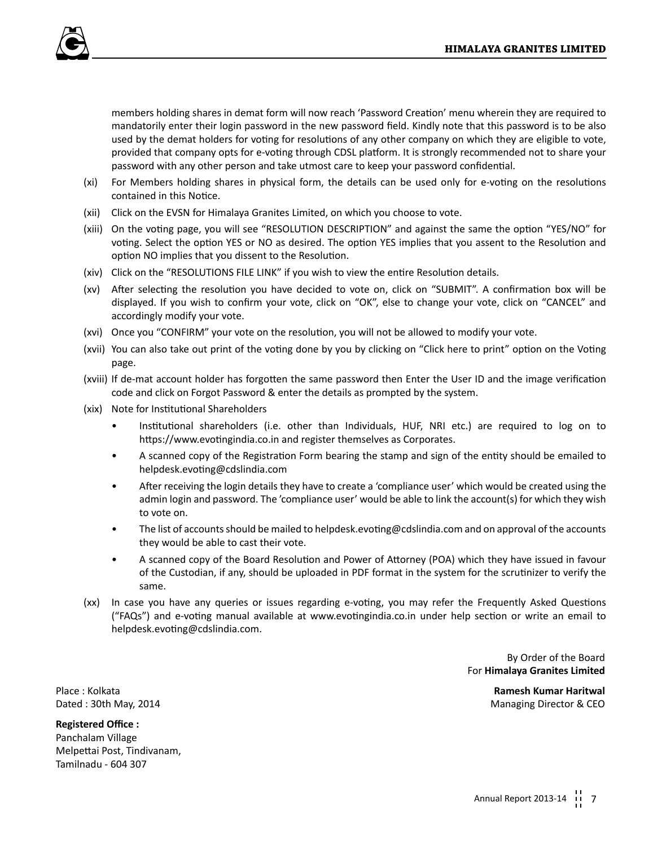

members holding shares in demat form will now reach 'Password Creation' menu wherein they are required to mandatorily enter their login password in the new password field. Kindly note that this password is to be also used by the demat holders for voting for resolutions of any other company on which they are eligible to vote, provided that company opts for e-voting through CDSL platform. It is strongly recommended not to share your password with any other person and take utmost care to keep your password confidential.

- (xi) For Members holding shares in physical form, the details can be used only for e-voting on the resolutions contained in this Notice.
- (xii) Click on the EVSN for Himalaya Granites Limited, on which you choose to vote.
- (xiii) On the voting page, you will see "RESOLUTION DESCRIPTION" and against the same the option "YES/NO" for voting. Select the option YES or NO as desired. The option YES implies that you assent to the Resolution and option NO implies that you dissent to the Resolution.
- (xiv) Click on the "RESOLUTIONS FILE LINK" if you wish to view the entire Resolution details.
- (xv) After selecting the resolution you have decided to vote on, click on "SUBMIT". A confirmation box will be displayed. If you wish to confirm your vote, click on "OK", else to change your vote, click on "CANCEL" and accordingly modify your vote.
- (xvi) Once you "CONFIRM" your vote on the resolution, you will not be allowed to modify your vote.
- (xvii) You can also take out print of the voting done by you by clicking on "Click here to print" option on the Voting page.
- (xviii) If de-mat account holder has forgotten the same password then Enter the User ID and the image verification code and click on Forgot Password & enter the details as prompted by the system.
- (xix) Note for Institutional Shareholders
	- Institutional shareholders (i.e. other than Individuals, HUF, NRI etc.) are required to log on to https://www.evotingindia.co.in and register themselves as Corporates.
	- A scanned copy of the Registration Form bearing the stamp and sign of the entity should be emailed to helpdesk.evoting@cdslindia.com
	- After receiving the login details they have to create a 'compliance user' which would be created using the admin login and password. The 'compliance user' would be able to link the account(s) for which they wish to vote on.
	- The list of accounts should be mailed to helpdesk.evoting@cdslindia.com and on approval of the accounts they would be able to cast their vote.
	- A scanned copy of the Board Resolution and Power of Attorney (POA) which they have issued in favour of the Custodian, if any, should be uploaded in PDF format in the system for the scrutinizer to verify the same.
- (xx) In case you have any queries or issues regarding e-voting, you may refer the Frequently Asked Questions ("FAQs") and e-voting manual available at www.evotingindia.co.in under help section or write an email to helpdesk.evoting@cdslindia.com.

By Order of the Board For **Himalaya Granites Limited**

Place : Kolkata **Ramesh Kumar Haritwal** Dated : 30th May, 2014 **Managing Director & CEO** 

**Registered Office :** Panchalam Village Melpettai Post, Tindivanam, Tamilnadu - 604 307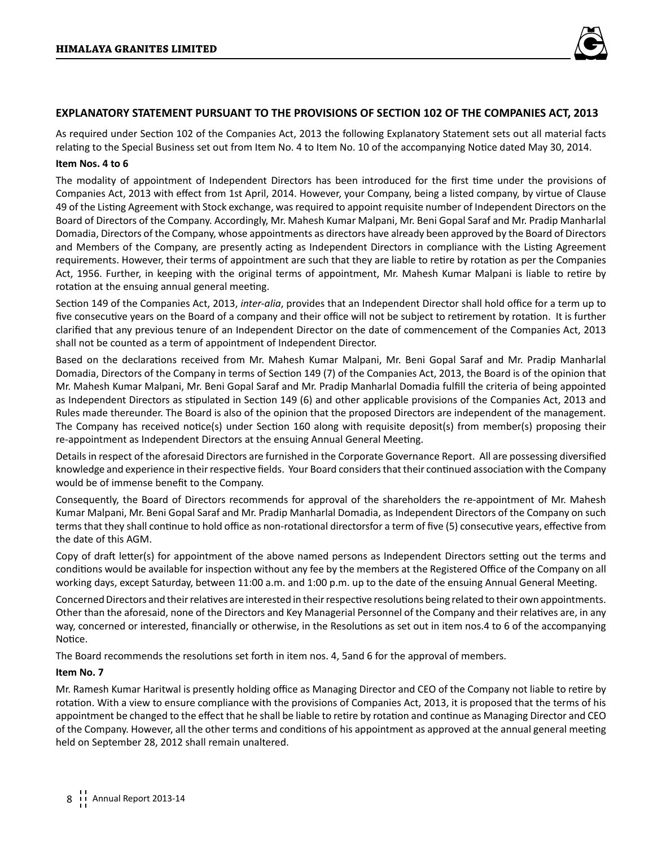

#### **EXPLANATORY STATEMENT PURSUANT TO THE PROVISIONS OF SECTION 102 OF THE COMPANIES ACT, 2013**

As required under Section 102 of the Companies Act, 2013 the following Explanatory Statement sets out all material facts relating to the Special Business set out from Item No. 4 to Item No. 10 of the accompanying Notice dated May 30, 2014.

#### **Item Nos. 4 to 6**

The modality of appointment of Independent Directors has been introduced for the first time under the provisions of Companies Act, 2013 with effect from 1st April, 2014. However, your Company, being a listed company, by virtue of Clause 49 of the Listing Agreement with Stock exchange, was required to appoint requisite number of Independent Directors on the Board of Directors of the Company. Accordingly, Mr. Mahesh Kumar Malpani, Mr. Beni Gopal Saraf and Mr. Pradip Manharlal Domadia, Directors of the Company, whose appointments as directors have already been approved by the Board of Directors and Members of the Company, are presently acting as Independent Directors in compliance with the Listing Agreement requirements. However, their terms of appointment are such that they are liable to retire by rotation as per the Companies Act, 1956. Further, in keeping with the original terms of appointment, Mr. Mahesh Kumar Malpani is liable to retire by rotation at the ensuing annual general meeting.

Section 149 of the Companies Act, 2013, *inter-alia*, provides that an Independent Director shall hold office for a term up to five consecutive years on the Board of a company and their office will not be subject to retirement by rotation. It is further clarified that any previous tenure of an Independent Director on the date of commencement of the Companies Act, 2013 shall not be counted as a term of appointment of Independent Director.

Based on the declarations received from Mr. Mahesh Kumar Malpani, Mr. Beni Gopal Saraf and Mr. Pradip Manharlal Domadia, Directors of the Company in terms of Section 149 (7) of the Companies Act, 2013, the Board is of the opinion that Mr. Mahesh Kumar Malpani, Mr. Beni Gopal Saraf and Mr. Pradip Manharlal Domadia fulfill the criteria of being appointed as Independent Directors as stipulated in Section 149 (6) and other applicable provisions of the Companies Act, 2013 and Rules made thereunder. The Board is also of the opinion that the proposed Directors are independent of the management. The Company has received notice(s) under Section 160 along with requisite deposit(s) from member(s) proposing their re-appointment as Independent Directors at the ensuing Annual General Meeting.

Details in respect of the aforesaid Directors are furnished in the Corporate Governance Report. All are possessing diversified knowledge and experience in their respective fields. Your Board considers that their continued association with the Company would be of immense benefit to the Company.

Consequently, the Board of Directors recommends for approval of the shareholders the re-appointment of Mr. Mahesh Kumar Malpani, Mr. Beni Gopal Saraf and Mr. Pradip Manharlal Domadia, as Independent Directors of the Company on such terms that they shall continue to hold office as non-rotational directorsfor a term of five (5) consecutive years, effective from the date of this AGM.

Copy of draft letter(s) for appointment of the above named persons as Independent Directors setting out the terms and conditions would be available for inspection without any fee by the members at the Registered Office of the Company on all working days, except Saturday, between 11:00 a.m. and 1:00 p.m. up to the date of the ensuing Annual General Meeting.

Concerned Directors and their relatives are interested in their respective resolutions being related to their own appointments. Other than the aforesaid, none of the Directors and Key Managerial Personnel of the Company and their relatives are, in any way, concerned or interested, financially or otherwise, in the Resolutions as set out in item nos.4 to 6 of the accompanying Notice.

The Board recommends the resolutions set forth in item nos. 4, 5and 6 for the approval of members.

#### **Item No. 7**

Mr. Ramesh Kumar Haritwal is presently holding office as Managing Director and CEO of the Company not liable to retire by rotation. With a view to ensure compliance with the provisions of Companies Act, 2013, it is proposed that the terms of his appointment be changed to the effect that he shall be liable to retire by rotation and continue as Managing Director and CEO of the Company. However, all the other terms and conditions of his appointment as approved at the annual general meeting held on September 28, 2012 shall remain unaltered.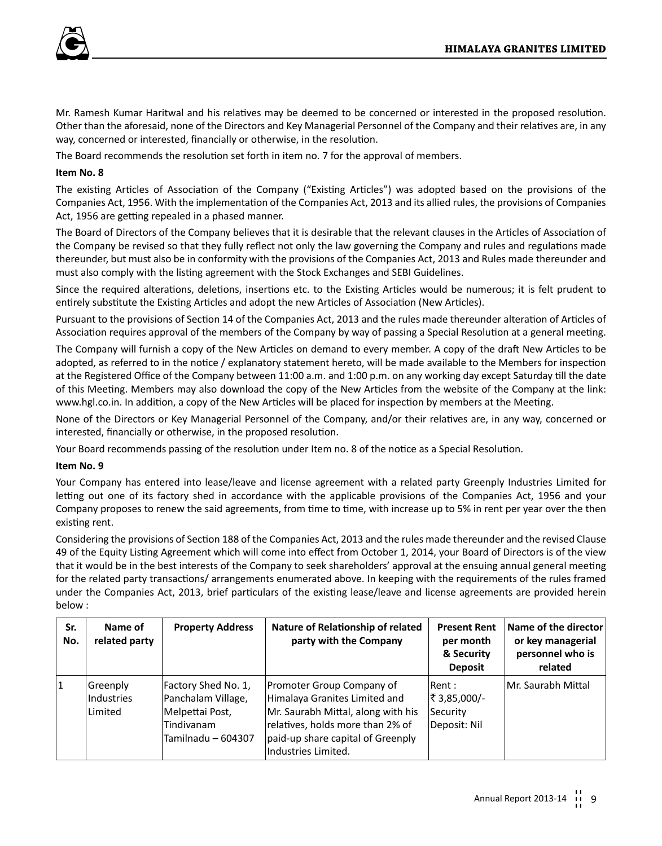

Mr. Ramesh Kumar Haritwal and his relatives may be deemed to be concerned or interested in the proposed resolution. Other than the aforesaid, none of the Directors and Key Managerial Personnel of the Company and their relatives are, in any way, concerned or interested, financially or otherwise, in the resolution.

The Board recommends the resolution set forth in item no. 7 for the approval of members.

#### **Item No. 8**

The existing Articles of Association of the Company ("Existing Articles") was adopted based on the provisions of the Companies Act, 1956. With the implementation of the Companies Act, 2013 and its allied rules, the provisions of Companies Act, 1956 are getting repealed in a phased manner.

The Board of Directors of the Company believes that it is desirable that the relevant clauses in the Articles of Association of the Company be revised so that they fully reflect not only the law governing the Company and rules and regulations made thereunder, but must also be in conformity with the provisions of the Companies Act, 2013 and Rules made thereunder and must also comply with the listing agreement with the Stock Exchanges and SEBI Guidelines.

Since the required alterations, deletions, insertions etc. to the Existing Articles would be numerous; it is felt prudent to entirely substitute the Existing Articles and adopt the new Articles of Association (New Articles).

Pursuant to the provisions of Section 14 of the Companies Act, 2013 and the rules made thereunder alteration of Articles of Association requires approval of the members of the Company by way of passing a Special Resolution at a general meeting.

The Company will furnish a copy of the New Articles on demand to every member. A copy of the draft New Articles to be adopted, as referred to in the notice / explanatory statement hereto, will be made available to the Members for inspection at the Registered Office of the Company between 11:00 a.m. and 1:00 p.m. on any working day except Saturday till the date of this Meeting. Members may also download the copy of the New Articles from the website of the Company at the link: www.hgl.co.in. In addition, a copy of the New Articles will be placed for inspection by members at the Meeting.

None of the Directors or Key Managerial Personnel of the Company, and/or their relatives are, in any way, concerned or interested, financially or otherwise, in the proposed resolution.

Your Board recommends passing of the resolution under Item no. 8 of the notice as a Special Resolution.

#### **Item No. 9**

Your Company has entered into lease/leave and license agreement with a related party Greenply Industries Limited for letting out one of its factory shed in accordance with the applicable provisions of the Companies Act, 1956 and your Company proposes to renew the said agreements, from time to time, with increase up to 5% in rent per year over the then existing rent.

Considering the provisions of Section 188 of the Companies Act, 2013 and the rules made thereunder and the revised Clause 49 of the Equity Listing Agreement which will come into effect from October 1, 2014, your Board of Directors is of the view that it would be in the best interests of the Company to seek shareholders' approval at the ensuing annual general meeting for the related party transactions/ arrangements enumerated above. In keeping with the requirements of the rules framed under the Companies Act, 2013, brief particulars of the existing lease/leave and license agreements are provided herein below :

| Sr.<br>No. | Name of<br>related party          | <b>Property Address</b>                                                                          | Nature of Relationship of related<br>party with the Company                                                                                                                                      | <b>Present Rent</b><br>per month<br>& Security<br><b>Deposit</b> | $\sf{l}$ Name of the director $\sf{l}$<br>or key managerial<br>personnel who is<br>related |
|------------|-----------------------------------|--------------------------------------------------------------------------------------------------|--------------------------------------------------------------------------------------------------------------------------------------------------------------------------------------------------|------------------------------------------------------------------|--------------------------------------------------------------------------------------------|
| 11         | Greenply<br>Industries<br>Limited | Factory Shed No. 1,<br>Panchalam Village,<br>Melpettai Post,<br>Tindivanam<br>Tamilnadu - 604307 | Promoter Group Company of<br>Himalaya Granites Limited and<br>Mr. Saurabh Mittal, along with his<br>relatives, holds more than 2% of<br>paid-up share capital of Greenply<br>Industries Limited. | Rent:<br>!₹ 3,85,000/-<br>Security<br>Deposit: Nil               | lMr. Saurabh Mittal                                                                        |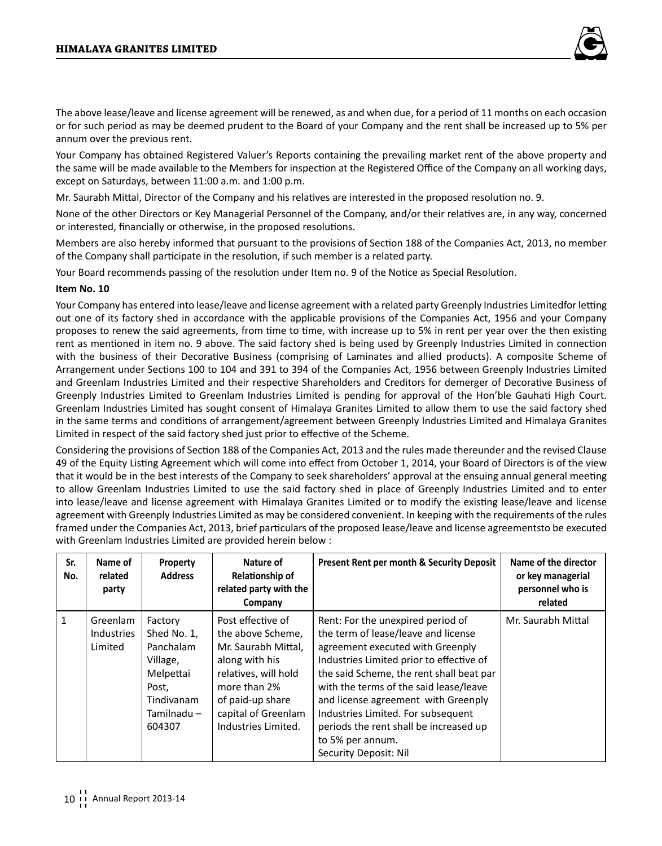

The above lease/leave and license agreement will be renewed, as and when due, for a period of 11 months on each occasion or for such period as may be deemed prudent to the Board of your Company and the rent shall be increased up to 5% per annum over the previous rent.

Your Company has obtained Registered Valuer's Reports containing the prevailing market rent of the above property and the same will be made available to the Members for inspection at the Registered Office of the Company on all working days, except on Saturdays, between 11:00 a.m. and 1:00 p.m.

Mr. Saurabh Mittal, Director of the Company and his relatives are interested in the proposed resolution no. 9.

None of the other Directors or Key Managerial Personnel of the Company, and/or their relatives are, in any way, concerned or interested, financially or otherwise, in the proposed resolutions.

Members are also hereby informed that pursuant to the provisions of Section 188 of the Companies Act, 2013, no member of the Company shall participate in the resolution, if such member is a related party.

Your Board recommends passing of the resolution under Item no. 9 of the Notice as Special Resolution.

#### **Item No. 10**

Your Company has entered into lease/leave and license agreement with a related party Greenply Industries Limitedfor letting out one of its factory shed in accordance with the applicable provisions of the Companies Act, 1956 and your Company proposes to renew the said agreements, from time to time, with increase up to 5% in rent per year over the then existing rent as mentioned in item no. 9 above. The said factory shed is being used by Greenply Industries Limited in connection with the business of their Decorative Business (comprising of Laminates and allied products). A composite Scheme of Arrangement under Sections 100 to 104 and 391 to 394 of the Companies Act, 1956 between Greenply Industries Limited and Greenlam Industries Limited and their respective Shareholders and Creditors for demerger of Decorative Business of Greenply Industries Limited to Greenlam Industries Limited is pending for approval of the Hon'ble Gauhati High Court. Greenlam Industries Limited has sought consent of Himalaya Granites Limited to allow them to use the said factory shed in the same terms and conditions of arrangement/agreement between Greenply Industries Limited and Himalaya Granites Limited in respect of the said factory shed just prior to effective of the Scheme.

Considering the provisions of Section 188 of the Companies Act, 2013 and the rules made thereunder and the revised Clause 49 of the Equity Listing Agreement which will come into effect from October 1, 2014, your Board of Directors is of the view that it would be in the best interests of the Company to seek shareholders' approval at the ensuing annual general meeting to allow Greenlam Industries Limited to use the said factory shed in place of Greenply Industries Limited and to enter into lease/leave and license agreement with Himalaya Granites Limited or to modify the existing lease/leave and license agreement with Greenply Industries Limited as may be considered convenient. In keeping with the requirements of the rules framed under the Companies Act, 2013, brief particulars of the proposed lease/leave and license agreementsto be executed with Greenlam Industries Limited are provided herein below :

| Sr.<br>No.   | Name of<br>related<br>party              | Property<br><b>Address</b>                                                                                   | Nature of<br>Relationship of<br>related party with the<br>Company                                                                                                                         | <b>Present Rent per month &amp; Security Deposit</b>                                                                                                                                                                                                                                                                                                                                                               | Name of the director<br>or key managerial<br>personnel who is<br>related |
|--------------|------------------------------------------|--------------------------------------------------------------------------------------------------------------|-------------------------------------------------------------------------------------------------------------------------------------------------------------------------------------------|--------------------------------------------------------------------------------------------------------------------------------------------------------------------------------------------------------------------------------------------------------------------------------------------------------------------------------------------------------------------------------------------------------------------|--------------------------------------------------------------------------|
| $\mathbf{1}$ | Greenlam<br><b>Industries</b><br>Limited | Factory<br>Shed No. 1.<br>Panchalam<br>Village,<br>Melpettai<br>Post.<br>Tindivanam<br>Tamilnadu –<br>604307 | Post effective of<br>the above Scheme.<br>Mr. Saurabh Mittal,<br>along with his<br>relatives, will hold<br>more than 2%<br>of paid-up share<br>capital of Greenlam<br>Industries Limited. | Rent: For the unexpired period of<br>the term of lease/leave and license<br>agreement executed with Greenply<br>Industries Limited prior to effective of<br>the said Scheme, the rent shall beat par<br>with the terms of the said lease/leave<br>and license agreement with Greenply<br>Industries Limited. For subsequent<br>periods the rent shall be increased up<br>to 5% per annum.<br>Security Deposit: Nil | Mr. Saurabh Mittal                                                       |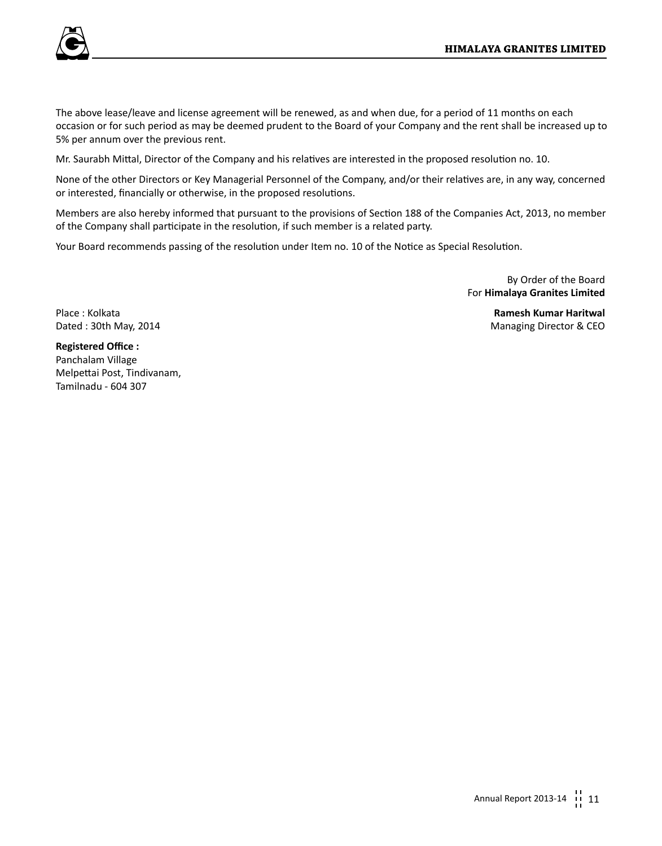

The above lease/leave and license agreement will be renewed, as and when due, for a period of 11 months on each occasion or for such period as may be deemed prudent to the Board of your Company and the rent shall be increased up to 5% per annum over the previous rent.

Mr. Saurabh Mittal, Director of the Company and his relatives are interested in the proposed resolution no. 10.

None of the other Directors or Key Managerial Personnel of the Company, and/or their relatives are, in any way, concerned or interested, financially or otherwise, in the proposed resolutions.

Members are also hereby informed that pursuant to the provisions of Section 188 of the Companies Act, 2013, no member of the Company shall participate in the resolution, if such member is a related party.

Your Board recommends passing of the resolution under Item no. 10 of the Notice as Special Resolution.

By Order of the Board For **Himalaya Granites Limited**

Place : Kolkata **Ramesh Kumar Haritwal** Dated : 30th May, 2014 Managing Director & CEO

**Registered Office :** Panchalam Village Melpettai Post, Tindivanam, Tamilnadu - 604 307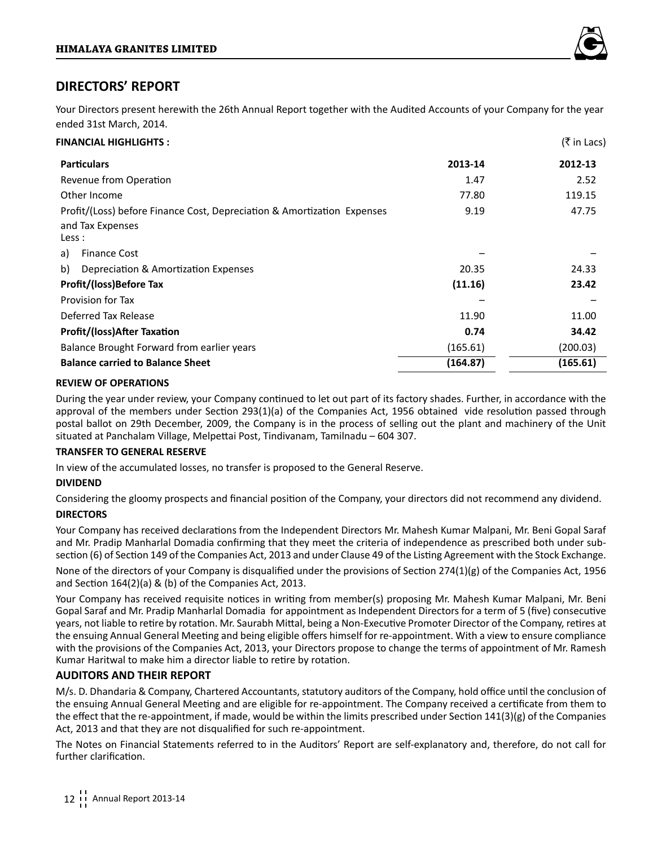

# **DIRECTORS' REPORT**

Your Directors present herewith the 26th Annual Report together with the Audited Accounts of your Company for the year ended 31st March, 2014.

| FINANCIAL HIGHLIGHTS :                                                  |          | (₹ in Lacs) |
|-------------------------------------------------------------------------|----------|-------------|
| <b>Particulars</b>                                                      | 2013-14  | 2012-13     |
| Revenue from Operation                                                  | 1.47     | 2.52        |
| Other Income                                                            | 77.80    | 119.15      |
| Profit/(Loss) before Finance Cost, Depreciation & Amortization Expenses | 9.19     | 47.75       |
| and Tax Expenses<br>Less :                                              |          |             |
| <b>Finance Cost</b><br>a)                                               |          |             |
| b)<br>Depreciation & Amortization Expenses                              | 20.35    | 24.33       |
| Profit/(loss)Before Tax                                                 | (11.16)  | 23.42       |
| Provision for Tax                                                       |          |             |
| Deferred Tax Release                                                    | 11.90    | 11.00       |
| <b>Profit/(loss)After Taxation</b>                                      | 0.74     | 34.42       |
| Balance Brought Forward from earlier years                              | (165.61) | (200.03)    |
| <b>Balance carried to Balance Sheet</b>                                 | (164.87) | (165.61)    |

#### **REVIEW OF OPERATIONS**

During the year under review, your Company continued to let out part of its factory shades. Further, in accordance with the approval of the members under Section 293(1)(a) of the Companies Act, 1956 obtained vide resolution passed through postal ballot on 29th December, 2009, the Company is in the process of selling out the plant and machinery of the Unit situated at Panchalam Village, Melpettai Post, Tindivanam, Tamilnadu – 604 307.

#### **TRANSFER TO GENERAL RESERVE**

In view of the accumulated losses, no transfer is proposed to the General Reserve.

#### **DIVIDEND**

Considering the gloomy prospects and financial position of the Company, your directors did not recommend any dividend.

#### **DIRECTORS**

Your Company has received declarations from the Independent Directors Mr. Mahesh Kumar Malpani, Mr. Beni Gopal Saraf and Mr. Pradip Manharlal Domadia confirming that they meet the criteria of independence as prescribed both under subsection (6) of Section 149 of the Companies Act, 2013 and under Clause 49 of the Listing Agreement with the Stock Exchange.

None of the directors of your Company is disqualified under the provisions of Section 274(1)(g) of the Companies Act, 1956 and Section 164(2)(a) & (b) of the Companies Act, 2013.

Your Company has received requisite notices in writing from member(s) proposing Mr. Mahesh Kumar Malpani, Mr. Beni Gopal Saraf and Mr. Pradip Manharlal Domadia for appointment as Independent Directors for a term of 5 (five) consecutive years, not liable to retire by rotation. Mr. Saurabh Mittal, being a Non-Executive Promoter Director of the Company, retires at the ensuing Annual General Meeting and being eligible offers himself for re-appointment. With a view to ensure compliance with the provisions of the Companies Act, 2013, your Directors propose to change the terms of appointment of Mr. Ramesh Kumar Haritwal to make him a director liable to retire by rotation.

#### **AUDITORS AND THEIR REPORT**

M/s. D. Dhandaria & Company, Chartered Accountants, statutory auditors of the Company, hold office until the conclusion of the ensuing Annual General Meeting and are eligible for re-appointment. The Company received a certificate from them to the effect that the re-appointment, if made, would be within the limits prescribed under Section  $141(3)(g)$  of the Companies Act, 2013 and that they are not disqualified for such re-appointment.

The Notes on Financial Statements referred to in the Auditors' Report are self-explanatory and, therefore, do not call for further clarification.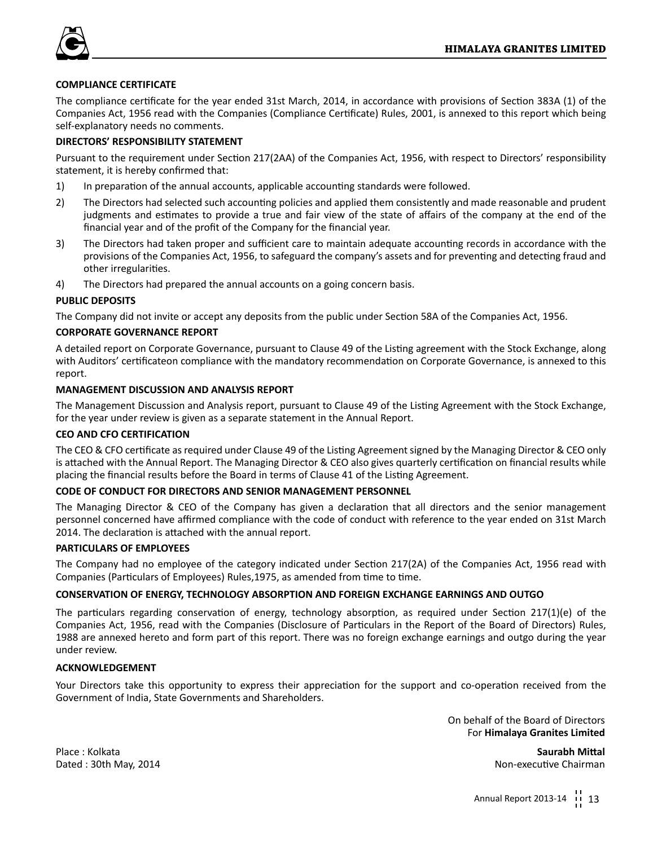

#### **COMPLIANCE CERTIFICATE**

The compliance certificate for the year ended 31st March, 2014, in accordance with provisions of Section 383A (1) of the Companies Act, 1956 read with the Companies (Compliance Certificate) Rules, 2001, is annexed to this report which being self-explanatory needs no comments.

#### **DIRECTORS' RESPONSIBILITY STATEMENT**

Pursuant to the requirement under Section 217(2AA) of the Companies Act, 1956, with respect to Directors' responsibility statement, it is hereby confirmed that:

- 1) In preparation of the annual accounts, applicable accounting standards were followed.
- 2) The Directors had selected such accounting policies and applied them consistently and made reasonable and prudent judgments and estimates to provide a true and fair view of the state of affairs of the company at the end of the financial year and of the profit of the Company for the financial year.
- 3) The Directors had taken proper and sufficient care to maintain adequate accounting records in accordance with the provisions of the Companies Act, 1956, to safeguard the company's assets and for preventing and detecting fraud and other irregularities.
- 4) The Directors had prepared the annual accounts on a going concern basis.

#### **PUBLIC DEPOSITS**

The Company did not invite or accept any deposits from the public under Section 58A of the Companies Act, 1956.

#### **CORPORATE GOVERNANCE REPORT**

A detailed report on Corporate Governance, pursuant to Clause 49 of the Listing agreement with the Stock Exchange, along with Auditors' certificateon compliance with the mandatory recommendation on Corporate Governance, is annexed to this report.

#### **MANAGEMENT DISCUSSION AND ANALYSIS REPORT**

The Management Discussion and Analysis report, pursuant to Clause 49 of the Listing Agreement with the Stock Exchange, for the year under review is given as a separate statement in the Annual Report.

#### **CEO AND CFO CERTIFICATION**

The CEO & CFO certificate as required under Clause 49 of the Listing Agreement signed by the Managing Director & CEO only is attached with the Annual Report. The Managing Director & CEO also gives quarterly certification on financial results while placing the financial results before the Board in terms of Clause 41 of the Listing Agreement.

#### **CODE OF CONDUCT FOR DIRECTORS AND SENIOR MANAGEMENT PERSONNEL**

The Managing Director & CEO of the Company has given a declaration that all directors and the senior management personnel concerned have affirmed compliance with the code of conduct with reference to the year ended on 31st March 2014. The declaration is attached with the annual report.

#### **PARTICULARS OF EMPLOYEES**

The Company had no employee of the category indicated under Section 217(2A) of the Companies Act, 1956 read with Companies (Particulars of Employees) Rules,1975, as amended from time to time.

#### **CONSERVATION OF ENERGY, TECHNOLOGY ABSORPTION AND FOREIGN EXCHANGE EARNINGS AND OUTGO**

The particulars regarding conservation of energy, technology absorption, as required under Section 217(1)(e) of the Companies Act, 1956, read with the Companies (Disclosure of Particulars in the Report of the Board of Directors) Rules, 1988 are annexed hereto and form part of this report. There was no foreign exchange earnings and outgo during the year under review.

### **ACKNOWLEDGEMENT**

Your Directors take this opportunity to express their appreciation for the support and co-operation received from the Government of India, State Governments and Shareholders.

> On behalf of the Board of Directors For **Himalaya Granites Limited**

Place : Kolkata **Saurabh MiƩal**

Dated : 30th May, 2014 Non-executive Chairman Non-executive Chairman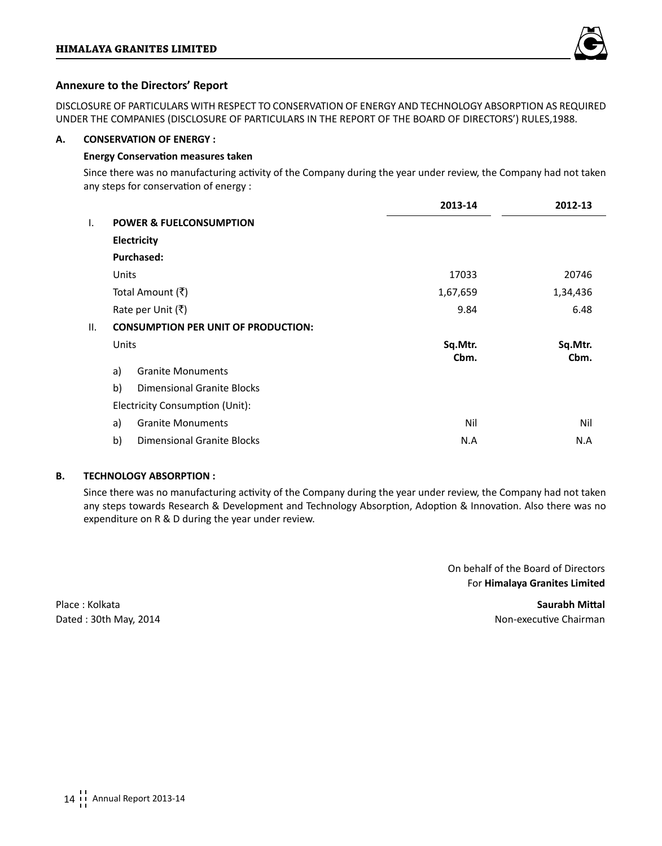

#### **Annexure to the Directors' Report**

DISCLOSURE OF PARTICULARS WITH RESPECT TO CONSERVATION OF ENERGY AND TECHNOLOGY ABSORPTION AS REQUIRED UNDER THE COMPANIES (DISCLOSURE OF PARTICULARS IN THE REPORT OF THE BOARD OF DIRECTORS') RULES,1988.

#### **A. CONSERVATION OF ENERGY :**

#### **Energy ConservaƟon measures taken**

Since there was no manufacturing activity of the Company during the year under review, the Company had not taken any steps for conservation of energy :

|     |       |                                            | 2013-14         | 2012-13         |
|-----|-------|--------------------------------------------|-----------------|-----------------|
| I.  |       | <b>POWER &amp; FUELCONSUMPTION</b>         |                 |                 |
|     |       | <b>Electricity</b>                         |                 |                 |
|     |       | <b>Purchased:</b>                          |                 |                 |
|     | Units |                                            | 17033           | 20746           |
|     |       | Total Amount (₹)                           | 1,67,659        | 1,34,436        |
|     |       | Rate per Unit (₹)                          | 9.84            | 6.48            |
| II. |       | <b>CONSUMPTION PER UNIT OF PRODUCTION:</b> |                 |                 |
|     | Units |                                            | Sq.Mtr.<br>Cbm. | Sq.Mtr.<br>Cbm. |
|     | a)    | <b>Granite Monuments</b>                   |                 |                 |
|     | b)    | Dimensional Granite Blocks                 |                 |                 |
|     |       | Electricity Consumption (Unit):            |                 |                 |
|     | a)    | <b>Granite Monuments</b>                   | Nil             | Nil             |
|     | b)    | <b>Dimensional Granite Blocks</b>          | N.A             | N.A             |
|     |       |                                            |                 |                 |

#### **B. TECHNOLOGY ABSORPTION :**

Since there was no manufacturing activity of the Company during the year under review, the Company had not taken any steps towards Research & Development and Technology Absorption, Adoption & Innovation. Also there was no expenditure on R & D during the year under review.

> On behalf of the Board of Directors For **Himalaya Granites Limited**

Place : Kolkata **Saurabh MiƩal** Dated : 30th May, 2014 Non-executive Chairman Non-executive Chairman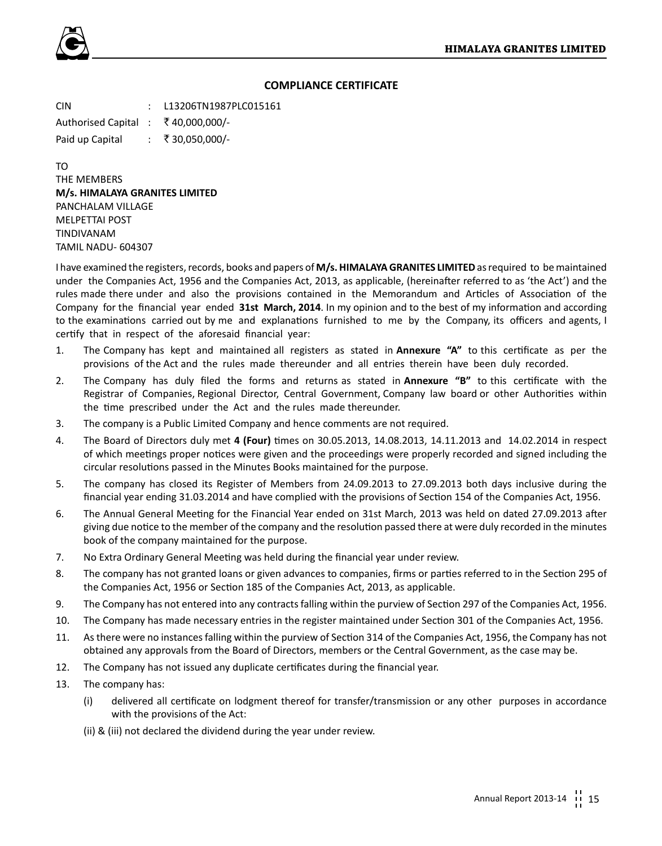

### **COMPLIANCE CERTIFICATE**

CIN : L13206TN1987PLC015161 Authorised Capital : ₹40,000,000/-Paid up Capital : ₹30,050,000/-

TO THE MEMBERS **M/s. HIMALAYA GRANITES LIMITED** PANCHALAM VILLAGE MELPETTAI POST TINDIVANAM TAMIL NADU- 604307

I have examined the registers, records, books and papers of **M/s. HIMALAYA GRANITES LIMITED** as required to be maintained under the Companies Act, 1956 and the Companies Act, 2013, as applicable, (hereinafter referred to as 'the Act') and the rules made there under and also the provisions contained in the Memorandum and Articles of Association of the Company for the financial year ended 31st March, 2014. In my opinion and to the best of my information and according to the examinations carried out by me and explanations furnished to me by the Company, its officers and agents, I certify that in respect of the aforesaid financial year:

- 1. The Company has kept and maintained all registers as stated in **Annexure "A"** to this certificate as per the provisions of the Act and the rules made thereunder and all entries therein have been duly recorded.
- 2. The Company has duly filed the forms and returns as stated in **Annexure "B"** to this certificate with the Registrar of Companies, Regional Director, Central Government, Company law board or other Authorities within the time prescribed under the Act and the rules made thereunder.
- 3. The company is a Public Limited Company and hence comments are not required.
- 4. The Board of Directors duly met **4 (Four)** times on 30.05.2013, 14.08.2013, 14.11.2013 and 14.02.2014 in respect of which meetings proper notices were given and the proceedings were properly recorded and signed including the circular resolutions passed in the Minutes Books maintained for the purpose.
- 5. The company has closed its Register of Members from 24.09.2013 to 27.09.2013 both days inclusive during the financial year ending 31.03.2014 and have complied with the provisions of Section 154 of the Companies Act, 1956.
- 6. The Annual General Meeting for the Financial Year ended on 31st March, 2013 was held on dated 27.09.2013 after giving due notice to the member of the company and the resolution passed there at were duly recorded in the minutes book of the company maintained for the purpose.
- 7. No Extra Ordinary General Meeting was held during the financial year under review.
- 8. The company has not granted loans or given advances to companies, firms or parties referred to in the Section 295 of the Companies Act, 1956 or Section 185 of the Companies Act, 2013, as applicable.
- 9. The Company has not entered into any contracts falling within the purview of Section 297 of the Companies Act, 1956.
- 10. The Company has made necessary entries in the register maintained under Section 301 of the Companies Act, 1956.
- 11. As there were no instances falling within the purview of Section 314 of the Companies Act, 1956, the Company has not obtained any approvals from the Board of Directors, members or the Central Government, as the case may be.
- 12. The Company has not issued any duplicate certificates during the financial year.
- 13. The company has:
	- (i) delivered all certificate on lodgment thereof for transfer/transmission or any other purposes in accordance with the provisions of the Act:
	- (ii) & (iii) not declared the dividend during the year under review.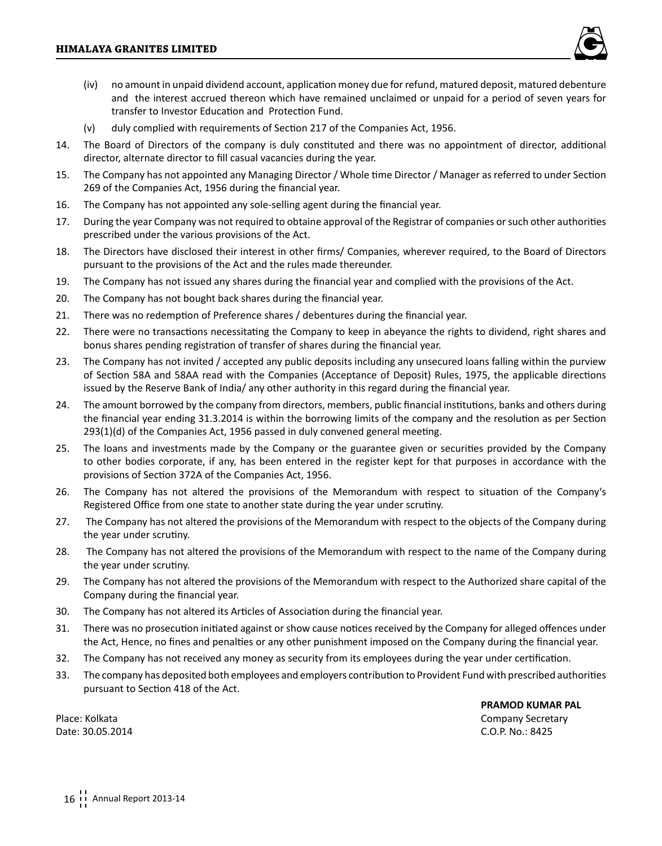

- (iv) no amount in unpaid dividend account, application money due for refund, matured deposit, matured debenture and the interest accrued thereon which have remained unclaimed or unpaid for a period of seven years for transfer to Investor Education and Protection Fund.
- (v) dulv complied with requirements of Section 217 of the Companies Act, 1956.
- 14. The Board of Directors of the company is duly constituted and there was no appointment of director, additional director, alternate director to fill casual vacancies during the year.
- 15. The Company has not appointed any Managing Director / Whole time Director / Manager as referred to under Section 269 of the Companies Act, 1956 during the financial year.
- 16. The Company has not appointed any sole-selling agent during the financial year.
- 17. During the year Company was not required to obtaine approval of the Registrar of companies or such other authorities prescribed under the various provisions of the Act.
- 18. The Directors have disclosed their interest in other firms/ Companies, wherever required, to the Board of Directors pursuant to the provisions of the Act and the rules made thereunder.
- 19. The Company has not issued any shares during the financial year and complied with the provisions of the Act.
- 20. The Company has not bought back shares during the financial year.
- 21. There was no redemption of Preference shares / debentures during the financial year.
- 22. There were no transactions necessitating the Company to keep in abeyance the rights to dividend, right shares and bonus shares pending registration of transfer of shares during the financial year.
- 23. The Company has not invited / accepted any public deposits including any unsecured loans falling within the purview of Section 58A and 58AA read with the Companies (Acceptance of Deposit) Rules, 1975, the applicable directions issued by the Reserve Bank of India/ any other authority in this regard during the financial year.
- 24. The amount borrowed by the company from directors, members, public financial institutions, banks and others during the financial year ending 31.3.2014 is within the borrowing limits of the company and the resolution as per Section  $293(1)(d)$  of the Companies Act, 1956 passed in duly convened general meeting.
- 25. The loans and investments made by the Company or the guarantee given or securities provided by the Company to other bodies corporate, if any, has been entered in the register kept for that purposes in accordance with the provisions of Section 372A of the Companies Act, 1956.
- 26. The Company has not altered the provisions of the Memorandum with respect to situation of the Company's Registered Office from one state to another state during the year under scrutiny.
- 27. The Company has not altered the provisions of the Memorandum with respect to the objects of the Company during the year under scrutiny.
- 28. The Company has not altered the provisions of the Memorandum with respect to the name of the Company during the year under scrutiny.
- 29. The Company has not altered the provisions of the Memorandum with respect to the Authorized share capital of the Company during the financial year.
- 30. The Company has not altered its Articles of Association during the financial year.
- 31. There was no prosecution initiated against or show cause notices received by the Company for alleged offences under the Act, Hence, no fines and penalties or any other punishment imposed on the Company during the financial year.
- 32. The Company has not received any money as security from its employees during the year under certification.
- 33. The company has deposited both employees and employers contribution to Provident Fund with prescribed authorities pursuant to Section 418 of the Act.

**PRAMOD KUMAR PAL** Place: Kolkata Company Secretary

Date: 30.05.2014 C.O.P. No.: 8425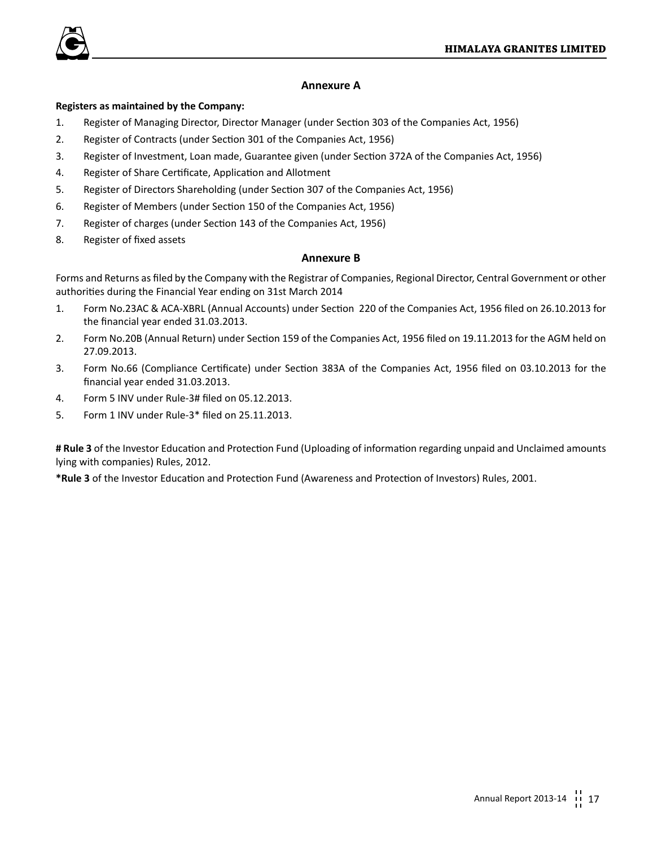

### **Annexure A**

#### **Registers as maintained by the Company:**

- 1. Register of Managing Director, Director Manager (under Section 303 of the Companies Act, 1956)
- 2. Register of Contracts (under Section 301 of the Companies Act, 1956)
- 3. Register of Investment, Loan made, Guarantee given (under Section 372A of the Companies Act, 1956)
- 4. Register of Share Certificate, Application and Allotment
- 5. Register of Directors Shareholding (under Section 307 of the Companies Act, 1956)
- 6. Register of Members (under Section 150 of the Companies Act, 1956)
- 7. Register of charges (under Section 143 of the Companies Act, 1956)
- 8. Register of fixed assets

#### **Annexure B**

Forms and Returns as filed by the Company with the Registrar of Companies, Regional Director, Central Government or other authorities during the Financial Year ending on 31st March 2014

- 1. Form No.23AC & ACA-XBRL (Annual Accounts) under Section 220 of the Companies Act, 1956 filed on 26.10.2013 for the financial year ended 31.03.2013.
- 2. Form No.20B (Annual Return) under Section 159 of the Companies Act, 1956 filed on 19.11.2013 for the AGM held on 27.09.2013.
- 3. Form No.66 (Compliance Certificate) under Section 383A of the Companies Act, 1956 filed on 03.10.2013 for the financial year ended 31.03.2013.
- 4. Form 5 INV under Rule-3# filed on 05.12.2013.
- 5. Form 1 INV under Rule-3\* filed on 25.11.2013.

# Rule 3 of the Investor Education and Protection Fund (Uploading of information regarding unpaid and Unclaimed amounts lying with companies) Rules, 2012.

**\*Rule 3** of the Investor EducaƟon and ProtecƟon Fund (Awareness and ProtecƟon of Investors) Rules, 2001.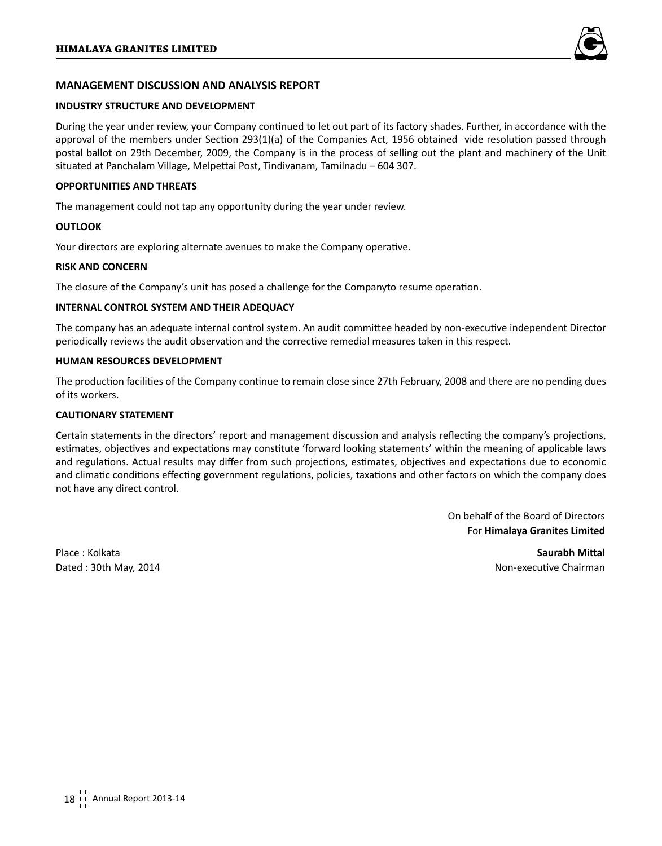

#### **MANAGEMENT DISCUSSION AND ANALYSIS REPORT**

#### **INDUSTRY STRUCTURE AND DEVELOPMENT**

During the year under review, your Company continued to let out part of its factory shades. Further, in accordance with the approval of the members under Section 293(1)(a) of the Companies Act, 1956 obtained vide resolution passed through postal ballot on 29th December, 2009, the Company is in the process of selling out the plant and machinery of the Unit situated at Panchalam Village, Melpettai Post, Tindivanam, Tamilnadu – 604 307.

#### **OPPORTUNITIES AND THREATS**

The management could not tap any opportunity during the year under review.

#### **OUTLOOK**

Your directors are exploring alternate avenues to make the Company operative.

#### **RISK AND CONCERN**

The closure of the Company's unit has posed a challenge for the Companyto resume operation.

#### **INTERNAL CONTROL SYSTEM AND THEIR ADEQUACY**

The company has an adequate internal control system. An audit committee headed by non-executive independent Director periodically reviews the audit observation and the corrective remedial measures taken in this respect.

#### **HUMAN RESOURCES DEVELOPMENT**

The production facilities of the Company continue to remain close since 27th February, 2008 and there are no pending dues of its workers.

#### **CAUTIONARY STATEMENT**

Certain statements in the directors' report and management discussion and analysis reflecting the company's projections, estimates, objectives and expectations may constitute 'forward looking statements' within the meaning of applicable laws and regulations. Actual results may differ from such projections, estimates, objectives and expectations due to economic and climatic conditions effecting government regulations, policies, taxations and other factors on which the company does not have any direct control.

> On behalf of the Board of Directors For **Himalaya Granites Limited**

Place : Kolkata **Saurabh MiƩal** Dated : 30th May, 2014 Non-executive Chairman Non-executive Chairman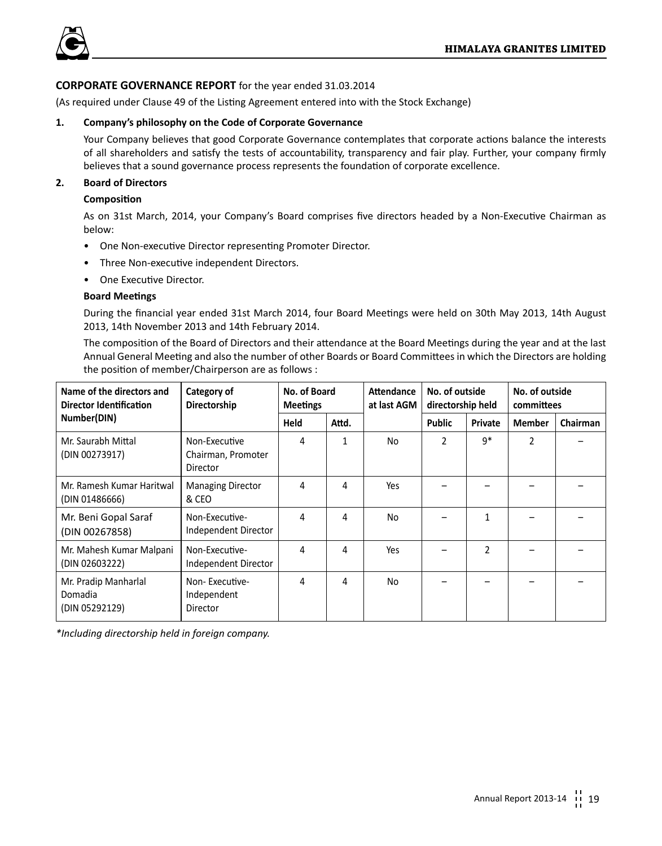

#### **CORPORATE GOVERNANCE REPORT** for the year ended 31.03.2014

(As required under Clause 49 of the Listing Agreement entered into with the Stock Exchange)

#### **1. Company's philosophy on the Code of Corporate Governance**

Your Company believes that good Corporate Governance contemplates that corporate actions balance the interests of all shareholders and satisfy the tests of accountability, transparency and fair play. Further, your company firmly believes that a sound governance process represents the foundation of corporate excellence.

#### **2. Board of Directors**

#### **ComposiƟon**

As on 31st March, 2014, your Company's Board comprises five directors headed by a Non-Executive Chairman as below:

- One Non-executive Director representing Promoter Director.
- Three Non-executive independent Directors.
- One Executive Director.

#### **Board Meetings**

During the financial year ended 31st March 2014, four Board Meetings were held on 30th May 2013, 14th August 2013, 14th November 2013 and 14th February 2014.

The composition of the Board of Directors and their attendance at the Board Meetings during the year and at the last Annual General Meeting and also the number of other Boards or Board Committees in which the Directors are holding the position of member/Chairperson are as follows :

| Name of the directors and<br>Director Identification | No. of Board<br>Category of<br>Directorship<br><b>Meetings</b> |      | Attendance<br>at last AGM | No. of outside<br>directorship held |               | No. of outside<br>committees |                |          |
|------------------------------------------------------|----------------------------------------------------------------|------|---------------------------|-------------------------------------|---------------|------------------------------|----------------|----------|
| Number(DIN)                                          |                                                                | Held | Attd.                     |                                     | <b>Public</b> | Private                      | <b>Member</b>  | Chairman |
| Mr. Saurabh Mittal<br>(DIN 00273917)                 | Non-Executive<br>Chairman, Promoter<br>Director                | 4    | 1                         | No.                                 | 2             | q*                           | $\mathfrak{p}$ |          |
| Mr. Ramesh Kumar Haritwal<br>(DIN 01486666)          | <b>Managing Director</b><br>& CEO                              | 4    | 4                         | Yes                                 |               |                              |                |          |
| Mr. Beni Gopal Saraf<br>(DIN 00267858)               | Non-Executive-<br>Independent Director                         | 4    | 4                         | No.                                 |               | 1                            |                |          |
| Mr. Mahesh Kumar Malpani<br>(DIN 02603222)           | Non-Executive-<br>Independent Director                         | 4    | 4                         | Yes                                 |               | $\mathfrak{p}$               |                |          |
| Mr. Pradip Manharlal<br>Domadia<br>(DIN 05292129)    | Non-Executive-<br>Independent<br>Director                      | 4    | 4                         | No.                                 |               |                              |                |          |

*\*Including directorship held in foreign company.*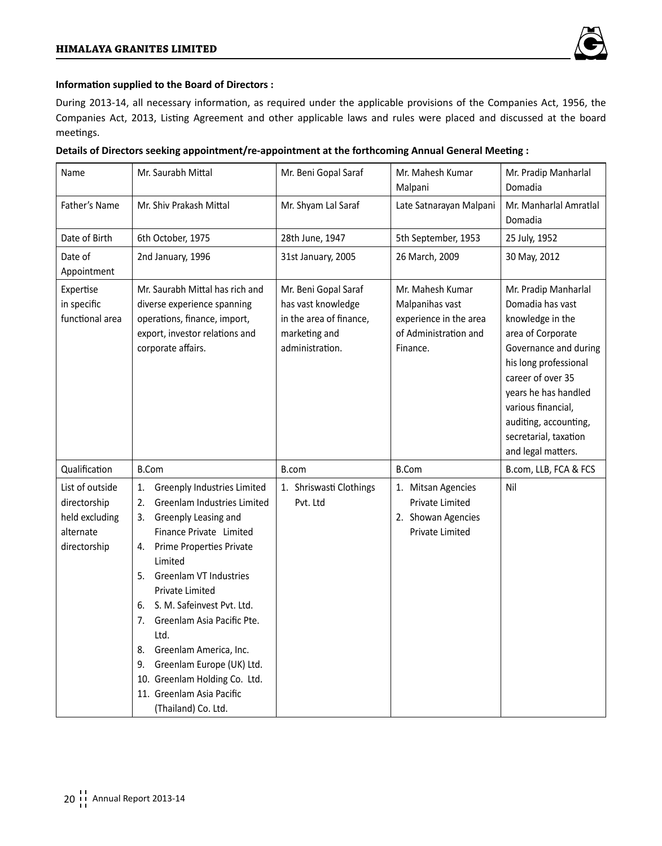

#### **InformaƟon supplied to the Board of Directors :**

During 2013-14, all necessary information, as required under the applicable provisions of the Companies Act, 1956, the Companies Act, 2013, Listing Agreement and other applicable laws and rules were placed and discussed at the board meetings.

| Name                                                                           | Mr. Saurabh Mittal                                                                                                                                                                                                                                                                                                                                                                                                                                                          | Mr. Beni Gopal Saraf                                                                                      | Mr. Mahesh Kumar<br>Malpani                                                                        | Mr. Pradip Manharlal<br>Domadia                                                                                                                                                                                                                                                |
|--------------------------------------------------------------------------------|-----------------------------------------------------------------------------------------------------------------------------------------------------------------------------------------------------------------------------------------------------------------------------------------------------------------------------------------------------------------------------------------------------------------------------------------------------------------------------|-----------------------------------------------------------------------------------------------------------|----------------------------------------------------------------------------------------------------|--------------------------------------------------------------------------------------------------------------------------------------------------------------------------------------------------------------------------------------------------------------------------------|
| Father's Name                                                                  | Mr. Shiv Prakash Mittal                                                                                                                                                                                                                                                                                                                                                                                                                                                     | Mr. Shyam Lal Saraf                                                                                       | Late Satnarayan Malpani                                                                            | Mr. Manharlal Amratlal<br>Domadia                                                                                                                                                                                                                                              |
| Date of Birth                                                                  | 6th October, 1975                                                                                                                                                                                                                                                                                                                                                                                                                                                           | 28th June, 1947                                                                                           | 5th September, 1953                                                                                | 25 July, 1952                                                                                                                                                                                                                                                                  |
| Date of<br>Appointment                                                         | 2nd January, 1996                                                                                                                                                                                                                                                                                                                                                                                                                                                           | 31st January, 2005                                                                                        | 26 March, 2009                                                                                     | 30 May, 2012                                                                                                                                                                                                                                                                   |
| Expertise<br>in specific<br>functional area                                    | Mr. Saurabh Mittal has rich and<br>diverse experience spanning<br>operations, finance, import,<br>export, investor relations and<br>corporate affairs.                                                                                                                                                                                                                                                                                                                      | Mr. Beni Gopal Saraf<br>has vast knowledge<br>in the area of finance,<br>marketing and<br>administration. | Mr. Mahesh Kumar<br>Malpanihas vast<br>experience in the area<br>of Administration and<br>Finance. | Mr. Pradip Manharlal<br>Domadia has vast<br>knowledge in the<br>area of Corporate<br>Governance and during<br>his long professional<br>career of over 35<br>years he has handled<br>various financial,<br>auditing, accounting,<br>secretarial, taxation<br>and legal matters. |
| Qualification                                                                  | <b>B.Com</b>                                                                                                                                                                                                                                                                                                                                                                                                                                                                | B.com                                                                                                     | <b>B.Com</b>                                                                                       | B.com, LLB, FCA & FCS                                                                                                                                                                                                                                                          |
| List of outside<br>directorship<br>held excluding<br>alternate<br>directorship | 1.<br>Greenply Industries Limited<br>Greenlam Industries Limited<br>2.<br>3.<br>Greenply Leasing and<br>Finance Private Limited<br>Prime Properties Private<br>4.<br>Limited<br><b>Greenlam VT Industries</b><br>5.<br>Private Limited<br>S. M. Safeinvest Pvt. Ltd.<br>6.<br>Greenlam Asia Pacific Pte.<br>7.<br>Ltd.<br>8. Greenlam America, Inc.<br>Greenlam Europe (UK) Ltd.<br>9.<br>10. Greenlam Holding Co. Ltd.<br>11. Greenlam Asia Pacific<br>(Thailand) Co. Ltd. | 1. Shriswasti Clothings<br>Pvt. Ltd                                                                       | 1. Mitsan Agencies<br><b>Private Limited</b><br>2. Showan Agencies<br>Private Limited              | Nil                                                                                                                                                                                                                                                                            |

**Details of Directors seeking appointment/re-appointment at the forthcoming Annual General Meeting :**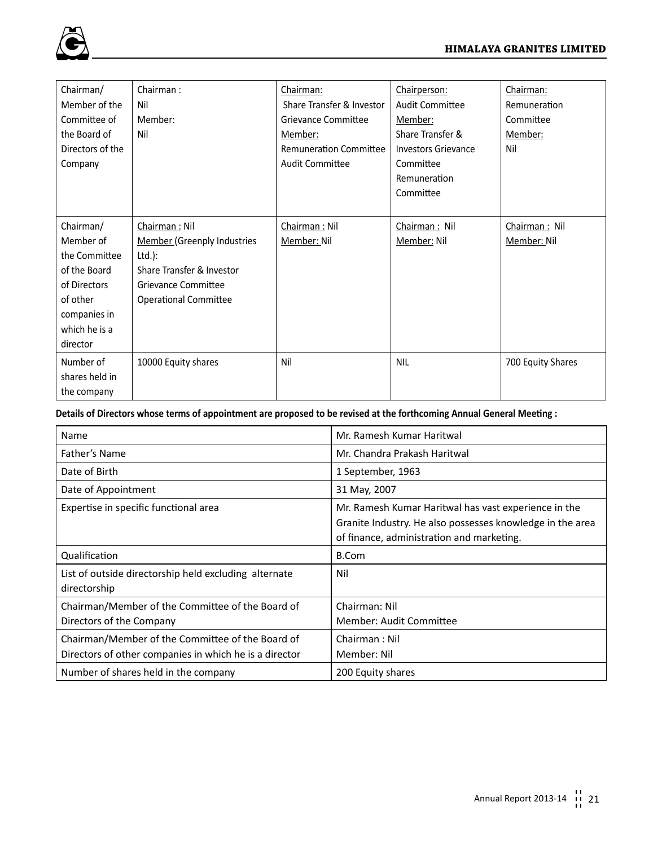



| Chairman/        | Chairman:                          | Chairman:                     | Chairperson:               | Chairman:         |
|------------------|------------------------------------|-------------------------------|----------------------------|-------------------|
| Member of the    | Nil                                | Share Transfer & Investor     | Audit Committee            | Remuneration      |
| Committee of     | Member:                            | <b>Grievance Committee</b>    | Member:                    | Committee         |
| the Board of     | Nil                                | Member:                       | Share Transfer &           | Member:           |
| Directors of the |                                    | <b>Remuneration Committee</b> | <b>Investors Grievance</b> | Nil               |
| Company          |                                    | <b>Audit Committee</b>        | Committee                  |                   |
|                  |                                    |                               | Remuneration               |                   |
|                  |                                    |                               | Committee                  |                   |
|                  |                                    |                               |                            |                   |
| Chairman/        | Chairman: Nil                      | Chairman: Nil                 | Chairman: Nil              | Chairman: Nil     |
| Member of        | <b>Member (Greenply Industries</b> | Member: Nil                   | Member: Nil                | Member: Nil       |
| the Committee    | $Ltd.$ ):                          |                               |                            |                   |
| of the Board     | Share Transfer & Investor          |                               |                            |                   |
| of Directors     | Grievance Committee                |                               |                            |                   |
| of other         | <b>Operational Committee</b>       |                               |                            |                   |
| companies in     |                                    |                               |                            |                   |
| which he is a    |                                    |                               |                            |                   |
| director         |                                    |                               |                            |                   |
| Number of        | 10000 Equity shares                | Nil                           | <b>NIL</b>                 | 700 Equity Shares |
| shares held in   |                                    |                               |                            |                   |
| the company      |                                    |                               |                            |                   |
|                  |                                    |                               |                            |                   |

#### Details of Directors whose terms of appointment are proposed to be revised at the forthcoming Annual General Meeting :

| Name                                                                                                       | Mr. Ramesh Kumar Haritwal                                                                                                                                      |
|------------------------------------------------------------------------------------------------------------|----------------------------------------------------------------------------------------------------------------------------------------------------------------|
| Father's Name                                                                                              | Mr. Chandra Prakash Haritwal                                                                                                                                   |
| Date of Birth                                                                                              | 1 September, 1963                                                                                                                                              |
| Date of Appointment                                                                                        | 31 May, 2007                                                                                                                                                   |
| Expertise in specific functional area                                                                      | Mr. Ramesh Kumar Haritwal has vast experience in the<br>Granite Industry. He also possesses knowledge in the area<br>of finance, administration and marketing. |
| Qualification                                                                                              | B.Com                                                                                                                                                          |
| List of outside directorship held excluding alternate<br>directorship                                      | Nil                                                                                                                                                            |
| Chairman/Member of the Committee of the Board of<br>Directors of the Company                               | Chairman: Nil<br>Member: Audit Committee                                                                                                                       |
| Chairman/Member of the Committee of the Board of<br>Directors of other companies in which he is a director | Chairman: Nil<br>Member: Nil                                                                                                                                   |
| Number of shares held in the company                                                                       | 200 Equity shares                                                                                                                                              |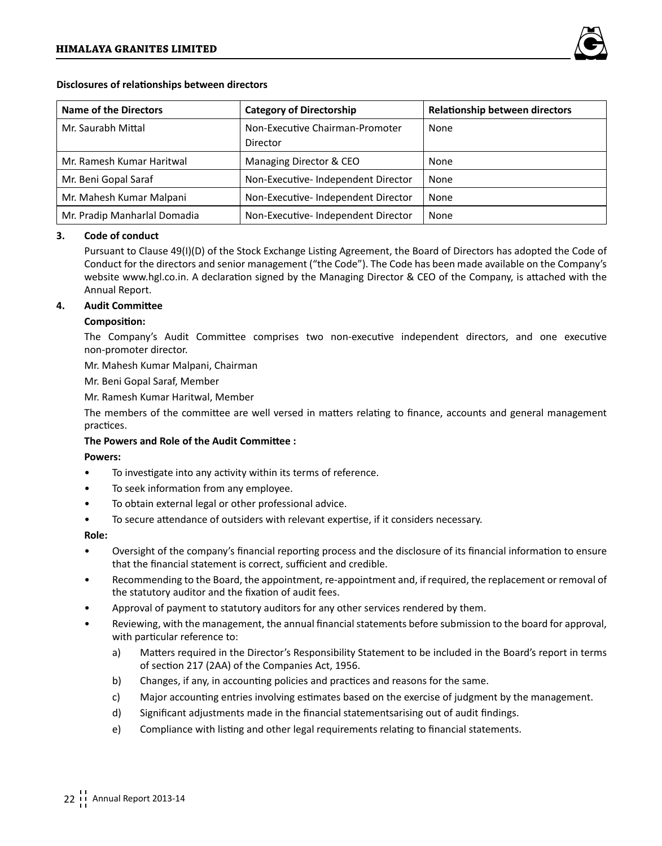

#### **Disclosures of relationships between directors**

| <b>Name of the Directors</b>                          | <b>Category of Directorship</b>    | Relationship between directors |
|-------------------------------------------------------|------------------------------------|--------------------------------|
| Mr. Saurabh Mittal<br>Non-Executive Chairman-Promoter |                                    | None                           |
|                                                       | Director                           |                                |
| Mr. Ramesh Kumar Haritwal                             | Managing Director & CEO            | None                           |
| Mr. Beni Gopal Saraf                                  | Non-Executive-Independent Director | None                           |
| Mr. Mahesh Kumar Malpani                              | Non-Executive-Independent Director | None                           |
| Mr. Pradip Manharlal Domadia                          | Non-Executive-Independent Director | None                           |

#### **3. Code of conduct**

Pursuant to Clause 49(I)(D) of the Stock Exchange Listing Agreement, the Board of Directors has adopted the Code of Conduct for the directors and senior management ("the Code"). The Code has been made available on the Company's website www.hgl.co.in. A declaration signed by the Managing Director & CEO of the Company, is attached with the Annual Report.

#### **4. Audit CommiƩee**

#### **ComposiƟon:**

The Company's Audit Committee comprises two non-executive independent directors, and one executive non-promoter director.

Mr. Mahesh Kumar Malpani, Chairman

Mr. Beni Gopal Saraf, Member

Mr. Ramesh Kumar Haritwal, Member

The members of the committee are well versed in matters relating to finance, accounts and general management practices.

#### **The Powers and Role of the Audit Committee :**

#### **Powers:**

- To investigate into any activity within its terms of reference.
- To seek information from any employee.
- To obtain external legal or other professional advice.
- To secure attendance of outsiders with relevant expertise, if it considers necessary.

#### **Role:**

- Oversight of the company's financial reporting process and the disclosure of its financial information to ensure that the financial statement is correct, sufficient and credible.
- Recommending to the Board, the appointment, re-appointment and, if required, the replacement or removal of the statutory auditor and the fixation of audit fees.
- Approval of payment to statutory auditors for any other services rendered by them.
- Reviewing, with the management, the annual financial statements before submission to the board for approval, with particular reference to:
	- a) Matters required in the Director's Responsibility Statement to be included in the Board's report in terms of section 217 (2AA) of the Companies Act, 1956.
	- b) Changes, if any, in accounting policies and practices and reasons for the same.
	- c) Major accounting entries involving estimates based on the exercise of judgment by the management.
	- d) Significant adjustments made in the financial statementsarising out of audit findings.
	- e) Compliance with listing and other legal requirements relating to financial statements.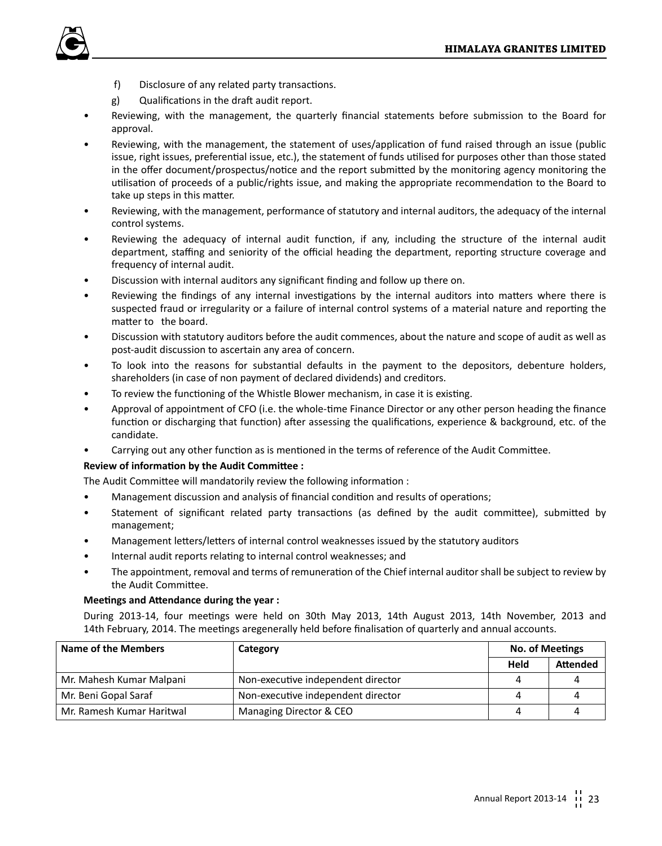

- f) Disclosure of any related party transactions.
- g) Qualifications in the draft audit report.
- Reviewing, with the management, the quarterly financial statements before submission to the Board for approval.
- Reviewing, with the management, the statement of uses/application of fund raised through an issue (public issue, right issues, preferential issue, etc.), the statement of funds utilised for purposes other than those stated in the offer document/prospectus/notice and the report submitted by the monitoring agency monitoring the utilisation of proceeds of a public/rights issue, and making the appropriate recommendation to the Board to take up steps in this matter.
- Reviewing, with the management, performance of statutory and internal auditors, the adequacy of the internal control systems.
- Reviewing the adequacy of internal audit function, if any, including the structure of the internal audit department, staffing and seniority of the official heading the department, reporting structure coverage and frequency of internal audit.
- Discussion with internal auditors any significant finding and follow up there on.
- Reviewing the findings of any internal investigations by the internal auditors into matters where there is suspected fraud or irregularity or a failure of internal control systems of a material nature and reporting the matter to the board.
- Discussion with statutory auditors before the audit commences, about the nature and scope of audit as well as post-audit discussion to ascertain any area of concern.
- To look into the reasons for substantial defaults in the payment to the depositors, debenture holders, shareholders (in case of non payment of declared dividends) and creditors.
- To review the functioning of the Whistle Blower mechanism, in case it is existing.
- Approval of appointment of CFO (i.e. the whole-time Finance Director or any other person heading the finance function or discharging that function) after assessing the qualifications, experience & background, etc. of the candidate.
- Carrying out any other function as is mentioned in the terms of reference of the Audit Committee.

#### **Review of information by the Audit Committee :**

The Audit Committee will mandatorily review the following information :

- Management discussion and analysis of financial condition and results of operations;
- Statement of significant related party transactions (as defined by the audit committee), submitted by management;
- Management letters/letters of internal control weaknesses issued by the statutory auditors
- Internal audit reports relating to internal control weaknesses; and
- The appointment, removal and terms of remuneration of the Chief internal auditor shall be subject to review by the Audit Committee.

#### **Meetings and Attendance during the year :**

During 2013-14, four meetings were held on 30th May 2013, 14th August 2013, 14th November, 2013 and 14th February, 2014. The meetings aregenerally held before finalisation of quarterly and annual accounts.

| Name of the Members       | Category                           | <b>No. of Meetings</b> |                 |
|---------------------------|------------------------------------|------------------------|-----------------|
|                           |                                    | Held                   | <b>Attended</b> |
| Mr. Mahesh Kumar Malpani  | Non-executive independent director |                        |                 |
| Mr. Beni Gopal Saraf      | Non-executive independent director |                        |                 |
| Mr. Ramesh Kumar Haritwal | Managing Director & CEO            |                        |                 |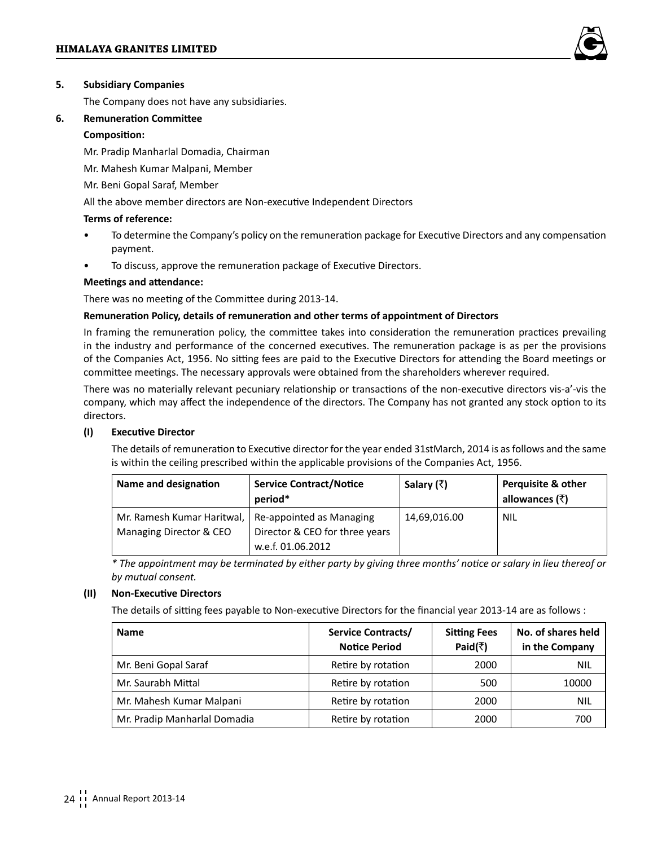#### **5. Subsidiary Companies**

The Company does not have any subsidiaries.

#### **6. RemuneraƟon CommiƩee**

#### **ComposiƟon:**

Mr. Pradip Manharlal Domadia, Chairman

Mr. Mahesh Kumar Malpani, Member

Mr. Beni Gopal Saraf, Member

All the above member directors are Non-executive Independent Directors

#### **Terms of reference:**

- To determine the Company's policy on the remuneration package for Executive Directors and any compensation payment.
- To discuss, approve the remuneration package of Executive Directors.

#### **MeeƟngs and aƩendance:**

There was no meeting of the Committee during 2013-14.

#### **RemuneraƟon Policy, details of remuneraƟon and other terms of appointment of Directors**

In framing the remuneration policy, the committee takes into consideration the remuneration practices prevailing in the industry and performance of the concerned executives. The remuneration package is as per the provisions of the Companies Act, 1956. No sitting fees are paid to the Executive Directors for attending the Board meetings or committee meetings. The necessary approvals were obtained from the shareholders wherever required.

There was no materially relevant pecuniary relationship or transactions of the non-executive directors vis-a'-vis the company, which may affect the independence of the directors. The Company has not granted any stock option to its directors.

#### **(I) ExecuƟve Director**

The details of remuneration to Executive director for the year ended 31stMarch, 2014 is as follows and the same is within the ceiling prescribed within the applicable provisions of the Companies Act, 1956.

| Name and designation       | <b>Service Contract/Notice</b><br>period* | Salary (₹)   | Perquisite & other<br>allowances (रे) |
|----------------------------|-------------------------------------------|--------------|---------------------------------------|
| Mr. Ramesh Kumar Haritwal, | Re-appointed as Managing                  | 14,69,016.00 | NIL                                   |
| Managing Director & CEO    | Director & CEO for three years            |              |                                       |
|                            | w.e.f. 01.06.2012                         |              |                                       |

 *\* The appointment may be terminated by either party by giving three months' noƟce or salary in lieu thereof or by mutual consent.*

#### **(II) Non-ExecuƟve Directors**

The details of sitting fees payable to Non-executive Directors for the financial year 2013-14 are as follows :

| <b>Name</b>                  | Service Contracts/<br><b>Notice Period</b> | <b>Sitting Fees</b><br>Paid(₹) | No. of shares held<br>in the Company |
|------------------------------|--------------------------------------------|--------------------------------|--------------------------------------|
| Mr. Beni Gopal Saraf         | Retire by rotation                         | 2000                           | NIL                                  |
| Mr. Saurabh Mittal           | Retire by rotation                         | 500                            | 10000                                |
| Mr. Mahesh Kumar Malpani     | Retire by rotation                         | 2000                           | NIL                                  |
| Mr. Pradip Manharlal Domadia | Retire by rotation                         | 2000                           | 700                                  |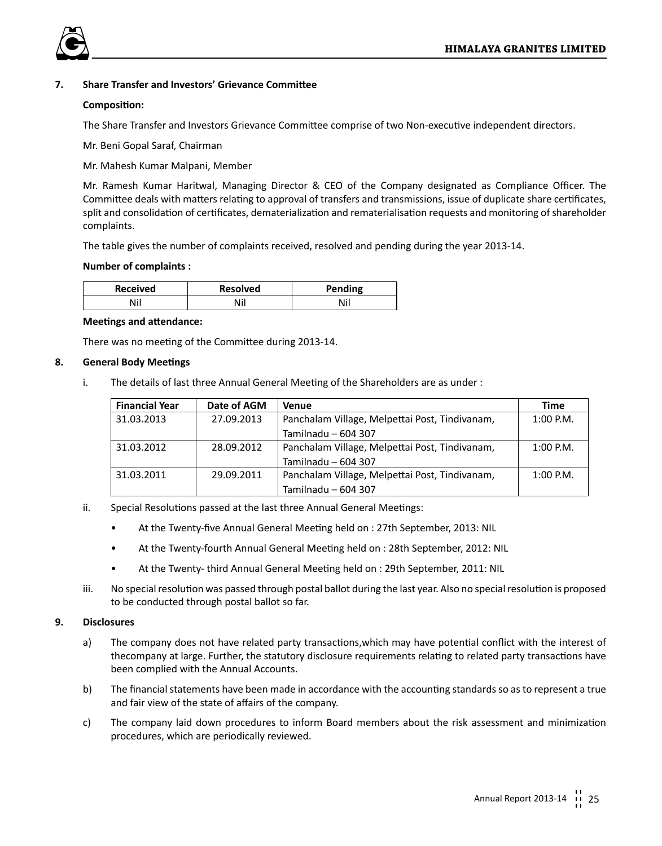

#### **7.** Share Transfer and Investors' Grievance Committee

#### **ComposiƟon:**

The Share Transfer and Investors Grievance Committee comprise of two Non-executive independent directors.

Mr. Beni Gopal Saraf, Chairman

Mr. Mahesh Kumar Malpani, Member

 Mr. Ramesh Kumar Haritwal, Managing Director & CEO of the Company designated as Compliance Officer. The Committee deals with matters relating to approval of transfers and transmissions, issue of duplicate share certificates, split and consolidation of certificates, dematerialization and rematerialisation requests and monitoring of shareholder complaints.

The table gives the number of complaints received, resolved and pending during the year 2013-14.

#### **Number of complaints :**

| <b>Received</b> | <b>Resolved</b> | Pending |
|-----------------|-----------------|---------|
| ۷il             |                 | Nil     |

#### **Meetings and attendance:**

There was no meeting of the Committee during 2013-14.

#### 8. General Body Meetings

i. The details of last three Annual General Meeting of the Shareholders are as under :

| <b>Financial Year</b> | Date of AGM | Venue                                          | Time        |
|-----------------------|-------------|------------------------------------------------|-------------|
| 31.03.2013            | 27.09.2013  | Panchalam Village, Melpettai Post, Tindivanam, | $1:00$ P.M. |
|                       |             | Tamilnadu - 604 307                            |             |
| 31.03.2012            | 28.09.2012  | Panchalam Village, Melpettai Post, Tindivanam, | $1:00$ P.M. |
|                       |             | Tamilnadu - 604 307                            |             |
| 31.03.2011            | 29.09.2011  | Panchalam Village, Melpettai Post, Tindivanam, | $1:00$ P.M. |
|                       |             | Tamilnadu - 604 307                            |             |

- ii. Special Resolutions passed at the last three Annual General Meetings:
	- At the Twenty-five Annual General Meeting held on : 27th September, 2013: NIL
	- At the Twenty-fourth Annual General Meeting held on : 28th September, 2012: NIL
	- At the Twenty-third Annual General Meeting held on : 29th September, 2011: NIL
- iii. No special resolution was passed through postal ballot during the last year. Also no special resolution is proposed to be conducted through postal ballot so far.

#### **9. Disclosures**

- a) The company does not have related party transactions, which may have potential conflict with the interest of thecompany at large. Further, the statutory disclosure requirements relating to related party transactions have been complied with the Annual Accounts.
- b) The financial statements have been made in accordance with the accounting standards so as to represent a true and fair view of the state of affairs of the company.
- c) The company laid down procedures to inform Board members about the risk assessment and minimization procedures, which are periodically reviewed.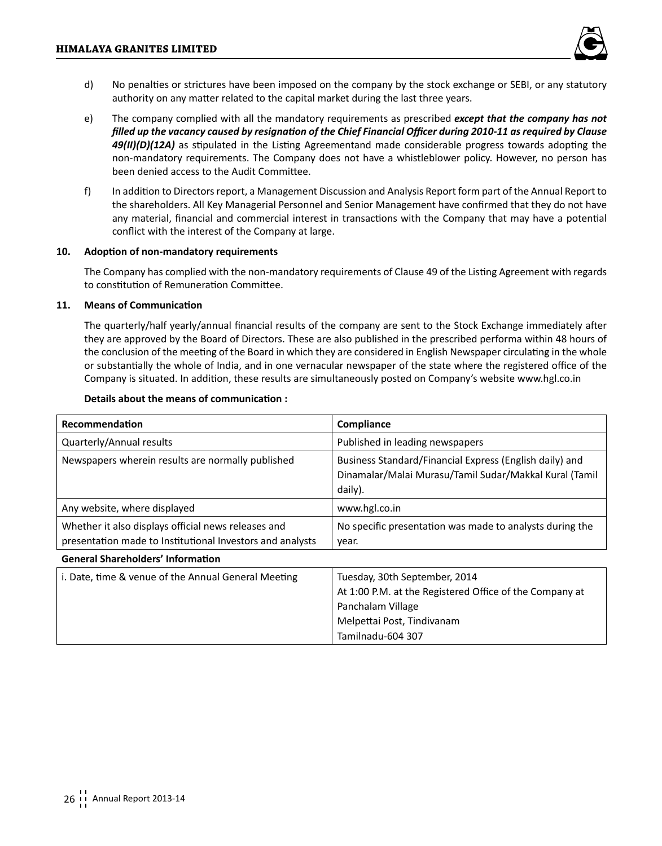

- d) No penalties or strictures have been imposed on the company by the stock exchange or SEBI, or any statutory authority on any matter related to the capital market during the last three years.
- e) The company complied with all the mandatory requirements as prescribed *except that the company has not filled up the vacancy caused by resignaƟon of the Chief Financial Officer during 2010-11 as required by Clause*  49(II)(D)(12A) as stipulated in the Listing Agreementand made considerable progress towards adopting the non-mandatory requirements. The Company does not have a whistleblower policy. However, no person has been denied access to the Audit Committee.
- f) In addition to Directors report, a Management Discussion and Analysis Report form part of the Annual Report to the shareholders. All Key Managerial Personnel and Senior Management have confirmed that they do not have any material, financial and commercial interest in transactions with the Company that may have a potential conflict with the interest of the Company at large.

#### 10. Adoption of non-mandatory requirements

The Company has complied with the non-mandatory requirements of Clause 49 of the Listing Agreement with regards to constitution of Remuneration Committee.

#### 11. Means of Communication

The quarterly/half yearly/annual financial results of the company are sent to the Stock Exchange immediately after they are approved by the Board of Directors. These are also published in the prescribed performa within 48 hours of the conclusion of the meeting of the Board in which they are considered in English Newspaper circulating in the whole or substantially the whole of India, and in one vernacular newspaper of the state where the registered office of the Company is situated. In addition, these results are simultaneously posted on Company's website www.hgl.co.in

#### **Details about the means of communication:**

| Recommendation                                                                                                   | Compliance                                                                                                                                                       |
|------------------------------------------------------------------------------------------------------------------|------------------------------------------------------------------------------------------------------------------------------------------------------------------|
| Quarterly/Annual results                                                                                         | Published in leading newspapers                                                                                                                                  |
| Newspapers wherein results are normally published                                                                | Business Standard/Financial Express (English daily) and<br>Dinamalar/Malai Murasu/Tamil Sudar/Makkal Kural (Tamil<br>daily).                                     |
| Any website, where displayed                                                                                     | www.hgl.co.in                                                                                                                                                    |
| Whether it also displays official news releases and<br>presentation made to Institutional Investors and analysts | No specific presentation was made to analysts during the<br>year.                                                                                                |
| <b>General Shareholders' Information</b>                                                                         |                                                                                                                                                                  |
| i. Date, time & venue of the Annual General Meeting                                                              | Tuesday, 30th September, 2014<br>At 1:00 P.M. at the Registered Office of the Company at<br>Panchalam Village<br>Melpettai Post, Tindivanam<br>Tamilnadu-604 307 |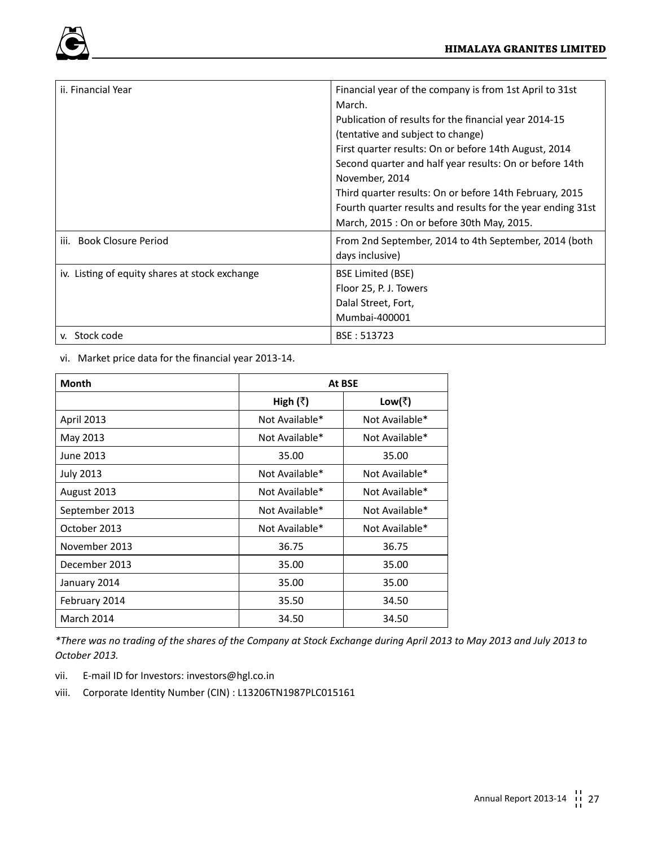

| ii. Financial Year                             | Financial year of the company is from 1st April to 31st<br>March.<br>Publication of results for the financial year 2014-15<br>(tentative and subject to change)<br>First quarter results: On or before 14th August, 2014<br>Second quarter and half year results: On or before 14th<br>November, 2014<br>Third quarter results: On or before 14th February, 2015<br>Fourth quarter results and results for the year ending 31st<br>March, 2015 : On or before 30th May, 2015. |
|------------------------------------------------|-------------------------------------------------------------------------------------------------------------------------------------------------------------------------------------------------------------------------------------------------------------------------------------------------------------------------------------------------------------------------------------------------------------------------------------------------------------------------------|
| <b>Book Closure Period</b><br>iii.             | From 2nd September, 2014 to 4th September, 2014 (both<br>days inclusive)                                                                                                                                                                                                                                                                                                                                                                                                      |
| iv. Listing of equity shares at stock exchange | <b>BSE Limited (BSE)</b><br>Floor 25, P. J. Towers<br>Dalal Street, Fort,<br>Mumbai-400001                                                                                                                                                                                                                                                                                                                                                                                    |
| v. Stock code                                  | BSE: 513723                                                                                                                                                                                                                                                                                                                                                                                                                                                                   |

vi. Market price data for the financial year 2013-14.

| Month             | At BSE         |                |  |
|-------------------|----------------|----------------|--|
|                   | High $(3)$     | Low(₹)         |  |
| April 2013        | Not Available* | Not Available* |  |
| May 2013          | Not Available* | Not Available* |  |
| June 2013         | 35.00          | 35.00          |  |
| <b>July 2013</b>  | Not Available* | Not Available* |  |
| August 2013       | Not Available* | Not Available* |  |
| September 2013    | Not Available* | Not Available* |  |
| October 2013      | Not Available* | Not Available* |  |
| November 2013     | 36.75          | 36.75          |  |
| December 2013     | 35.00          | 35.00          |  |
| January 2014      | 35.00          | 35.00          |  |
| February 2014     | 35.50          | 34.50          |  |
| <b>March 2014</b> | 34.50          | 34.50          |  |

*\*There was no trading of the shares of the Company at Stock Exchange during April 2013 to May 2013 and July 2013 to October 2013.*

- vii. E-mail ID for Investors: investors@hgl.co.in
- viii. Corporate Identity Number (CIN) : L13206TN1987PLC015161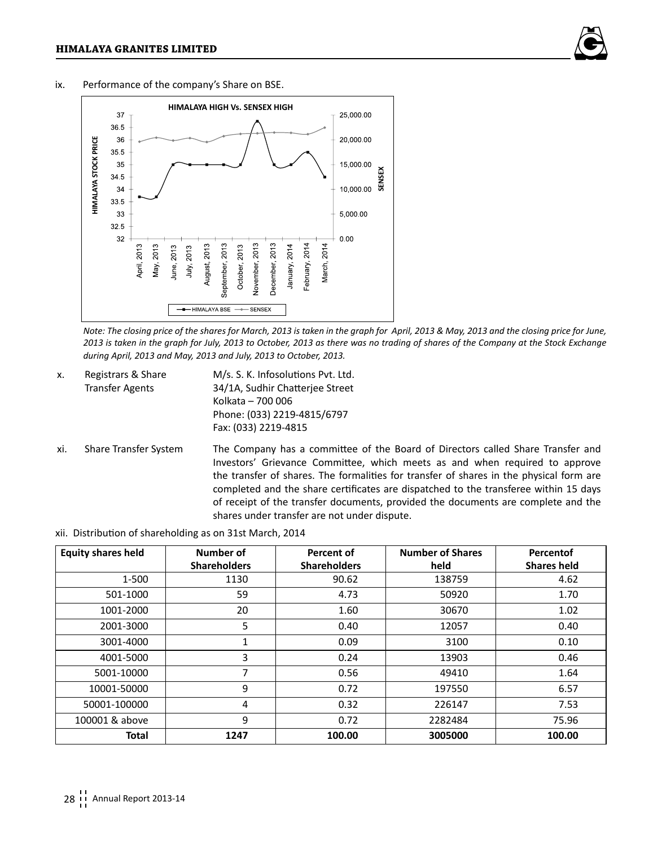

ix. Performance of the company's Share on BSE.



 *Note: The closing price of the shares for March, 2013 is taken in the graph for April, 2013 & May, 2013 and the closing price for June, 2013 is taken in the graph for July, 2013 to October, 2013 as there was no trading of shares of the Company at the Stock Exchange during April, 2013 and May, 2013 and July, 2013 to October, 2013.*

- x. Registrars & Share Transfer Agents M/s. S. K. Infosolutions Pvt. Ltd. 34/1A, Sudhir Chatterjee Street Kolkata – 700 006 Phone: (033) 2219-4815/6797 Fax: (033) 2219-4815
- xi. Share Transfer System The Company has a committee of the Board of Directors called Share Transfer and Investors' Grievance Committee, which meets as and when required to approve the transfer of shares. The formalities for transfer of shares in the physical form are completed and the share certificates are dispatched to the transferee within 15 days of receipt of the transfer documents, provided the documents are complete and the shares under transfer are not under dispute.

xii. Distribution of shareholding as on 31st March, 2014

| <b>Equity shares held</b> | Number of           | Percent of          | <b>Number of Shares</b> | Percentof          |
|---------------------------|---------------------|---------------------|-------------------------|--------------------|
|                           | <b>Shareholders</b> | <b>Shareholders</b> | held                    | <b>Shares held</b> |
| 1-500                     | 1130                | 90.62               | 138759                  | 4.62               |
| 501-1000                  | 59                  | 4.73                | 50920                   | 1.70               |
| 1001-2000                 | 20                  | 1.60                | 30670                   | 1.02               |
| 2001-3000                 | 5                   | 0.40                | 12057                   | 0.40               |
| 3001-4000                 | 1                   | 0.09                | 3100                    | 0.10               |
| 4001-5000                 | 3                   | 0.24                | 13903                   | 0.46               |
| 5001-10000                | 7                   | 0.56                | 49410                   | 1.64               |
| 10001-50000               | 9                   | 0.72                | 197550                  | 6.57               |
| 50001-100000              | 4                   | 0.32                | 226147                  | 7.53               |
| 100001 & above            | 9                   | 0.72                | 2282484                 | 75.96              |
| Total                     | 1247                | 100.00              | 3005000                 | 100.00             |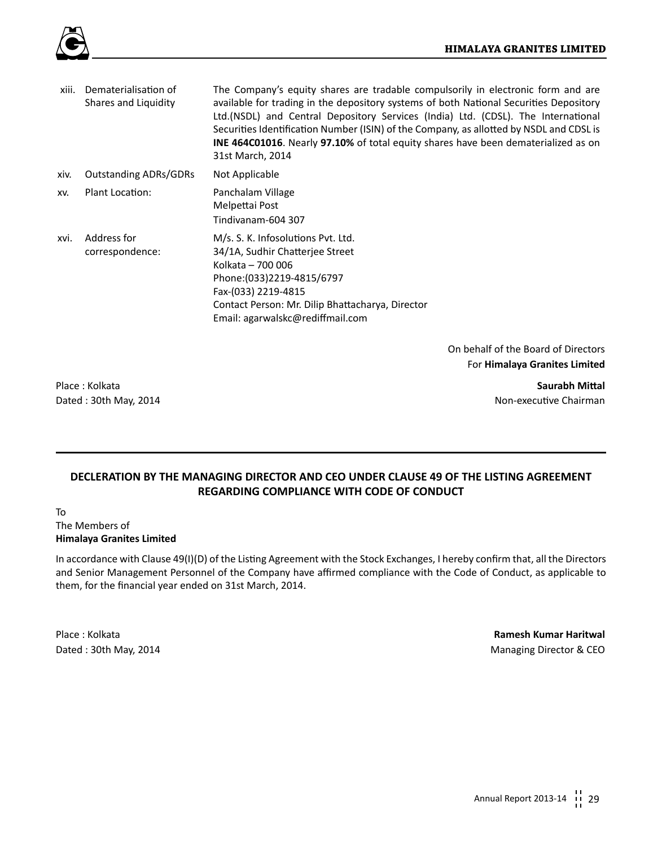

| xiii. | Dematerialisation of<br>Shares and Liquidity | The Company's equity shares are tradable compulsorily in electronic form and are<br>available for trading in the depository systems of both National Securities Depository<br>Ltd.(NSDL) and Central Depository Services (India) Ltd. (CDSL). The International<br>Securities Identification Number (ISIN) of the Company, as allotted by NSDL and CDSL is<br><b>INE 464C01016.</b> Nearly <b>97.10%</b> of total equity shares have been dematerialized as on<br>31st March, 2014 |                                     |
|-------|----------------------------------------------|------------------------------------------------------------------------------------------------------------------------------------------------------------------------------------------------------------------------------------------------------------------------------------------------------------------------------------------------------------------------------------------------------------------------------------------------------------------------------------|-------------------------------------|
| xiv.  | <b>Outstanding ADRs/GDRs</b>                 | Not Applicable                                                                                                                                                                                                                                                                                                                                                                                                                                                                     |                                     |
| XV.   | Plant Location:                              | Panchalam Village<br>Melpettai Post<br>Tindivanam-604 307                                                                                                                                                                                                                                                                                                                                                                                                                          |                                     |
| xvi.  | Address for<br>correspondence:               | M/s. S. K. Infosolutions Pvt. Ltd.<br>34/1A, Sudhir Chatterjee Street<br>Kolkata - 700 006<br>Phone:(033)2219-4815/6797<br>Fax-(033) 2219-4815<br>Contact Person: Mr. Dilip Bhattacharya, Director<br>Email: agarwalskc@rediffmail.com                                                                                                                                                                                                                                             |                                     |
|       |                                              |                                                                                                                                                                                                                                                                                                                                                                                                                                                                                    | On hehalf of the Roard of Directors |

On behalf of the Board of Directors For **Himalaya Granites Limited**

Place : Kolkata **Saurabh MiƩal** Dated : 30th May, 2014 Non-executive Chairman Non-executive Chairman

# **DECLERATION BY THE MANAGING DIRECTOR AND CEO UNDER CLAUSE 49 OF THE LISTING AGREEMENT REGARDING COMPLIANCE WITH CODE OF CONDUCT**

To The Members of **Himalaya Granites Limited**

In accordance with Clause 49(I)(D) of the Listing Agreement with the Stock Exchanges, I hereby confirm that, all the Directors and Senior Management Personnel of the Company have affirmed compliance with the Code of Conduct, as applicable to them, for the financial year ended on 31st March, 2014.

Place : Kolkata **Ramesh Kumar Haritwal** Dated : 30th May, 2014 Managing Director & CEO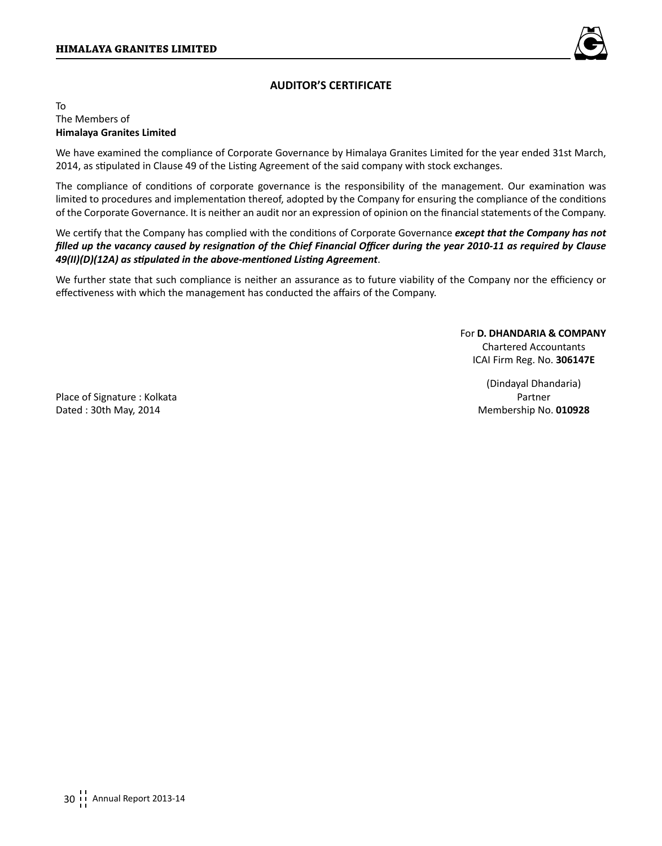

# **AUDITOR'S CERTIFICATE**

#### To The Members of **Himalaya Granites Limited**

We have examined the compliance of Corporate Governance by Himalaya Granites Limited for the year ended 31st March, 2014, as stipulated in Clause 49 of the Listing Agreement of the said company with stock exchanges.

The compliance of conditions of corporate governance is the responsibility of the management. Our examination was limited to procedures and implementation thereof, adopted by the Company for ensuring the compliance of the conditions of the Corporate Governance. It is neither an audit nor an expression of opinion on the financial statements of the Company.

We certify that the Company has complied with the conditions of Corporate Governance *except that the Company has not filled up the vacancy caused by resignaƟon of the Chief Financial Officer during the year 2010-11 as required by Clause 49(II)(D)(12A) as sƟpulated in the above-menƟoned LisƟng Agreement*.

We further state that such compliance is neither an assurance as to future viability of the Company nor the efficiency or effectiveness with which the management has conducted the affairs of the Company.

> For **D. DHANDARIA & COMPANY** Chartered Accountants ICAI Firm Reg. No. **306147E**

> > (Dindayal Dhandaria)

Place of Signature : Kolkata **Partner** Partner is a state of Signature : Kolkata Partner is a state of Partner is a state of  $\mathbb{R}$ Dated : 30th May, 2014 Membership No. **010928**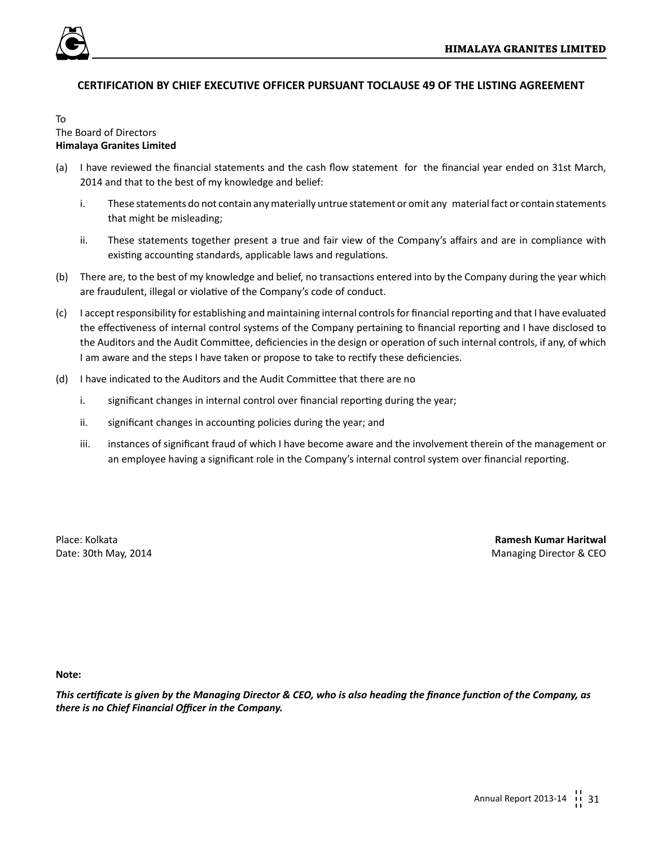

### **CERTIFICATION BY CHIEF EXECUTIVE OFFICER PURSUANT TOCLAUSE 49 OF THE LISTING AGREEMENT**

#### To

The Board of Directors **Himalaya Granites Limited**

- (a) I have reviewed the financial statements and the cash flow statement for the financial year ended on 31st March, 2014 and that to the best of my knowledge and belief:
	- i. These statements do not contain any materially untrue statement or omit any material fact or contain statements that might be misleading;
	- ii. These statements together present a true and fair view of the Company's affairs and are in compliance with existing accounting standards, applicable laws and regulations.
- (b) There are, to the best of my knowledge and belief, no transactions entered into by the Company during the year which are fraudulent, illegal or violative of the Company's code of conduct.
- (c) I accept responsibility for establishing and maintaining internal controls for financial reporting and that I have evaluated the effectiveness of internal control systems of the Company pertaining to financial reporting and I have disclosed to the Auditors and the Audit Committee, deficiencies in the design or operation of such internal controls, if any, of which I am aware and the steps I have taken or propose to take to rectify these deficiencies.
- (d) I have indicated to the Auditors and the Audit Committee that there are no
	- i. significant changes in internal control over financial reporting during the year;
	- ii. significant changes in accounting policies during the year; and
	- iii. instances of significant fraud of which I have become aware and the involvement therein of the management or an employee having a significant role in the Company's internal control system over financial reporting.

Place: Kolkata **Ramesh Kumar Haritwal** Date: 30th May, 2014 Managing Director & CEO

**Note:** 

*This cerƟficate is given by the Managing Director & CEO, who is also heading the finance funcƟon of the Company, as there is no Chief Financial Officer in the Company.*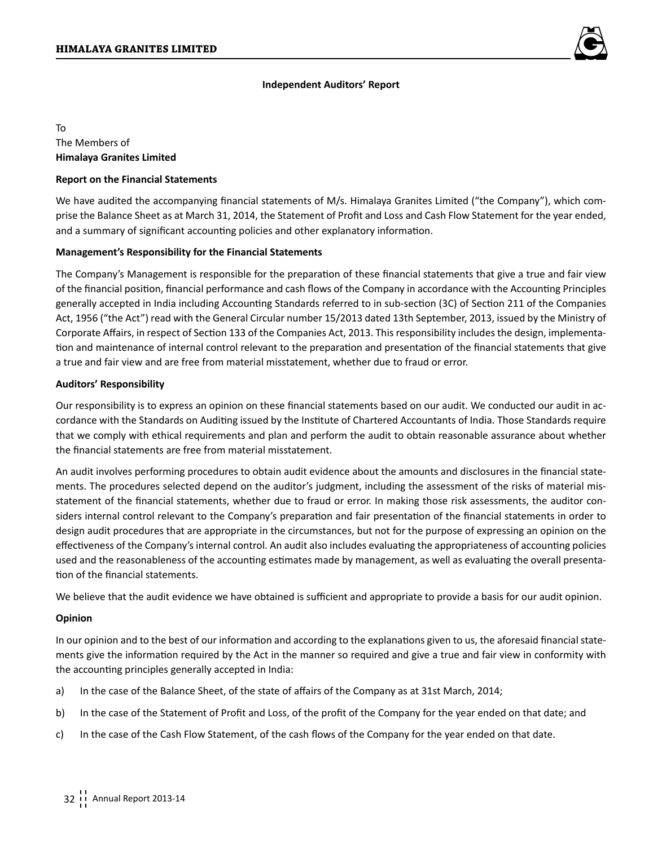

#### **Independent Auditors' Report**

To The Members of **Himalaya Granites Limited**

#### **Report on the Financial Statements**

We have audited the accompanying financial statements of M/s. Himalaya Granites Limited ("the Company"), which comprise the Balance Sheet as at March 31, 2014, the Statement of Profit and Loss and Cash Flow Statement for the year ended, and a summary of significant accounting policies and other explanatory information.

#### **Management's Responsibility for the Financial Statements**

The Company's Management is responsible for the preparation of these financial statements that give a true and fair view of the financial position, financial performance and cash flows of the Company in accordance with the Accounting Principles generally accepted in India including Accounting Standards referred to in sub-section (3C) of Section 211 of the Companies Act, 1956 ("the Act") read with the General Circular number 15/2013 dated 13th September, 2013, issued by the Ministry of Corporate Affairs, in respect of Section 133 of the Companies Act, 2013. This responsibility includes the design, implementation and maintenance of internal control relevant to the preparation and presentation of the financial statements that give a true and fair view and are free from material misstatement, whether due to fraud or error.

#### **Auditors' Responsibility**

Our responsibility is to express an opinion on these financial statements based on our audit. We conducted our audit in accordance with the Standards on Auditing issued by the Institute of Chartered Accountants of India. Those Standards require that we comply with ethical requirements and plan and perform the audit to obtain reasonable assurance about whether the financial statements are free from material misstatement.

An audit involves performing procedures to obtain audit evidence about the amounts and disclosures in the financial statements. The procedures selected depend on the auditor's judgment, including the assessment of the risks of material misstatement of the financial statements, whether due to fraud or error. In making those risk assessments, the auditor considers internal control relevant to the Company's preparation and fair presentation of the financial statements in order to design audit procedures that are appropriate in the circumstances, but not for the purpose of expressing an opinion on the effectiveness of the Company's internal control. An audit also includes evaluating the appropriateness of accounting policies used and the reasonableness of the accounting estimates made by management, as well as evaluating the overall presentation of the financial statements.

We believe that the audit evidence we have obtained is sufficient and appropriate to provide a basis for our audit opinion.

#### **Opinion**

In our opinion and to the best of our information and according to the explanations given to us, the aforesaid financial statements give the information required by the Act in the manner so required and give a true and fair view in conformity with the accounting principles generally accepted in India:

- a) In the case of the Balance Sheet, of the state of affairs of the Company as at 31st March, 2014;
- b) In the case of the Statement of Profit and Loss, of the profit of the Company for the year ended on that date; and
- c) In the case of the Cash Flow Statement, of the cash flows of the Company for the year ended on that date.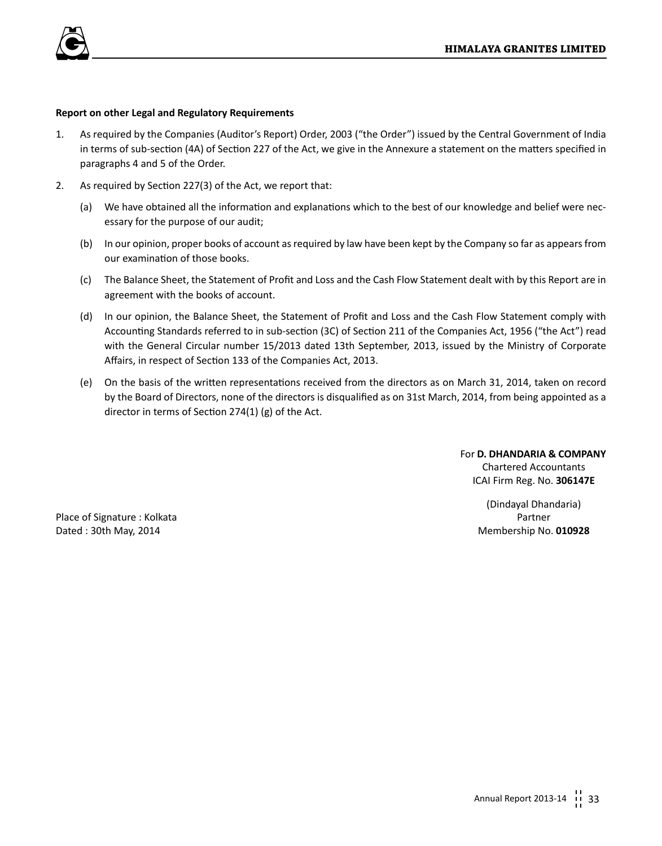

#### **Report on other Legal and Regulatory Requirements**

- 1. As required by the Companies (Auditor's Report) Order, 2003 ("the Order") issued by the Central Government of India in terms of sub-section (4A) of Section 227 of the Act, we give in the Annexure a statement on the matters specified in paragraphs 4 and 5 of the Order.
- 2. As required by Section 227(3) of the Act, we report that:
	- (a) We have obtained all the information and explanations which to the best of our knowledge and belief were necessary for the purpose of our audit;
	- (b) In our opinion, proper books of account as required by law have been kept by the Company so far as appears from our examination of those books.
	- (c) The Balance Sheet, the Statement of Profit and Loss and the Cash Flow Statement dealt with by this Report are in agreement with the books of account.
	- (d) In our opinion, the Balance Sheet, the Statement of Profit and Loss and the Cash Flow Statement comply with Accounting Standards referred to in sub-section (3C) of Section 211 of the Companies Act, 1956 ("the Act") read with the General Circular number 15/2013 dated 13th September, 2013, issued by the Ministry of Corporate Affairs, in respect of Section 133 of the Companies Act, 2013.
	- (e) On the basis of the written representations received from the directors as on March 31, 2014, taken on record by the Board of Directors, none of the directors is disqualified as on 31st March, 2014, from being appointed as a director in terms of Section 274(1) (g) of the Act.

For **D. DHANDARIA & COMPANY**

Chartered Accountants ICAI Firm Reg. No. **306147E**

(Dindayal Dhandaria)

Place of Signature : Kolkata **Partner** Partner is a state of Signature : Kolkata Partner is a state of Partner is a state of  $\mathbb{R}$ Dated : 30th May, 2014 Membership No. **010928**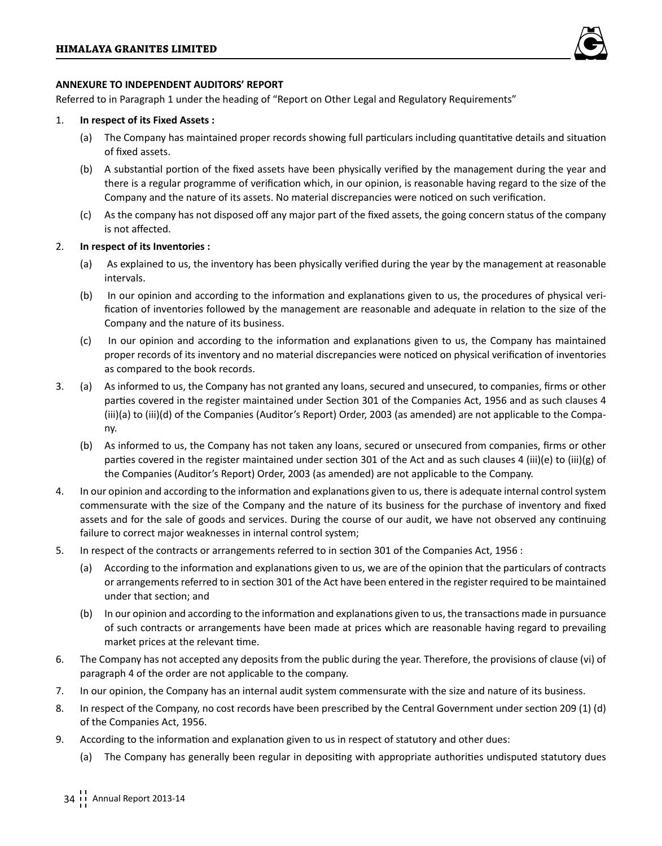

#### **ANNEXURE TO INDEPENDENT AUDITORS' REPORT**

Referred to in Paragraph 1 under the heading of "Report on Other Legal and Regulatory Requirements"

#### 1. **In respect of its Fixed Assets :**

- (a) The Company has maintained proper records showing full particulars including quantitative details and situation of fixed assets.
- (b) A substantial portion of the fixed assets have been physically verified by the management during the year and there is a regular programme of verification which, in our opinion, is reasonable having regard to the size of the Company and the nature of its assets. No material discrepancies were noticed on such verification.
- (c) As the company has not disposed off any major part of the fixed assets, the going concern status of the company is not affected.

#### 2. **In respect of its Inventories :**

- (a) As explained to us, the inventory has been physically verified during the year by the management at reasonable intervals.
- (b) In our opinion and according to the information and explanations given to us, the procedures of physical verification of inventories followed by the management are reasonable and adequate in relation to the size of the Company and the nature of its business.
- (c) In our opinion and according to the information and explanations given to us, the Company has maintained proper records of its inventory and no material discrepancies were noticed on physical verification of inventories as compared to the book records.
- 3. (a) As informed to us, the Company has not granted any loans, secured and unsecured, to companies, firms or other parties covered in the register maintained under Section 301 of the Companies Act, 1956 and as such clauses 4 (iii)(a) to (iii)(d) of the Companies (Auditor's Report) Order, 2003 (as amended) are not applicable to the Company.
	- (b) As informed to us, the Company has not taken any loans, secured or unsecured from companies, firms or other parties covered in the register maintained under section 301 of the Act and as such clauses 4 (iii)(e) to (iii)(g) of the Companies (Auditor's Report) Order, 2003 (as amended) are not applicable to the Company.
- 4. In our opinion and according to the information and explanations given to us, there is adequate internal control system commensurate with the size of the Company and the nature of its business for the purchase of inventory and fixed assets and for the sale of goods and services. During the course of our audit, we have not observed any continuing failure to correct major weaknesses in internal control system;
- 5. In respect of the contracts or arrangements referred to in section 301 of the Companies Act, 1956 :
	- (a) According to the information and explanations given to us, we are of the opinion that the particulars of contracts or arrangements referred to in section 301 of the Act have been entered in the register required to be maintained under that section; and
	- (b) In our opinion and according to the information and explanations given to us, the transactions made in pursuance of such contracts or arrangements have been made at prices which are reasonable having regard to prevailing market prices at the relevant time.
- 6. The Company has not accepted any deposits from the public during the year. Therefore, the provisions of clause (vi) of paragraph 4 of the order are not applicable to the company.
- 7. In our opinion, the Company has an internal audit system commensurate with the size and nature of its business.
- 8. In respect of the Company, no cost records have been prescribed by the Central Government under section 209 (1) (d) of the Companies Act, 1956.
- 9. According to the information and explanation given to us in respect of statutory and other dues:
	- (a) The Company has generally been regular in depositing with appropriate authorities undisputed statutory dues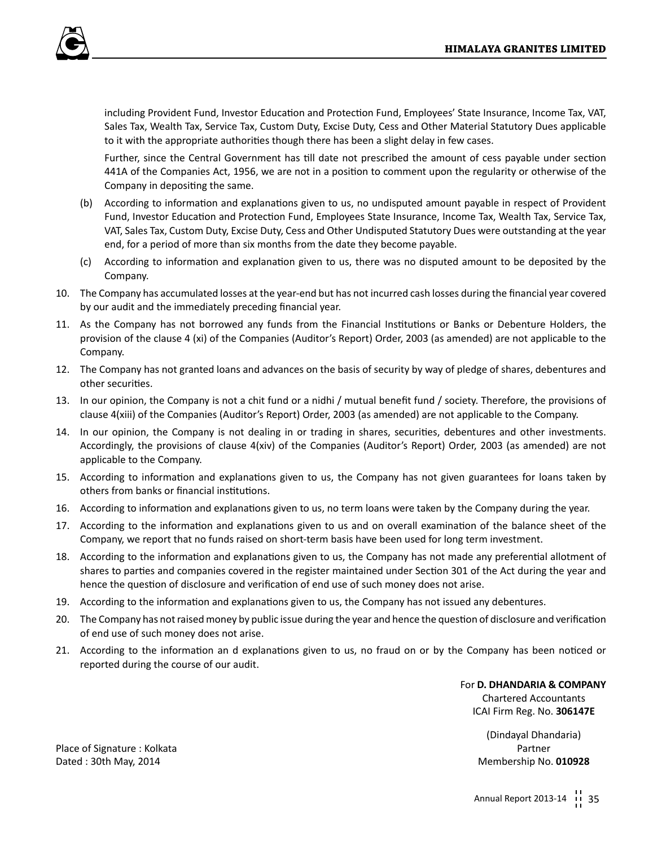

including Provident Fund, Investor Education and Protection Fund, Employees' State Insurance, Income Tax, VAT, Sales Tax, Wealth Tax, Service Tax, Custom Duty, Excise Duty, Cess and Other Material Statutory Dues applicable to it with the appropriate authorities though there has been a slight delay in few cases.

Further, since the Central Government has till date not prescribed the amount of cess payable under section 441A of the Companies Act, 1956, we are not in a position to comment upon the regularity or otherwise of the Company in depositing the same.

- (b) According to information and explanations given to us, no undisputed amount payable in respect of Provident Fund, Investor Education and Protection Fund, Employees State Insurance, Income Tax, Wealth Tax, Service Tax, VAT, Sales Tax, Custom Duty, Excise Duty, Cess and Other Undisputed Statutory Dues were outstanding at the year end, for a period of more than six months from the date they become payable.
- (c) According to information and explanation given to us, there was no disputed amount to be deposited by the Company.
- 10. The Company has accumulated losses at the year-end but has not incurred cash losses during the financial year covered by our audit and the immediately preceding financial year.
- 11. As the Company has not borrowed any funds from the Financial Institutions or Banks or Debenture Holders, the provision of the clause 4 (xi) of the Companies (Auditor's Report) Order, 2003 (as amended) are not applicable to the Company.
- 12. The Company has not granted loans and advances on the basis of security by way of pledge of shares, debentures and other securiƟes.
- 13. In our opinion, the Company is not a chit fund or a nidhi / mutual benefit fund / society. Therefore, the provisions of clause 4(xiii) of the Companies (Auditor's Report) Order, 2003 (as amended) are not applicable to the Company.
- 14. In our opinion, the Company is not dealing in or trading in shares, securities, debentures and other investments. Accordingly, the provisions of clause 4(xiv) of the Companies (Auditor's Report) Order, 2003 (as amended) are not applicable to the Company.
- 15. According to information and explanations given to us, the Company has not given guarantees for loans taken by others from banks or financial institutions.
- 16. According to information and explanations given to us, no term loans were taken by the Company during the year.
- 17. According to the information and explanations given to us and on overall examination of the balance sheet of the Company, we report that no funds raised on short-term basis have been used for long term investment.
- 18. According to the information and explanations given to us, the Company has not made any preferential allotment of shares to parties and companies covered in the register maintained under Section 301 of the Act during the year and hence the question of disclosure and verification of end use of such money does not arise.
- 19. According to the information and explanations given to us, the Company has not issued any debentures.
- 20. The Company has not raised money by public issue during the year and hence the question of disclosure and verification of end use of such money does not arise.
- 21. According to the information an d explanations given to us, no fraud on or by the Company has been noticed or reported during the course of our audit.

For **D. DHANDARIA & COMPANY** Chartered Accountants ICAI Firm Reg. No. **306147E**

(Dindayal Dhandaria)

Place of Signature : Kolkata **Partner** Partner **Partner** Partner **Partner** Partner **Partner** Dated : 30th May, 2014 Membership No. **010928**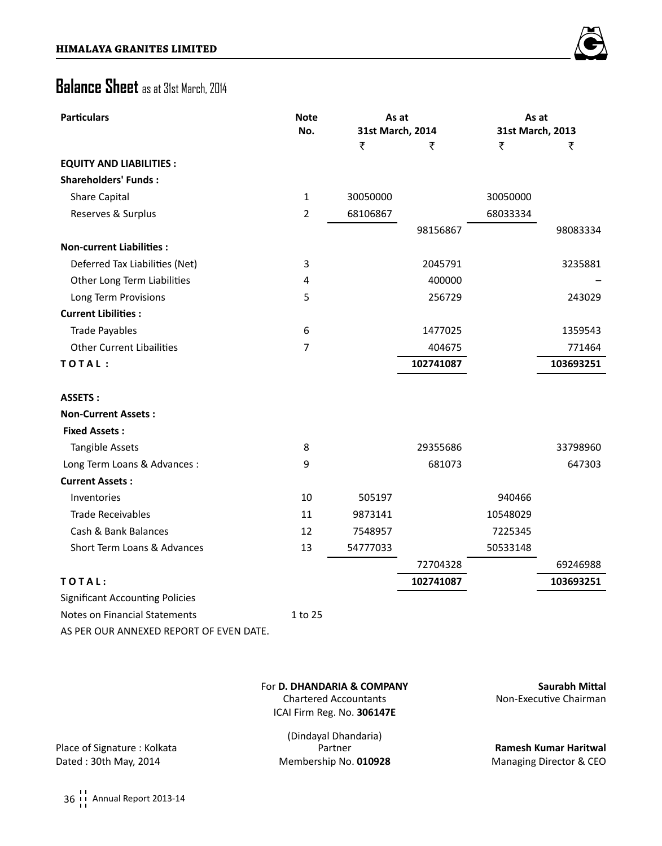# **Balance Sheet** as at 31st March, 2014

| <b>Particulars</b>                      | <b>Note</b> | As at                 |           | As at<br>31st March, 2013 |           |
|-----------------------------------------|-------------|-----------------------|-----------|---------------------------|-----------|
|                                         | No.         | 31st March, 2014<br>₹ | ₹         | ₹                         | ₹         |
| <b>EQUITY AND LIABILITIES:</b>          |             |                       |           |                           |           |
| <b>Shareholders' Funds:</b>             |             |                       |           |                           |           |
| <b>Share Capital</b>                    | 1           | 30050000              |           | 30050000                  |           |
| Reserves & Surplus                      | 2           | 68106867              |           | 68033334                  |           |
|                                         |             |                       | 98156867  |                           | 98083334  |
| <b>Non-current Liabilities:</b>         |             |                       |           |                           |           |
| Deferred Tax Liabilities (Net)          | 3           |                       | 2045791   |                           | 3235881   |
| Other Long Term Liabilities             | 4           |                       | 400000    |                           |           |
| Long Term Provisions                    | 5           |                       | 256729    |                           | 243029    |
| <b>Current Libilities:</b>              |             |                       |           |                           |           |
| <b>Trade Payables</b>                   | 6           |                       | 1477025   |                           | 1359543   |
| <b>Other Current Libailities</b>        | 7           |                       | 404675    |                           | 771464    |
| TOTAL:                                  |             |                       | 102741087 |                           | 103693251 |
| <b>ASSETS:</b>                          |             |                       |           |                           |           |
| <b>Non-Current Assets:</b>              |             |                       |           |                           |           |
| <b>Fixed Assets:</b>                    |             |                       |           |                           |           |
| <b>Tangible Assets</b>                  | 8           |                       | 29355686  |                           | 33798960  |
| Long Term Loans & Advances :            | 9           |                       | 681073    |                           | 647303    |
| <b>Current Assets:</b>                  |             |                       |           |                           |           |
| Inventories                             | 10          | 505197                |           | 940466                    |           |
| <b>Trade Receivables</b>                | 11          | 9873141               |           | 10548029                  |           |
| Cash & Bank Balances                    | 12          | 7548957               |           | 7225345                   |           |
| Short Term Loans & Advances             | 13          | 54777033              |           | 50533148                  |           |
|                                         |             |                       | 72704328  |                           | 69246988  |
| TOTAL:                                  |             |                       | 102741087 |                           | 103693251 |
| <b>Significant Accounting Policies</b>  |             |                       |           |                           |           |
| Notes on Financial Statements           | 1 to 25     |                       |           |                           |           |
| AS PER OUR ANNEXED REPORT OF EVEN DATE. |             |                       |           |                           |           |

Place of Signature : Kolkata Partner **Ramesh Kumar Haritwal** Dated : 30th May, 2014 Membership No. **010928** Managing Director & CEO

(Dindayal Dhandaria)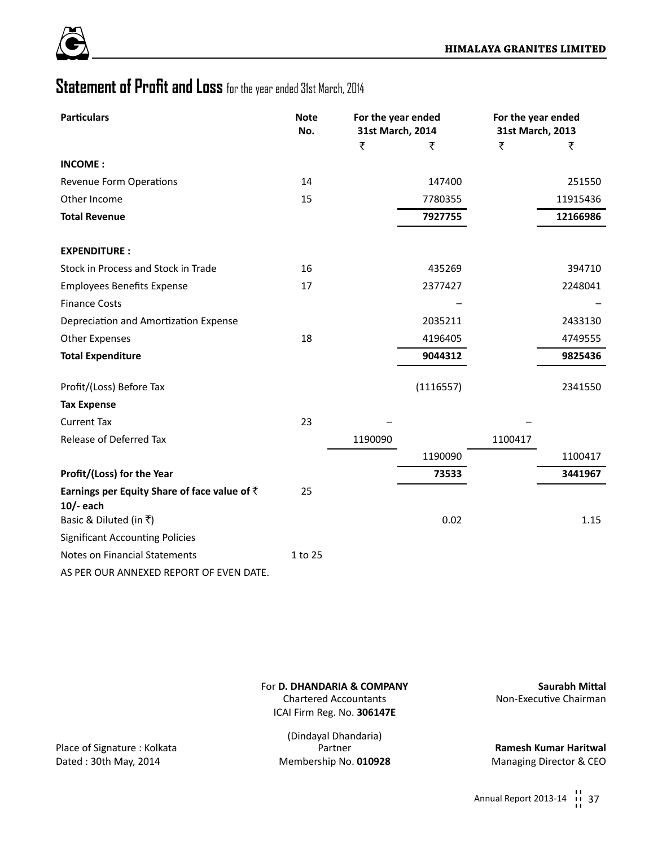

# **Statement of Profit and Loss** for the year ended 31st March, 2014

| <b>Particulars</b>                                                             | <b>Note</b><br>No. | For the year ended<br>31st March, 2014 |           | For the year ended<br>31st March, 2013 |          |
|--------------------------------------------------------------------------------|--------------------|----------------------------------------|-----------|----------------------------------------|----------|
|                                                                                |                    | ₹                                      | ₹         | ₹                                      | ₹        |
| INCOME:                                                                        |                    |                                        |           |                                        |          |
| <b>Revenue Form Operations</b>                                                 | 14                 |                                        | 147400    |                                        | 251550   |
| Other Income                                                                   | 15                 |                                        | 7780355   |                                        | 11915436 |
| <b>Total Revenue</b>                                                           |                    |                                        | 7927755   |                                        | 12166986 |
|                                                                                |                    |                                        |           |                                        |          |
| <b>EXPENDITURE:</b>                                                            |                    |                                        |           |                                        |          |
| Stock in Process and Stock in Trade                                            | 16                 |                                        | 435269    |                                        | 394710   |
| <b>Employees Benefits Expense</b>                                              | 17                 |                                        | 2377427   |                                        | 2248041  |
| <b>Finance Costs</b>                                                           |                    |                                        |           |                                        |          |
| Depreciation and Amortization Expense                                          |                    |                                        | 2035211   |                                        | 2433130  |
| <b>Other Expenses</b>                                                          | 18                 |                                        | 4196405   |                                        | 4749555  |
| <b>Total Expenditure</b>                                                       |                    |                                        | 9044312   |                                        | 9825436  |
| Profit/(Loss) Before Tax                                                       |                    |                                        | (1116557) |                                        | 2341550  |
| <b>Tax Expense</b>                                                             |                    |                                        |           |                                        |          |
| <b>Current Tax</b>                                                             | 23                 |                                        |           |                                        |          |
| Release of Deferred Tax                                                        |                    | 1190090                                |           | 1100417                                |          |
|                                                                                |                    |                                        | 1190090   |                                        | 1100417  |
| Profit/(Loss) for the Year                                                     |                    |                                        | 73533     |                                        | 3441967  |
| Earnings per Equity Share of face value of $\bar{z}$<br>$10/-$ each            | 25                 |                                        | 0.02      |                                        | 1.15     |
| Basic & Diluted (in ₹)                                                         |                    |                                        |           |                                        |          |
| <b>Significant Accounting Policies</b><br><b>Notes on Financial Statements</b> |                    |                                        |           |                                        |          |
| AS PER OUR ANNEXED REPORT OF EVEN DATE.                                        | 1 to 25            |                                        |           |                                        |          |

For **D. DHANDARIA & COMPANY** Saurabh Mittal Chartered Accountants Non-Executive Chairman ICAI Firm Reg. No. **306147E**

Place of Signature : Kolkata Partner **Ramesh Kumar Haritwal** Dated : 30th May, 2014 Membership No. **010928** Managing Director & CEO

(Dindayal Dhandaria)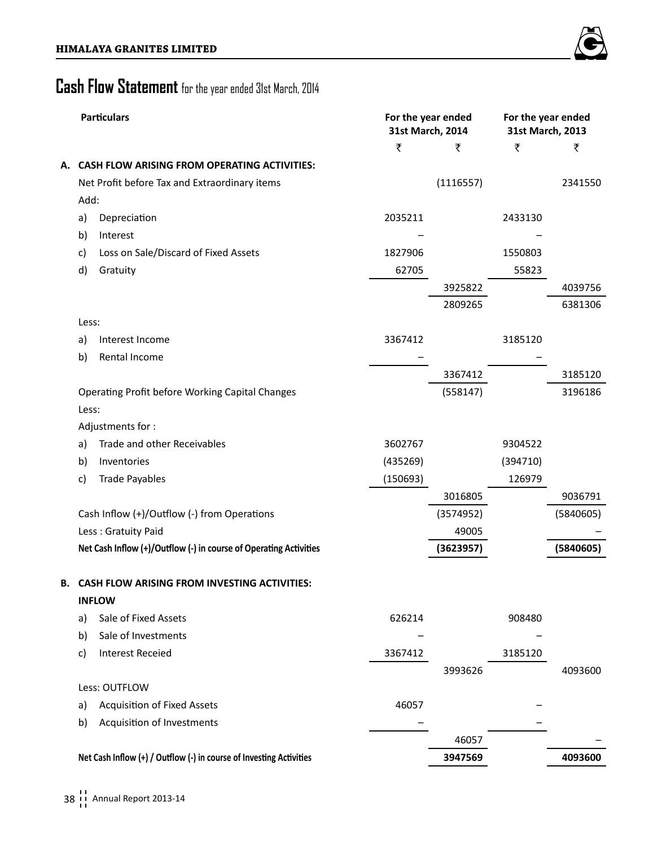# **Cash Flow Statement** for the year ended 31st March, 2014

| <b>Particulars</b> |       |                                                                     | For the year ended<br>31st March, 2014 |           | For the year ended<br>31st March, 2013 |           |  |
|--------------------|-------|---------------------------------------------------------------------|----------------------------------------|-----------|----------------------------------------|-----------|--|
|                    |       |                                                                     | ₹                                      | ₹         | ₹                                      | ₹         |  |
|                    |       | A. CASH FLOW ARISING FROM OPERATING ACTIVITIES:                     |                                        |           |                                        |           |  |
|                    |       | Net Profit before Tax and Extraordinary items                       |                                        | (1116557) |                                        | 2341550   |  |
|                    | Add:  |                                                                     |                                        |           |                                        |           |  |
|                    | a)    | Depreciation                                                        | 2035211                                |           | 2433130                                |           |  |
|                    | b)    | Interest                                                            |                                        |           |                                        |           |  |
|                    | C)    | Loss on Sale/Discard of Fixed Assets                                | 1827906                                |           | 1550803                                |           |  |
|                    | d)    | Gratuity                                                            | 62705                                  |           | 55823                                  |           |  |
|                    |       |                                                                     |                                        | 3925822   |                                        | 4039756   |  |
|                    |       |                                                                     |                                        | 2809265   |                                        | 6381306   |  |
|                    | Less: |                                                                     |                                        |           |                                        |           |  |
|                    | a)    | Interest Income                                                     | 3367412                                |           | 3185120                                |           |  |
|                    | b)    | Rental Income                                                       |                                        |           |                                        |           |  |
|                    |       |                                                                     |                                        | 3367412   |                                        | 3185120   |  |
|                    |       | Operating Profit before Working Capital Changes                     |                                        | (558147)  |                                        | 3196186   |  |
|                    | Less: |                                                                     |                                        |           |                                        |           |  |
|                    |       | Adjustments for:                                                    |                                        |           |                                        |           |  |
|                    | a)    | Trade and other Receivables                                         | 3602767                                |           | 9304522                                |           |  |
|                    | b)    | Inventories                                                         | (435269)                               |           | (394710)                               |           |  |
|                    | C)    | <b>Trade Payables</b>                                               | (150693)                               |           | 126979                                 |           |  |
|                    |       |                                                                     |                                        | 3016805   |                                        | 9036791   |  |
|                    |       | Cash Inflow (+)/Outflow (-) from Operations                         |                                        | (3574952) |                                        | (5840605) |  |
|                    |       | Less: Gratuity Paid                                                 |                                        | 49005     |                                        |           |  |
|                    |       | Net Cash Inflow (+)/Outflow (-) in course of Operating Activities   |                                        | (3623957) |                                        | (5840605) |  |
|                    |       | <b>B. CASH FLOW ARISING FROM INVESTING ACTIVITIES:</b>              |                                        |           |                                        |           |  |
|                    |       | <b>INFLOW</b>                                                       |                                        |           |                                        |           |  |
|                    | a)    | Sale of Fixed Assets                                                | 626214                                 |           | 908480                                 |           |  |
|                    | b)    | Sale of Investments                                                 |                                        |           |                                        |           |  |
|                    | C)    | <b>Interest Receied</b>                                             | 3367412                                |           | 3185120                                |           |  |
|                    |       |                                                                     |                                        | 3993626   |                                        | 4093600   |  |
|                    |       | Less: OUTFLOW                                                       |                                        |           |                                        |           |  |
|                    | a)    | <b>Acquisition of Fixed Assets</b>                                  | 46057                                  |           |                                        |           |  |
|                    | b)    | Acquisition of Investments                                          |                                        |           |                                        |           |  |
|                    |       |                                                                     |                                        | 46057     |                                        |           |  |
|                    |       | Net Cash Inflow (+) / Outflow (-) in course of Investing Activities |                                        | 3947569   |                                        | 4093600   |  |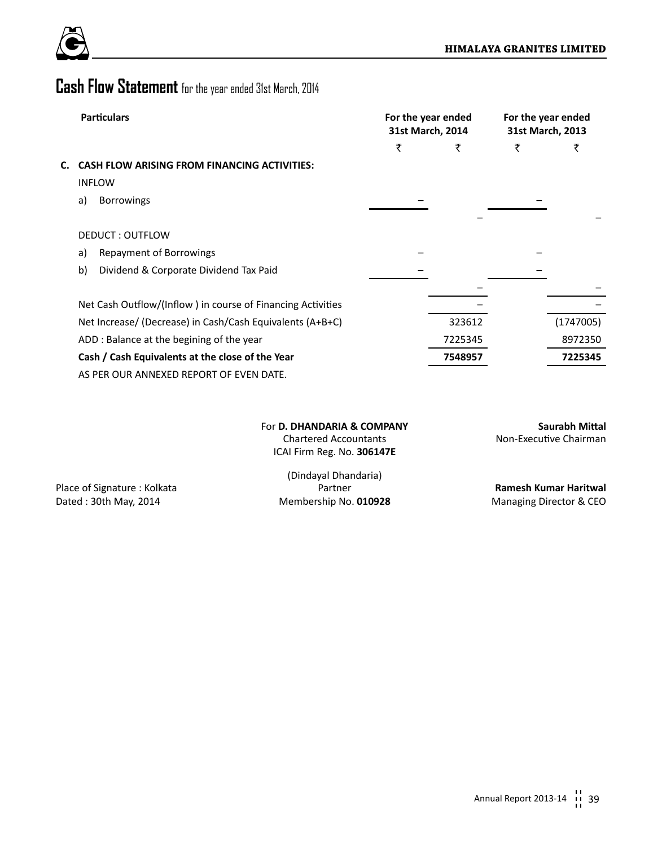

|    | <b>Particulars</b>                                          |   | For the year ended<br>31st March, 2014 | For the year ended<br>31st March, 2013 |           |  |
|----|-------------------------------------------------------------|---|----------------------------------------|----------------------------------------|-----------|--|
|    |                                                             | ₹ | ₹                                      | ₹                                      | ₹         |  |
| C. | <b>CASH FLOW ARISING FROM FINANCING ACTIVITIES:</b>         |   |                                        |                                        |           |  |
|    | <b>INFLOW</b>                                               |   |                                        |                                        |           |  |
|    | <b>Borrowings</b><br>a)                                     |   |                                        |                                        |           |  |
|    |                                                             |   |                                        |                                        |           |  |
|    | DEDUCT: OUTFLOW                                             |   |                                        |                                        |           |  |
|    | <b>Repayment of Borrowings</b><br>a)                        |   |                                        |                                        |           |  |
|    | b)<br>Dividend & Corporate Dividend Tax Paid                |   |                                        |                                        |           |  |
|    |                                                             |   |                                        |                                        |           |  |
|    | Net Cash Outflow/(Inflow) in course of Financing Activities |   |                                        |                                        |           |  |
|    | Net Increase/ (Decrease) in Cash/Cash Equivalents (A+B+C)   |   | 323612                                 |                                        | (1747005) |  |
|    | ADD: Balance at the begining of the year                    |   | 7225345                                |                                        | 8972350   |  |
|    | Cash / Cash Equivalents at the close of the Year            |   | 7548957                                |                                        | 7225345   |  |
|    | AS PER OUR ANNEXED REPORT OF EVEN DATE.                     |   |                                        |                                        |           |  |

#### For **D. DHANDARIA & COMPANY** Saurabh Mittal<br>Chartered Accountants Man-Executive Chairman Chartered Accountants ICAI Firm Reg. No. **306147E**

Place of Signature : Kolkata Partner **Ramesh Kumar Haritwal**

(Dindayal Dhandaria)

**Managing Director & CEO**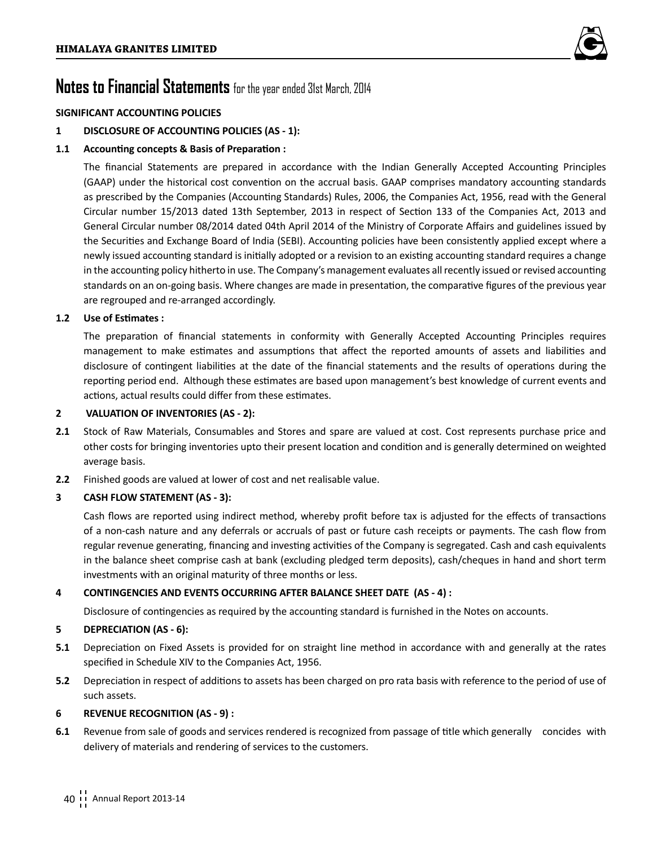

### **SIGNIFICANT ACCOUNTING POLICIES**

### **1 DISCLOSURE OF ACCOUNTING POLICIES (AS - 1):**

#### **1.1 AccounƟng concepts & Basis of PreparaƟon :**

The financial Statements are prepared in accordance with the Indian Generally Accepted Accounting Principles (GAAP) under the historical cost convention on the accrual basis. GAAP comprises mandatory accounting standards as prescribed by the Companies (Accounting Standards) Rules, 2006, the Companies Act, 1956, read with the General Circular number 15/2013 dated 13th September, 2013 in respect of Section 133 of the Companies Act, 2013 and General Circular number 08/2014 dated 04th April 2014 of the Ministry of Corporate Affairs and guidelines issued by the Securities and Exchange Board of India (SEBI). Accounting policies have been consistently applied except where a newly issued accounting standard is initially adopted or a revision to an existing accounting standard requires a change in the accounting policy hitherto in use. The Company's management evaluates all recently issued or revised accounting standards on an on-going basis. Where changes are made in presentation, the comparative figures of the previous year are regrouped and re-arranged accordingly.

# **1.2 Use of EsƟmates :**

The preparation of financial statements in conformity with Generally Accepted Accounting Principles requires management to make estimates and assumptions that affect the reported amounts of assets and liabilities and disclosure of contingent liabilities at the date of the financial statements and the results of operations during the reporting period end. Although these estimates are based upon management's best knowledge of current events and actions, actual results could differ from these estimates.

#### **2 VALUATION OF INVENTORIES (AS - 2):**

- **2.1** Stock of Raw Materials, Consumables and Stores and spare are valued at cost. Cost represents purchase price and other costs for bringing inventories upto their present location and condition and is generally determined on weighted average basis.
- **2.2** Finished goods are valued at lower of cost and net realisable value.

### **3 CASH FLOW STATEMENT (AS - 3):**

Cash flows are reported using indirect method, whereby profit before tax is adjusted for the effects of transactions of a non-cash nature and any deferrals or accruals of past or future cash receipts or payments. The cash flow from regular revenue generating, financing and investing activities of the Company is segregated. Cash and cash equivalents in the balance sheet comprise cash at bank (excluding pledged term deposits), cash/cheques in hand and short term investments with an original maturity of three months or less.

### **4 CONTINGENCIES AND EVENTS OCCURRING AFTER BALANCE SHEET DATE (AS - 4) :**

Disclosure of contingencies as required by the accounting standard is furnished in the Notes on accounts.

#### **5 DEPRECIATION (AS - 6):**

- **5.1** Depreciation on Fixed Assets is provided for on straight line method in accordance with and generally at the rates specified in Schedule XIV to the Companies Act, 1956.
- **5.2** Depreciation in respect of additions to assets has been charged on pro rata basis with reference to the period of use of such assets.

#### **6 REVENUE RECOGNITION (AS - 9) :**

**6.1** Revenue from sale of goods and services rendered is recognized from passage of title which generally concides with delivery of materials and rendering of services to the customers.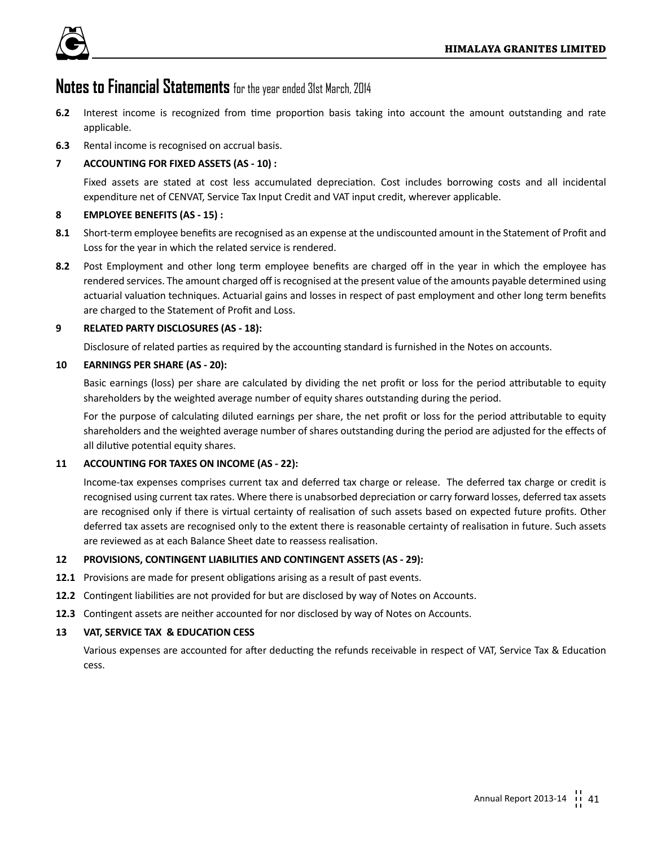

- **6.2** Interest income is recognized from time proportion basis taking into account the amount outstanding and rate applicable.
- **6.3** Rental income is recognised on accrual basis.

### **7 ACCOUNTING FOR FIXED ASSETS (AS - 10) :**

Fixed assets are stated at cost less accumulated depreciation. Cost includes borrowing costs and all incidental expenditure net of CENVAT, Service Tax Input Credit and VAT input credit, wherever applicable.

### **8 EMPLOYEE BENEFITS (AS - 15) :**

- **8.1** Short-term employee benefits are recognised as an expense at the undiscounted amount in the Statement of Profit and Loss for the year in which the related service is rendered.
- **8.2** Post Employment and other long term employee benefits are charged off in the year in which the employee has rendered services. The amount charged off is recognised at the present value of the amounts payable determined using actuarial valuation techniques. Actuarial gains and losses in respect of past employment and other long term benefits are charged to the Statement of Profit and Loss.

#### **9 RELATED PARTY DISCLOSURES (AS - 18):**

Disclosure of related parties as required by the accounting standard is furnished in the Notes on accounts.

#### **10 EARNINGS PER SHARE (AS - 20):**

Basic earnings (loss) per share are calculated by dividing the net profit or loss for the period attributable to equity shareholders by the weighted average number of equity shares outstanding during the period.

For the purpose of calculating diluted earnings per share, the net profit or loss for the period attributable to equity shareholders and the weighted average number of shares outstanding during the period are adjusted for the effects of all dilutive potential equity shares.

#### **11 ACCOUNTING FOR TAXES ON INCOME (AS - 22):**

 Income-tax expenses comprises current tax and deferred tax charge or release. The deferred tax charge or credit is recognised using current tax rates. Where there is unabsorbed depreciation or carry forward losses, deferred tax assets are recognised only if there is virtual certainty of realisation of such assets based on expected future profits. Other deferred tax assets are recognised only to the extent there is reasonable certainty of realisation in future. Such assets are reviewed as at each Balance Sheet date to reassess realisation.

### **12 PROVISIONS, CONTINGENT LIABILITIES AND CONTINGENT ASSETS (AS - 29):**

- **12.1** Provisions are made for present obligations arising as a result of past events.
- **12.2** Contingent liabilities are not provided for but are disclosed by way of Notes on Accounts.
- **12.3** Contingent assets are neither accounted for nor disclosed by way of Notes on Accounts.

#### **13 VAT, SERVICE TAX & EDUCATION CESS**

Various expenses are accounted for after deducting the refunds receivable in respect of VAT, Service Tax & Education cess.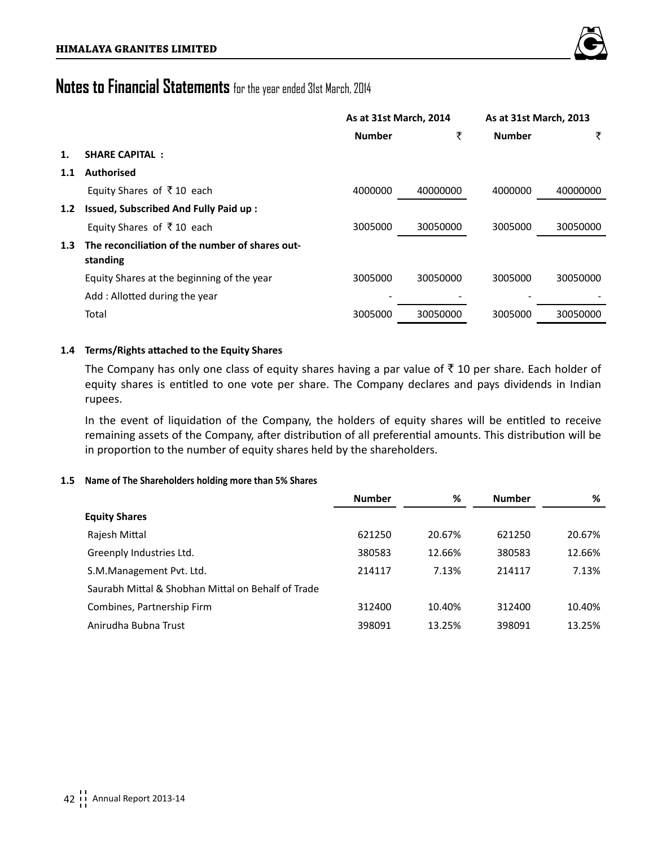|     |                                                             | As at 31st March, 2014 |          | As at 31st March, 2013 |          |  |
|-----|-------------------------------------------------------------|------------------------|----------|------------------------|----------|--|
|     |                                                             | <b>Number</b>          | ₹        | <b>Number</b>          | ₹        |  |
| 1.  | <b>SHARE CAPITAL:</b>                                       |                        |          |                        |          |  |
| 1.1 | <b>Authorised</b>                                           |                        |          |                        |          |  |
|     | Equity Shares of ₹10 each                                   | 4000000                | 40000000 | 4000000                | 40000000 |  |
| 1.2 | Issued, Subscribed And Fully Paid up:                       |                        |          |                        |          |  |
|     | Equity Shares of ₹10 each                                   | 3005000                | 30050000 | 3005000                | 30050000 |  |
| 1.3 | The reconciliation of the number of shares out-<br>standing |                        |          |                        |          |  |
|     | Equity Shares at the beginning of the year                  | 3005000                | 30050000 | 3005000                | 30050000 |  |
|     | Add: Allotted during the year                               |                        |          |                        |          |  |
|     | Total                                                       | 3005000                | 30050000 | 3005000                | 30050000 |  |

# **1.4 Terms/Rights aƩached to the Equity Shares**

The Company has only one class of equity shares having a par value of  $\bar{\tau}$  10 per share. Each holder of equity shares is entitled to one vote per share. The Company declares and pays dividends in Indian rupees.

In the event of liquidation of the Company, the holders of equity shares will be entitled to receive remaining assets of the Company, after distribution of all preferential amounts. This distribution will be in proportion to the number of equity shares held by the shareholders.

### **1.5 Name of The Shareholders holding more than 5% Shares**

|                                                    | <b>Number</b> | %      | <b>Number</b> | %      |
|----------------------------------------------------|---------------|--------|---------------|--------|
| <b>Equity Shares</b>                               |               |        |               |        |
| Rajesh Mittal                                      | 621250        | 20.67% | 621250        | 20.67% |
| Greenply Industries Ltd.                           | 380583        | 12.66% | 380583        | 12.66% |
| S.M.Management Pvt. Ltd.                           | 214117        | 7.13%  | 214117        | 7.13%  |
| Saurabh Mittal & Shobhan Mittal on Behalf of Trade |               |        |               |        |
| Combines, Partnership Firm                         | 312400        | 10.40% | 312400        | 10.40% |
| Anirudha Bubna Trust                               | 398091        | 13.25% | 398091        | 13.25% |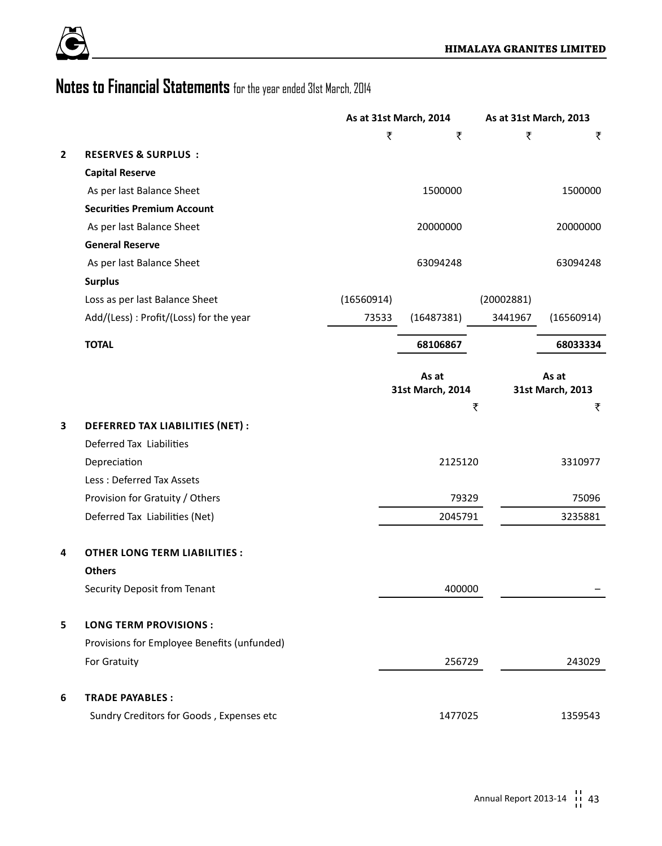

|                |                                             |            | As at 31st March, 2014    |            | As at 31st March, 2013    |  |
|----------------|---------------------------------------------|------------|---------------------------|------------|---------------------------|--|
|                |                                             | ₹          | ₹                         | ₹          | ₹                         |  |
| $\overline{2}$ | <b>RESERVES &amp; SURPLUS:</b>              |            |                           |            |                           |  |
|                | <b>Capital Reserve</b>                      |            |                           |            |                           |  |
|                | As per last Balance Sheet                   |            | 1500000                   |            | 1500000                   |  |
|                | <b>Securities Premium Account</b>           |            |                           |            |                           |  |
|                | As per last Balance Sheet                   |            | 20000000                  |            | 20000000                  |  |
|                | <b>General Reserve</b>                      |            |                           |            |                           |  |
|                | As per last Balance Sheet                   |            | 63094248                  |            | 63094248                  |  |
|                | <b>Surplus</b>                              |            |                           |            |                           |  |
|                | Loss as per last Balance Sheet              | (16560914) |                           | (20002881) |                           |  |
|                | Add/(Less): Profit/(Loss) for the year      | 73533      | (16487381)                | 3441967    | (16560914)                |  |
|                | <b>TOTAL</b>                                |            | 68106867                  |            | 68033334                  |  |
|                |                                             |            |                           |            |                           |  |
|                |                                             |            | As at<br>31st March, 2014 |            | As at<br>31st March, 2013 |  |
|                |                                             |            |                           | ₹          | ₹                         |  |
| 3              | DEFERRED TAX LIABILITIES (NET) :            |            |                           |            |                           |  |
|                | Deferred Tax Liabilities                    |            |                           |            |                           |  |
|                | Depreciation                                |            | 2125120                   |            | 3310977                   |  |
|                | Less: Deferred Tax Assets                   |            |                           |            |                           |  |
|                | Provision for Gratuity / Others             |            | 79329                     |            | 75096                     |  |
|                | Deferred Tax Liabilities (Net)              |            | 2045791                   |            | 3235881                   |  |
| 4              | <b>OTHER LONG TERM LIABILITIES:</b>         |            |                           |            |                           |  |
|                | <b>Others</b>                               |            |                           |            |                           |  |
|                | Security Deposit from Tenant                |            | 400000                    |            |                           |  |
|                |                                             |            |                           |            |                           |  |
| 5              | <b>LONG TERM PROVISIONS:</b>                |            |                           |            |                           |  |
|                | Provisions for Employee Benefits (unfunded) |            |                           |            |                           |  |
|                | For Gratuity                                |            | 256729                    |            | 243029                    |  |
| 6              | <b>TRADE PAYABLES:</b>                      |            |                           |            |                           |  |
|                | Sundry Creditors for Goods, Expenses etc    |            | 1477025                   |            | 1359543                   |  |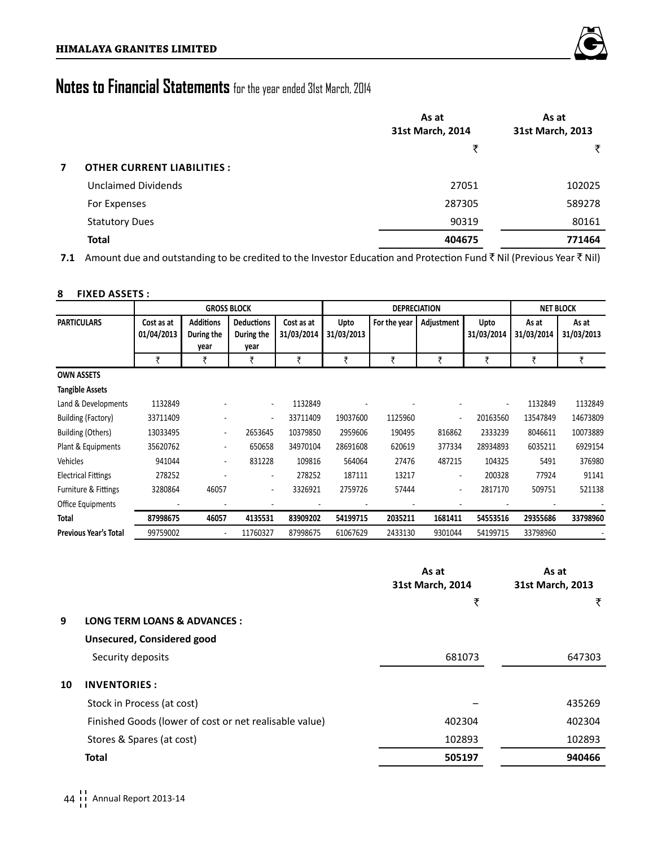|   |                                   | As at<br>31st March, 2014 | As at<br>31st March, 2013 |
|---|-----------------------------------|---------------------------|---------------------------|
|   |                                   | ₹                         | ₹                         |
| 7 | <b>OTHER CURRENT LIABILITIES:</b> |                           |                           |
|   | <b>Unclaimed Dividends</b>        | 27051                     | 102025                    |
|   | For Expenses                      | 287305                    | 589278                    |
|   | <b>Statutory Dues</b>             | 90319                     | 80161                     |
|   | Total                             | 404675                    | 771464                    |

**7.1** Amount due and outstanding to be credited to the Investor Education and Protection Fund ₹ Nil (Previous Year ₹ Nil)

#### **8 FIXED ASSETS :**

|                              |                          | <b>GROSS BLOCK</b>             |                                 |                          |                    | <b>DEPRECIATION</b> |                          |                    | <b>NET BLOCK</b>    |                     |  |
|------------------------------|--------------------------|--------------------------------|---------------------------------|--------------------------|--------------------|---------------------|--------------------------|--------------------|---------------------|---------------------|--|
| <b>PARTICULARS</b>           | Cost as at<br>01/04/2013 | <b>Additions</b><br>During the | <b>Deductions</b><br>During the | Cost as at<br>31/03/2014 | Upto<br>31/03/2013 | For the year        | Adjustment               | Upto<br>31/03/2014 | As at<br>31/03/2014 | As at<br>31/03/2013 |  |
|                              |                          | year                           | year                            |                          |                    |                     |                          |                    |                     |                     |  |
|                              | ₹                        | ₹                              | ₹                               | ₹                        | ₹                  | ₹                   | ₹                        | ₹                  | ₹                   | ₹                   |  |
| <b>OWN ASSETS</b>            |                          |                                |                                 |                          |                    |                     |                          |                    |                     |                     |  |
| <b>Tangible Assets</b>       |                          |                                |                                 |                          |                    |                     |                          |                    |                     |                     |  |
| Land & Developments          | 1132849                  |                                | $\overline{\phantom{a}}$        | 1132849                  |                    |                     |                          |                    | 1132849             | 1132849             |  |
| Building (Factory)           | 33711409                 |                                | ٠                               | 33711409                 | 19037600           | 1125960             |                          | 20163560           | 13547849            | 14673809            |  |
| <b>Building (Others)</b>     | 13033495                 | $\overline{\phantom{0}}$       | 2653645                         | 10379850                 | 2959606            | 190495              | 816862                   | 2333239            | 8046611             | 10073889            |  |
| Plant & Equipments           | 35620762                 |                                | 650658                          | 34970104                 | 28691608           | 620619              | 377334                   | 28934893           | 6035211             | 6929154             |  |
| Vehicles                     | 941044                   |                                | 831228                          | 109816                   | 564064             | 27476               | 487215                   | 104325             | 5491                | 376980              |  |
| <b>Electrical Fittings</b>   | 278252                   |                                |                                 | 278252                   | 187111             | 13217               |                          | 200328             | 77924               | 91141               |  |
| Furniture & Fittings         | 3280864                  | 46057                          |                                 | 3326921                  | 2759726            | 57444               | $\overline{\phantom{a}}$ | 2817170            | 509751              | 521138              |  |
| Office Equipments            |                          |                                |                                 |                          |                    |                     |                          |                    |                     |                     |  |
| <b>Total</b>                 | 87998675                 | 46057                          | 4135531                         | 83909202                 | 54199715           | 2035211             | 1681411                  | 54553516           | 29355686            | 33798960            |  |
| <b>Previous Year's Total</b> | 99759002                 |                                | 11760327                        | 87998675                 | 61067629           | 2433130             | 9301044                  | 54199715           | 33798960            |                     |  |

|                                                        | As at<br>31st March, 2014 | As at<br>31st March, 2013 |
|--------------------------------------------------------|---------------------------|---------------------------|
|                                                        | ₹                         | ₹                         |
| 9<br><b>LONG TERM LOANS &amp; ADVANCES:</b>            |                           |                           |
| Unsecured, Considered good                             |                           |                           |
| Security deposits                                      | 681073                    | 647303                    |
| <b>INVENTORIES:</b><br>10                              |                           |                           |
| Stock in Process (at cost)                             |                           | 435269                    |
| Finished Goods (lower of cost or net realisable value) | 402304                    | 402304                    |
| Stores & Spares (at cost)                              | 102893                    | 102893                    |
| <b>Total</b>                                           | 505197                    | 940466                    |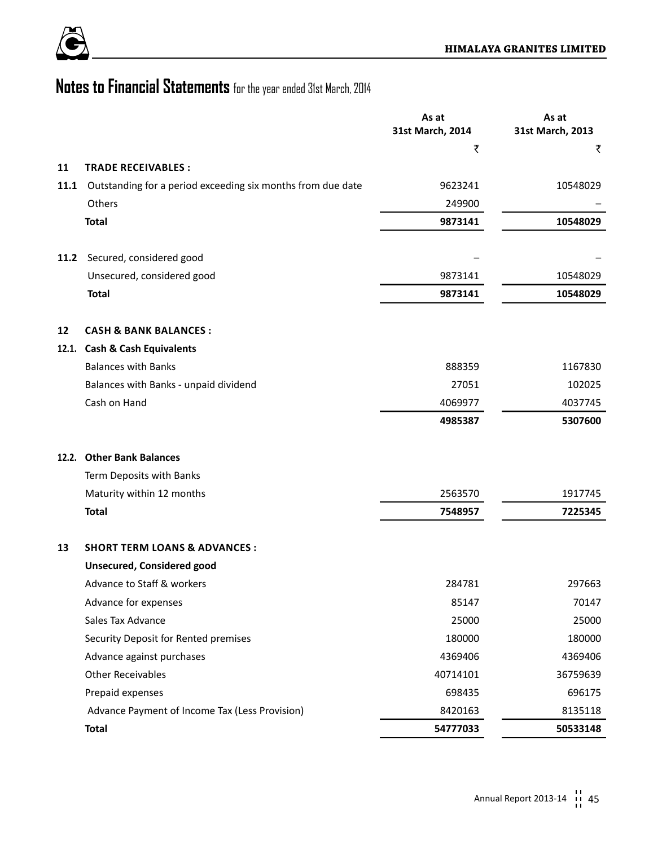



|      |                                                             | As at<br>31st March, 2014 | As at<br>31st March, 2013 |
|------|-------------------------------------------------------------|---------------------------|---------------------------|
|      |                                                             | ₹                         | ₹                         |
| 11   | <b>TRADE RECEIVABLES:</b>                                   |                           |                           |
| 11.1 | Outstanding for a period exceeding six months from due date | 9623241                   | 10548029                  |
|      | Others                                                      | 249900                    |                           |
|      | <b>Total</b>                                                | 9873141                   | 10548029                  |
| 11.2 | Secured, considered good                                    |                           |                           |
|      | Unsecured, considered good                                  | 9873141                   | 10548029                  |
|      | <b>Total</b>                                                | 9873141                   | 10548029                  |
| 12   | <b>CASH &amp; BANK BALANCES:</b>                            |                           |                           |
|      | 12.1. Cash & Cash Equivalents                               |                           |                           |
|      | <b>Balances with Banks</b>                                  | 888359                    | 1167830                   |
|      | Balances with Banks - unpaid dividend                       | 27051                     | 102025                    |
|      | Cash on Hand                                                | 4069977                   | 4037745                   |
|      |                                                             | 4985387                   | 5307600                   |
|      | 12.2. Other Bank Balances                                   |                           |                           |
|      | Term Deposits with Banks                                    |                           |                           |
|      | Maturity within 12 months                                   | 2563570                   | 1917745                   |
|      | Total                                                       | 7548957                   | 7225345                   |
| 13   | <b>SHORT TERM LOANS &amp; ADVANCES:</b>                     |                           |                           |
|      | Unsecured, Considered good                                  |                           |                           |
|      | Advance to Staff & workers                                  | 284781                    | 297663                    |
|      | Advance for expenses                                        | 85147                     | 70147                     |
|      | Sales Tax Advance                                           | 25000                     | 25000                     |
|      | Security Deposit for Rented premises                        | 180000                    | 180000                    |
|      | Advance against purchases                                   | 4369406                   | 4369406                   |
|      | <b>Other Receivables</b>                                    | 40714101                  | 36759639                  |
|      | Prepaid expenses                                            | 698435                    | 696175                    |
|      | Advance Payment of Income Tax (Less Provision)              | 8420163                   | 8135118                   |
|      | Total                                                       | 54777033                  | 50533148                  |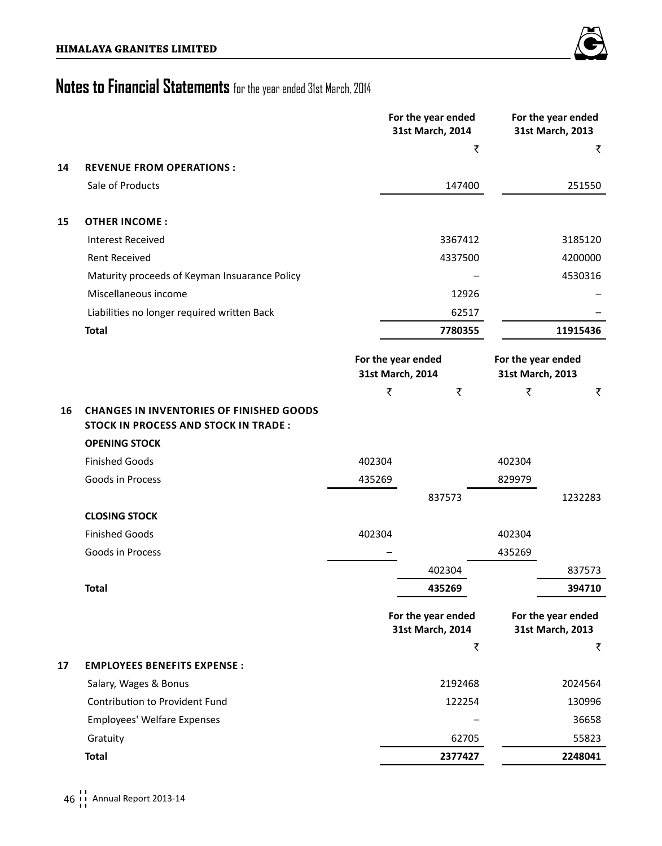|    |                                                                                                |                    |                  | For the year ended<br>31st March, 2014 |                    | For the year ended<br>31st March, 2013 |
|----|------------------------------------------------------------------------------------------------|--------------------|------------------|----------------------------------------|--------------------|----------------------------------------|
|    |                                                                                                |                    |                  | ₹                                      |                    | ₹                                      |
| 14 | <b>REVENUE FROM OPERATIONS:</b>                                                                |                    |                  |                                        |                    |                                        |
|    | Sale of Products                                                                               |                    |                  | 147400                                 |                    | 251550                                 |
| 15 | <b>OTHER INCOME:</b>                                                                           |                    |                  |                                        |                    |                                        |
|    | <b>Interest Received</b>                                                                       |                    |                  | 3367412                                |                    | 3185120                                |
|    | <b>Rent Received</b>                                                                           |                    |                  | 4337500                                |                    | 4200000                                |
|    | Maturity proceeds of Keyman Insuarance Policy                                                  |                    |                  |                                        |                    | 4530316                                |
|    | Miscellaneous income                                                                           |                    |                  | 12926                                  |                    |                                        |
|    | Liabilities no longer required written Back                                                    |                    |                  | 62517                                  |                    |                                        |
|    | <b>Total</b>                                                                                   |                    |                  | 7780355                                |                    | 11915436                               |
|    |                                                                                                | For the year ended |                  |                                        | For the year ended |                                        |
|    |                                                                                                |                    | 31st March, 2014 |                                        | 31st March, 2013   |                                        |
| 16 | <b>CHANGES IN INVENTORIES OF FINISHED GOODS</b><br><b>STOCK IN PROCESS AND STOCK IN TRADE:</b> |                    | ₹                | ₹                                      | ₹                  | ₹                                      |
|    | <b>OPENING STOCK</b>                                                                           |                    |                  |                                        |                    |                                        |
|    | <b>Finished Goods</b>                                                                          | 402304             |                  |                                        | 402304             |                                        |
|    | Goods in Process                                                                               | 435269             |                  |                                        | 829979             |                                        |
|    |                                                                                                |                    |                  | 837573                                 |                    | 1232283                                |
|    | <b>CLOSING STOCK</b>                                                                           |                    |                  |                                        |                    |                                        |
|    | <b>Finished Goods</b>                                                                          | 402304             |                  |                                        | 402304             |                                        |
|    | Goods in Process                                                                               |                    |                  |                                        | 435269             |                                        |
|    |                                                                                                |                    |                  | 402304                                 |                    | 837573                                 |
|    | <b>Total</b>                                                                                   |                    |                  | 435269                                 |                    | 394710                                 |
|    |                                                                                                |                    |                  | For the year ended<br>31st March, 2014 |                    | For the year ended<br>31st March, 2013 |
|    |                                                                                                |                    |                  | ₹                                      |                    | ₹                                      |
| 17 | <b>EMPLOYEES BENEFITS EXPENSE:</b>                                                             |                    |                  |                                        |                    |                                        |
|    | Salary, Wages & Bonus                                                                          |                    |                  | 2192468                                |                    | 2024564                                |
|    | Contribution to Provident Fund                                                                 |                    |                  | 122254                                 |                    | 130996                                 |
|    | <b>Employees' Welfare Expenses</b>                                                             |                    |                  |                                        |                    | 36658                                  |
|    | Gratuity                                                                                       |                    |                  | 62705                                  |                    | 55823                                  |
|    | <b>Total</b>                                                                                   |                    |                  | 2377427                                |                    | 2248041                                |

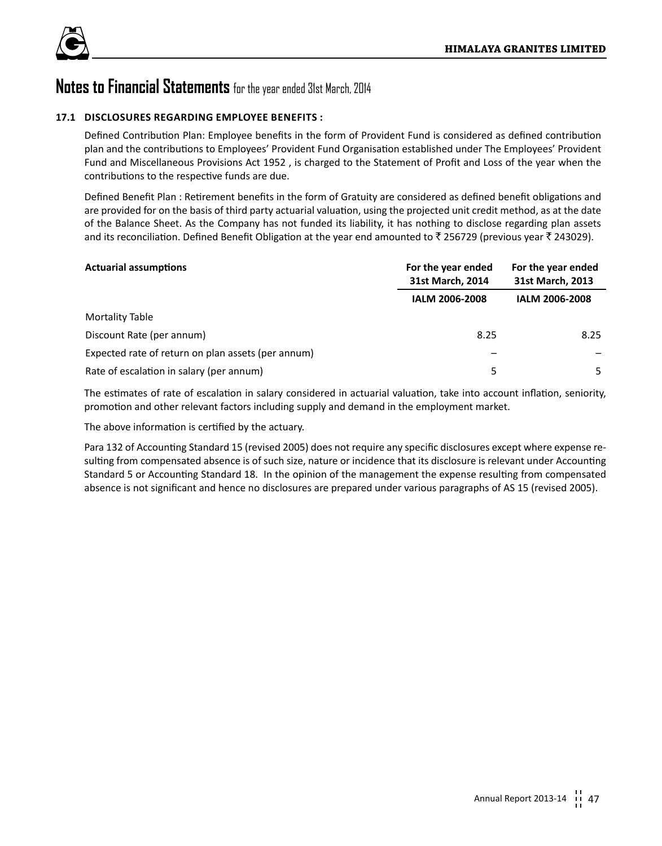



# **17.1 DISCLOSURES REGARDING EMPLOYEE BENEFITS :**

Defined Contribution Plan: Employee benefits in the form of Provident Fund is considered as defined contribution plan and the contributions to Employees' Provident Fund Organisation established under The Employees' Provident Fund and Miscellaneous Provisions Act 1952 , is charged to the Statement of Profit and Loss of the year when the contributions to the respective funds are due.

Defined Benefit Plan : Retirement benefits in the form of Gratuity are considered as defined benefit obligations and are provided for on the basis of third party actuarial valuation, using the projected unit credit method, as at the date of the Balance Sheet. As the Company has not funded its liability, it has nothing to disclose regarding plan assets and its reconciliation. Defined Benefit Obligation at the year end amounted to ₹256729 (previous year ₹243029).

| <b>Actuarial assumptions</b>                       | For the year ended<br>31st March, 2014 | For the year ended<br>31st March, 2013 |  |  |
|----------------------------------------------------|----------------------------------------|----------------------------------------|--|--|
|                                                    | <b>IALM 2006-2008</b>                  | <b>IALM 2006-2008</b>                  |  |  |
| Mortality Table                                    |                                        |                                        |  |  |
| Discount Rate (per annum)                          | 8.25                                   | 8.25                                   |  |  |
| Expected rate of return on plan assets (per annum) |                                        |                                        |  |  |
| Rate of escalation in salary (per annum)           |                                        | 5.                                     |  |  |

The estimates of rate of escalation in salary considered in actuarial valuation, take into account inflation, seniority, promotion and other relevant factors including supply and demand in the employment market.

The above information is certified by the actuary.

Para 132 of Accounting Standard 15 (revised 2005) does not require any specific disclosures except where expense resulting from compensated absence is of such size, nature or incidence that its disclosure is relevant under Accounting Standard 5 or Accounting Standard 18. In the opinion of the management the expense resulting from compensated absence is not significant and hence no disclosures are prepared under various paragraphs of AS 15 (revised 2005).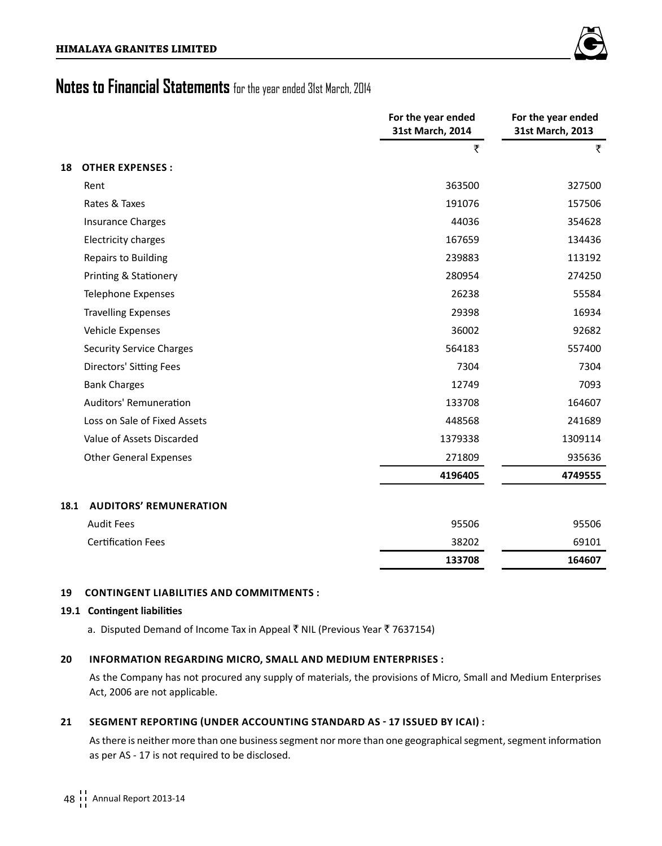

|      |                                 | For the year ended<br>31st March, 2014 | For the year ended<br>31st March, 2013 |
|------|---------------------------------|----------------------------------------|----------------------------------------|
|      |                                 | ₹                                      | ₹                                      |
| 18   | <b>OTHER EXPENSES:</b>          |                                        |                                        |
|      | Rent                            | 363500                                 | 327500                                 |
|      | Rates & Taxes                   | 191076                                 | 157506                                 |
|      | <b>Insurance Charges</b>        | 44036                                  | 354628                                 |
|      | <b>Electricity charges</b>      | 167659                                 | 134436                                 |
|      | <b>Repairs to Building</b>      | 239883                                 | 113192                                 |
|      | Printing & Stationery           | 280954                                 | 274250                                 |
|      | <b>Telephone Expenses</b>       | 26238                                  | 55584                                  |
|      | <b>Travelling Expenses</b>      | 29398                                  | 16934                                  |
|      | Vehicle Expenses                | 36002                                  | 92682                                  |
|      | <b>Security Service Charges</b> | 564183                                 | 557400                                 |
|      | Directors' Sitting Fees         | 7304                                   | 7304                                   |
|      | <b>Bank Charges</b>             | 12749                                  | 7093                                   |
|      | <b>Auditors' Remuneration</b>   | 133708                                 | 164607                                 |
|      | Loss on Sale of Fixed Assets    | 448568                                 | 241689                                 |
|      | Value of Assets Discarded       | 1379338                                | 1309114                                |
|      | <b>Other General Expenses</b>   | 271809                                 | 935636                                 |
|      |                                 | 4196405                                | 4749555                                |
| 18.1 | <b>AUDITORS' REMUNERATION</b>   |                                        |                                        |
|      | <b>Audit Fees</b>               | 95506                                  | 95506                                  |
|      | <b>Certification Fees</b>       | 38202                                  | 69101                                  |
|      |                                 | 133708                                 | 164607                                 |

#### **19 CONTINGENT LIABILITIES AND COMMITMENTS :**

#### **19.1 ConƟngent liabiliƟes**

a. Disputed Demand of Income Tax in Appeal ₹ NIL (Previous Year ₹ 7637154)

#### **20 INFORMATION REGARDING MICRO, SMALL AND MEDIUM ENTERPRISES :**

As the Company has not procured any supply of materials, the provisions of Micro, Small and Medium Enterprises Act, 2006 are not applicable.

#### **21 SEGMENT REPORTING (UNDER ACCOUNTING STANDARD AS - 17 ISSUED BY ICAI) :**

As there is neither more than one business segment nor more than one geographical segment, segment information as per AS - 17 is not required to be disclosed.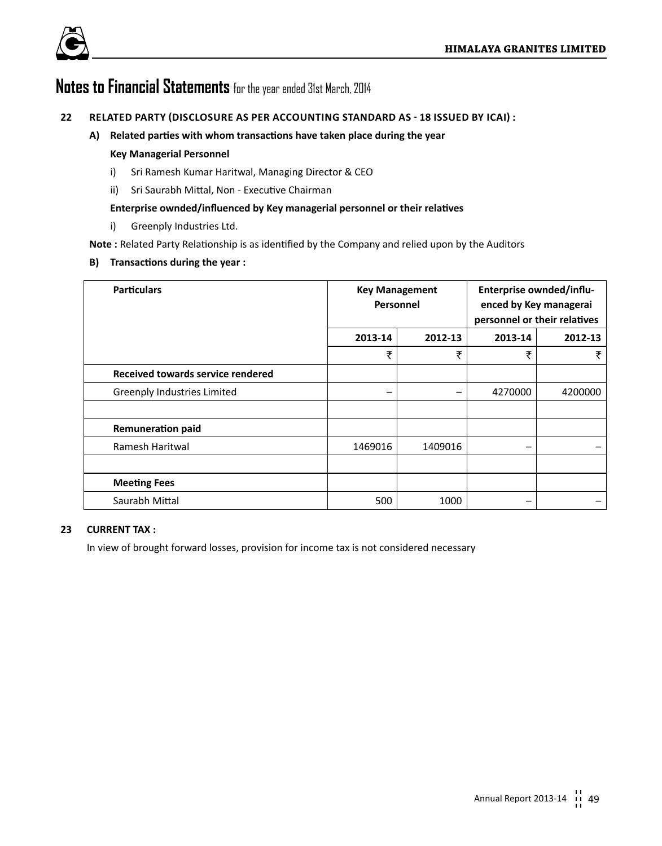

#### **22 RELATED PARTY (DISCLOSURE AS PER ACCOUNTING STANDARD AS - 18 ISSUED BY ICAI) :**

# A) Related parties with whom transactions have taken place during the year

### **Key Managerial Personnel**

- i) Sri Ramesh Kumar Haritwal, Managing Director & CEO
- ii) Sri Saurabh Mittal, Non Executive Chairman

#### Enterprise ownded/influenced by Key managerial personnel or their relatives

i) Greenply Industries Ltd.

#### Note : Related Party Relationship is as identified by the Company and relied upon by the Auditors

#### **B)** Transactions during the year :

| <b>Particulars</b>                | <b>Key Management</b><br>Personnel |         | Enterprise ownded/influ-<br>enced by Key managerai<br>personnel or their relatives |         |
|-----------------------------------|------------------------------------|---------|------------------------------------------------------------------------------------|---------|
|                                   | 2013-14                            | 2012-13 | 2013-14                                                                            | 2012-13 |
|                                   | ₹                                  | ₹       | ₹                                                                                  | ₹       |
| Received towards service rendered |                                    |         |                                                                                    |         |
| Greenply Industries Limited       | -                                  |         | 4270000                                                                            | 4200000 |
|                                   |                                    |         |                                                                                    |         |
| <b>Remuneration paid</b>          |                                    |         |                                                                                    |         |
| Ramesh Haritwal                   | 1469016                            | 1409016 | -                                                                                  |         |
|                                   |                                    |         |                                                                                    |         |
| <b>Meeting Fees</b>               |                                    |         |                                                                                    |         |
| Saurabh Mittal                    | 500                                | 1000    | -                                                                                  |         |
|                                   |                                    |         |                                                                                    |         |

#### **23 CURRENT TAX :**

In view of brought forward losses, provision for income tax is not considered necessary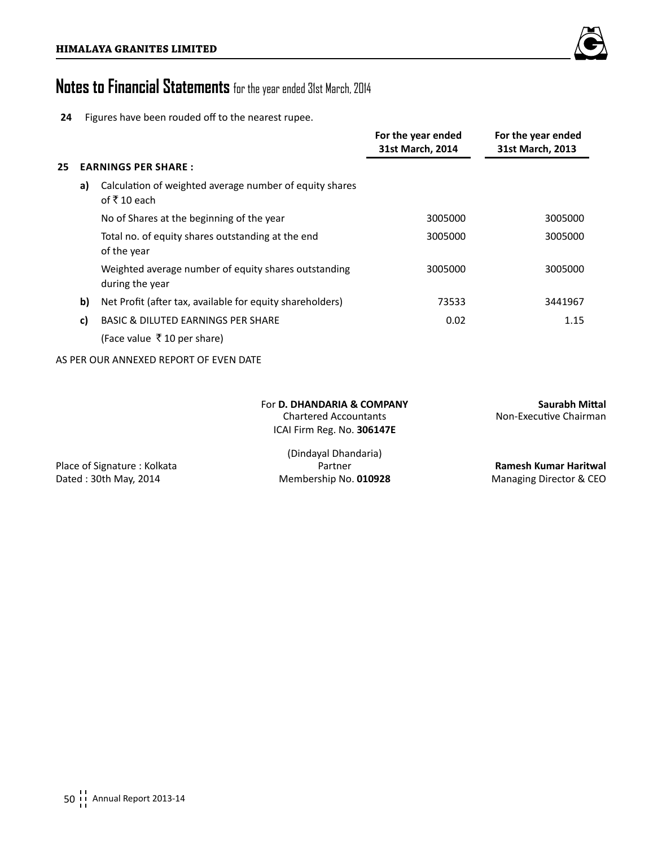

**24** Figures have been rouded off to the nearest rupee.

|    |    |                                                                         | For the year ended<br>31st March, 2014 | For the year ended<br>31st March, 2013 |
|----|----|-------------------------------------------------------------------------|----------------------------------------|----------------------------------------|
| 25 |    | <b>EARNINGS PER SHARE:</b>                                              |                                        |                                        |
|    | a) | Calculation of weighted average number of equity shares<br>of ₹10 each  |                                        |                                        |
|    |    | No of Shares at the beginning of the year                               | 3005000                                | 3005000                                |
|    |    | Total no. of equity shares outstanding at the end<br>of the year        | 3005000                                | 3005000                                |
|    |    | Weighted average number of equity shares outstanding<br>during the year | 3005000                                | 3005000                                |
|    | b) | Net Profit (after tax, available for equity shareholders)               | 73533                                  | 3441967                                |
|    | c) | <b>BASIC &amp; DILUTED EARNINGS PER SHARE</b>                           | 0.02                                   | 1.15                                   |
|    |    | (Face value ₹10 per share)                                              |                                        |                                        |

AS PER OUR ANNEXED REPORT OF EVEN DATE

For **D. DHANDARIA & COMPANY** Saurabh Mittal<br>Chartered Accountants **Saurabh Michand Chartered Accountants Saurabh Mon-Executive Chairman** ICAI Firm Reg. No. **306147E**

Non-Executive Chairman

Place of Signature : Kolkata Partner **Ramesh Kumar Haritwal** Dated : 30th May, 2014 Membership No. **010928** Managing Director & CEO

(Dindayal Dhandaria)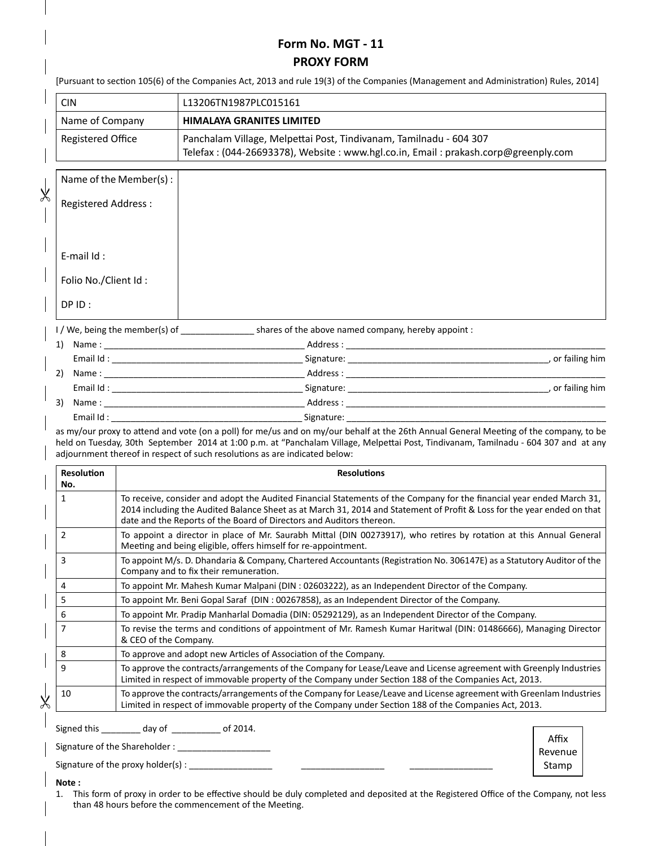# **Form No. MGT - 11 PROXY FORM**

[Pursuant to section 105(6) of the Companies Act, 2013 and rule 19(3) of the Companies (Management and Administration) Rules, 2014] CIN L13206TN1987PLC015161 Name of Company **HIMALAYA GRANITES LIMITED** Registered Office | Panchalam Village, Melpettai Post, Tindivanam, Tamilnadu - 604 307 Telefax : (044-26693378), Website : www.hgl.co.in, Email : prakash.corp@greenply.com Name of the Member(s) : Registered Address : E-mail Id : Folio No./Client Id : DP ID : I / We, being the member(s) of \_\_\_\_\_\_\_\_\_\_\_\_\_\_\_\_\_\_\_\_\_\_\_ shares of the above named company, hereby appoint : 1) Name : the contract of the contract of the Address :  $\triangle$  Address :  $\triangle$  Email Id : \_\_\_\_\_\_\_\_\_\_\_\_\_\_\_\_\_\_\_\_\_\_\_\_\_\_\_\_\_\_\_\_\_\_\_\_\_\_\_ Signature: \_\_\_\_\_\_\_\_\_\_\_\_\_\_\_\_\_\_\_\_\_\_\_\_\_\_\_\_\_\_\_\_\_\_\_\_\_\_\_\_\_, or failing him 2) Name : \_\_\_\_\_\_\_\_\_\_\_\_\_\_\_\_\_\_\_\_\_\_\_\_\_\_\_\_\_\_\_\_\_\_\_\_\_\_\_\_\_ Address : \_\_\_\_\_\_\_\_\_\_\_\_\_\_\_\_\_\_\_\_\_\_\_\_\_\_\_\_\_\_\_\_\_\_\_\_\_\_\_\_\_\_\_\_\_\_\_\_\_\_\_\_\_ Email Id : \_\_\_\_\_\_\_\_\_\_\_\_\_\_\_\_\_\_\_\_\_\_\_\_\_\_\_\_\_\_\_\_\_\_\_\_\_\_\_ Signature: \_\_\_\_\_\_\_\_\_\_\_\_\_\_\_\_\_\_\_\_\_\_\_\_\_\_\_\_\_\_\_\_\_\_\_\_\_\_\_\_\_, or failing him 3) Name : \_\_\_\_\_\_\_\_\_\_\_\_\_\_\_\_\_\_\_\_\_\_\_\_\_\_\_\_\_\_\_\_\_\_\_\_\_\_\_\_\_ Address : \_\_\_\_\_\_\_\_\_\_\_\_\_\_\_\_\_\_\_\_\_\_\_\_\_\_\_\_\_\_\_\_\_\_\_\_\_\_\_\_\_\_\_\_\_\_\_\_\_\_\_\_\_ Email Id : \_\_\_\_\_\_\_\_\_\_\_\_\_\_\_\_\_\_\_\_\_\_\_\_\_\_\_\_\_\_\_\_\_\_\_\_\_\_\_ Signature: \_\_\_\_\_\_\_\_\_\_\_\_\_\_\_\_\_\_\_\_\_\_\_\_\_\_\_\_\_\_\_\_\_\_\_\_\_\_\_\_\_\_\_\_\_\_\_\_\_\_\_\_\_ as my/our proxy to attend and vote (on a poll) for me/us and on my/our behalf at the 26th Annual General Meeting of the company, to be held on Tuesday, 30th September 2014 at 1:00 p.m. at "Panchalam Village, Melpettai Post, Tindivanam, Tamilnadu - 604 307 and at any adjournment thereof in respect of such resolutions as are indicated below: **ResoluƟon No. ResoluƟons** 1 To receive, consider and adopt the Audited Financial Statements of the Company for the financial year ended March 31, 2014 including the Audited Balance Sheet as at March 31, 2014 and Statement of Profit & Loss for the year ended on that date and the Reports of the Board of Directors and Auditors thereon. 2 To appoint a director in place of Mr. Saurabh Mittal (DIN 00273917), who retires by rotation at this Annual General Meeting and being eligible, offers himself for re-appointment. 3 To appoint M/s. D. Dhandaria & Company, Chartered Accountants (Registration No. 306147E) as a Statutory Auditor of the Company and to fix their remuneration. 4 To appoint Mr. Mahesh Kumar Malpani (DIN : 02603222), as an Independent Director of the Company. 5 To appoint Mr. Beni Gopal Saraf (DIN : 00267858), as an Independent Director of the Company. 6 To appoint Mr. Pradip Manharlal Domadia (DIN: 05292129), as an Independent Director of the Company. 7 To revise the terms and conditions of appointment of Mr. Ramesh Kumar Haritwal (DIN: 01486666), Managing Director & CEO of the Company. 8 To approve and adopt new Articles of Association of the Company. 9 To approve the contracts/arrangements of the Company for Lease/Leave and License agreement with Greenply Industries Limited in respect of immovable property of the Company under Section 188 of the Companies Act, 2013. Ⅹ

Signed this \_\_\_\_\_\_\_\_ day of \_\_\_\_\_\_\_\_\_\_ of 2014.

Signature of the Shareholder :

Signature of the proxy holder(s) : \_\_\_\_\_\_\_\_\_\_\_\_\_\_\_\_\_ \_\_\_\_\_\_\_\_\_\_\_\_\_\_\_\_\_ \_\_\_\_\_\_\_\_\_\_\_\_\_\_\_\_\_

#### **Note :**

X

1. This form of proxy in order to be effective should be duly completed and deposited at the Registered Office of the Company, not less than 48 hours before the commencement of the Meeting.

10 To approve the contracts/arrangements of the Company for Lease/Leave and License agreement with Greenlam Industries Limited in respect of immovable property of the Company under Section 188 of the Companies Act, 2013.

> Affix Revenue Stamp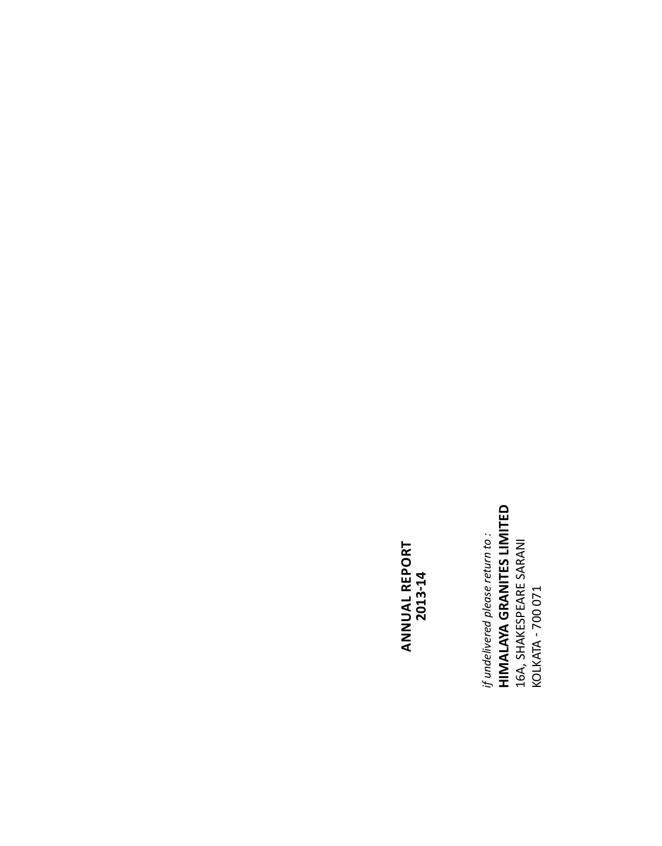if undelivered please return to :<br>**HIMALAYA GRANITES LIMITED**<br>16A, SHAKESPEARE SARANI<br>KOLKATA - 700 071 **HIMALAYA GRANITES LIMITED** *if undelivered please return to :* 16A, SHAKESPEARE SARANI KOLKATA - 700 071

**ANNUAL REPORT 2013-14**